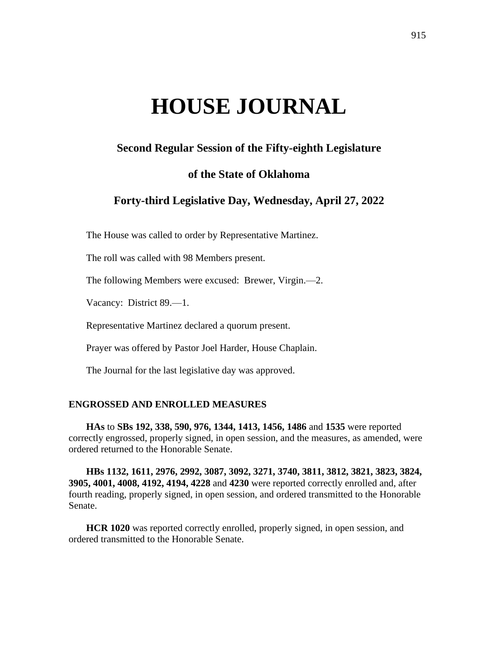# **HOUSE JOURNAL**

# **Second Regular Session of the Fifty-eighth Legislature**

# **of the State of Oklahoma**

# **Forty-third Legislative Day, Wednesday, April 27, 2022**

The House was called to order by Representative Martinez.

The roll was called with 98 Members present.

The following Members were excused: Brewer, Virgin.—2.

Vacancy: District 89.—1.

Representative Martinez declared a quorum present.

Prayer was offered by Pastor Joel Harder, House Chaplain.

The Journal for the last legislative day was approved.

## **ENGROSSED AND ENROLLED MEASURES**

**HAs** to **SBs 192, 338, 590, 976, 1344, 1413, 1456, 1486** and **1535** were reported correctly engrossed, properly signed, in open session, and the measures, as amended, were ordered returned to the Honorable Senate.

**HBs 1132, 1611, 2976, 2992, 3087, 3092, 3271, 3740, 3811, 3812, 3821, 3823, 3824, 3905, 4001, 4008, 4192, 4194, 4228** and **4230** were reported correctly enrolled and, after fourth reading, properly signed, in open session, and ordered transmitted to the Honorable Senate.

**HCR 1020** was reported correctly enrolled, properly signed, in open session, and ordered transmitted to the Honorable Senate.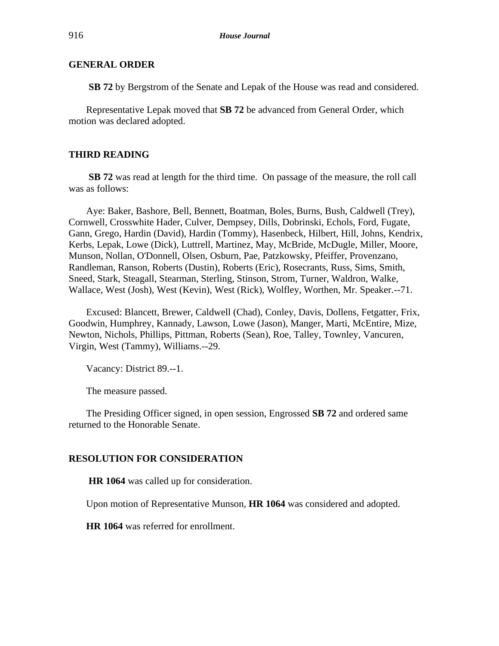**SB 72** by Bergstrom of the Senate and Lepak of the House was read and considered.

Representative Lepak moved that **SB 72** be advanced from General Order, which motion was declared adopted.

## **THIRD READING**

**SB 72** was read at length for the third time. On passage of the measure, the roll call was as follows:

Aye: Baker, Bashore, Bell, Bennett, Boatman, Boles, Burns, Bush, Caldwell (Trey), Cornwell, Crosswhite Hader, Culver, Dempsey, Dills, Dobrinski, Echols, Ford, Fugate, Gann, Grego, Hardin (David), Hardin (Tommy), Hasenbeck, Hilbert, Hill, Johns, Kendrix, Kerbs, Lepak, Lowe (Dick), Luttrell, Martinez, May, McBride, McDugle, Miller, Moore, Munson, Nollan, O'Donnell, Olsen, Osburn, Pae, Patzkowsky, Pfeiffer, Provenzano, Randleman, Ranson, Roberts (Dustin), Roberts (Eric), Rosecrants, Russ, Sims, Smith, Sneed, Stark, Steagall, Stearman, Sterling, Stinson, Strom, Turner, Waldron, Walke, Wallace, West (Josh), West (Kevin), West (Rick), Wolfley, Worthen, Mr. Speaker.--71.

Excused: Blancett, Brewer, Caldwell (Chad), Conley, Davis, Dollens, Fetgatter, Frix, Goodwin, Humphrey, Kannady, Lawson, Lowe (Jason), Manger, Marti, McEntire, Mize, Newton, Nichols, Phillips, Pittman, Roberts (Sean), Roe, Talley, Townley, Vancuren, Virgin, West (Tammy), Williams.--29.

Vacancy: District 89.--1.

The measure passed.

The Presiding Officer signed, in open session, Engrossed **SB 72** and ordered same returned to the Honorable Senate.

#### **RESOLUTION FOR CONSIDERATION**

**HR 1064** was called up for consideration.

Upon motion of Representative Munson, **HR 1064** was considered and adopted.

**HR 1064** was referred for enrollment.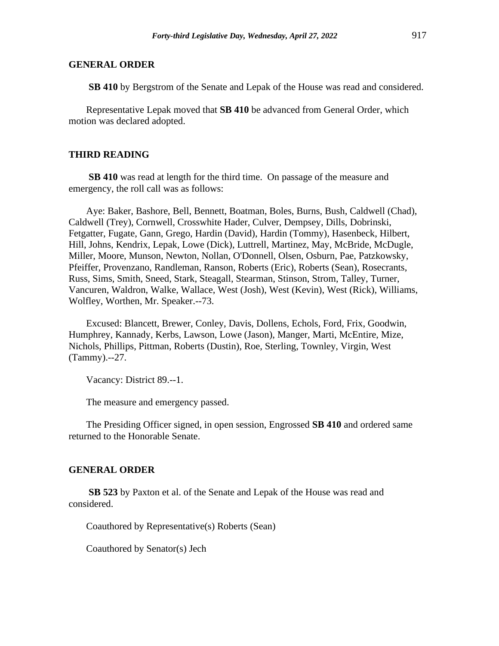**SB 410** by Bergstrom of the Senate and Lepak of the House was read and considered.

Representative Lepak moved that **SB 410** be advanced from General Order, which motion was declared adopted.

#### **THIRD READING**

**SB 410** was read at length for the third time. On passage of the measure and emergency, the roll call was as follows:

Aye: Baker, Bashore, Bell, Bennett, Boatman, Boles, Burns, Bush, Caldwell (Chad), Caldwell (Trey), Cornwell, Crosswhite Hader, Culver, Dempsey, Dills, Dobrinski, Fetgatter, Fugate, Gann, Grego, Hardin (David), Hardin (Tommy), Hasenbeck, Hilbert, Hill, Johns, Kendrix, Lepak, Lowe (Dick), Luttrell, Martinez, May, McBride, McDugle, Miller, Moore, Munson, Newton, Nollan, O'Donnell, Olsen, Osburn, Pae, Patzkowsky, Pfeiffer, Provenzano, Randleman, Ranson, Roberts (Eric), Roberts (Sean), Rosecrants, Russ, Sims, Smith, Sneed, Stark, Steagall, Stearman, Stinson, Strom, Talley, Turner, Vancuren, Waldron, Walke, Wallace, West (Josh), West (Kevin), West (Rick), Williams, Wolfley, Worthen, Mr. Speaker.--73.

Excused: Blancett, Brewer, Conley, Davis, Dollens, Echols, Ford, Frix, Goodwin, Humphrey, Kannady, Kerbs, Lawson, Lowe (Jason), Manger, Marti, McEntire, Mize, Nichols, Phillips, Pittman, Roberts (Dustin), Roe, Sterling, Townley, Virgin, West (Tammy).--27.

Vacancy: District 89.--1.

The measure and emergency passed.

The Presiding Officer signed, in open session, Engrossed **SB 410** and ordered same returned to the Honorable Senate.

#### **GENERAL ORDER**

**SB 523** by Paxton et al. of the Senate and Lepak of the House was read and considered.

Coauthored by Representative(s) Roberts (Sean)

Coauthored by Senator(s) Jech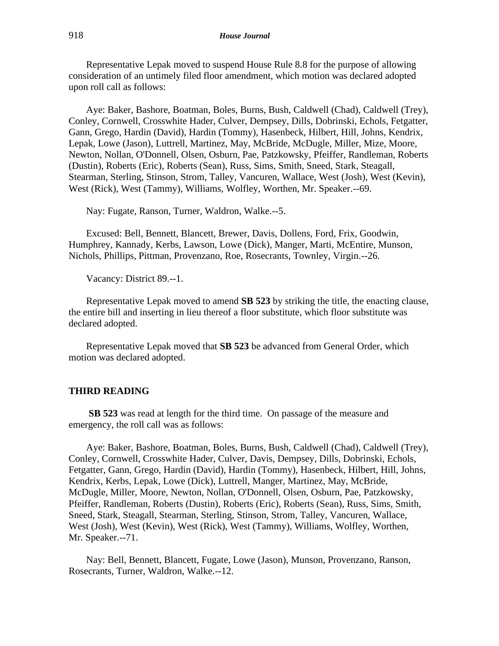Representative Lepak moved to suspend House Rule 8.8 for the purpose of allowing consideration of an untimely filed floor amendment, which motion was declared adopted upon roll call as follows:

Aye: Baker, Bashore, Boatman, Boles, Burns, Bush, Caldwell (Chad), Caldwell (Trey), Conley, Cornwell, Crosswhite Hader, Culver, Dempsey, Dills, Dobrinski, Echols, Fetgatter, Gann, Grego, Hardin (David), Hardin (Tommy), Hasenbeck, Hilbert, Hill, Johns, Kendrix, Lepak, Lowe (Jason), Luttrell, Martinez, May, McBride, McDugle, Miller, Mize, Moore, Newton, Nollan, O'Donnell, Olsen, Osburn, Pae, Patzkowsky, Pfeiffer, Randleman, Roberts (Dustin), Roberts (Eric), Roberts (Sean), Russ, Sims, Smith, Sneed, Stark, Steagall, Stearman, Sterling, Stinson, Strom, Talley, Vancuren, Wallace, West (Josh), West (Kevin), West (Rick), West (Tammy), Williams, Wolfley, Worthen, Mr. Speaker.--69.

Nay: Fugate, Ranson, Turner, Waldron, Walke.--5.

Excused: Bell, Bennett, Blancett, Brewer, Davis, Dollens, Ford, Frix, Goodwin, Humphrey, Kannady, Kerbs, Lawson, Lowe (Dick), Manger, Marti, McEntire, Munson, Nichols, Phillips, Pittman, Provenzano, Roe, Rosecrants, Townley, Virgin.--26.

Vacancy: District 89.--1.

Representative Lepak moved to amend **SB 523** by striking the title, the enacting clause, the entire bill and inserting in lieu thereof a floor substitute, which floor substitute was declared adopted.

Representative Lepak moved that **SB 523** be advanced from General Order, which motion was declared adopted.

## **THIRD READING**

**SB 523** was read at length for the third time. On passage of the measure and emergency, the roll call was as follows:

Aye: Baker, Bashore, Boatman, Boles, Burns, Bush, Caldwell (Chad), Caldwell (Trey), Conley, Cornwell, Crosswhite Hader, Culver, Davis, Dempsey, Dills, Dobrinski, Echols, Fetgatter, Gann, Grego, Hardin (David), Hardin (Tommy), Hasenbeck, Hilbert, Hill, Johns, Kendrix, Kerbs, Lepak, Lowe (Dick), Luttrell, Manger, Martinez, May, McBride, McDugle, Miller, Moore, Newton, Nollan, O'Donnell, Olsen, Osburn, Pae, Patzkowsky, Pfeiffer, Randleman, Roberts (Dustin), Roberts (Eric), Roberts (Sean), Russ, Sims, Smith, Sneed, Stark, Steagall, Stearman, Sterling, Stinson, Strom, Talley, Vancuren, Wallace, West (Josh), West (Kevin), West (Rick), West (Tammy), Williams, Wolfley, Worthen, Mr. Speaker.--71.

Nay: Bell, Bennett, Blancett, Fugate, Lowe (Jason), Munson, Provenzano, Ranson, Rosecrants, Turner, Waldron, Walke.--12.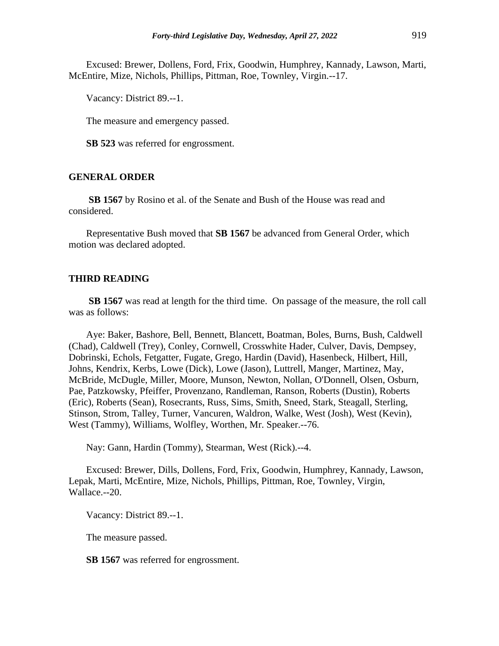Excused: Brewer, Dollens, Ford, Frix, Goodwin, Humphrey, Kannady, Lawson, Marti, McEntire, Mize, Nichols, Phillips, Pittman, Roe, Townley, Virgin.--17.

Vacancy: District 89.--1.

The measure and emergency passed.

**SB 523** was referred for engrossment.

## **GENERAL ORDER**

**SB 1567** by Rosino et al. of the Senate and Bush of the House was read and considered.

Representative Bush moved that **SB 1567** be advanced from General Order, which motion was declared adopted.

#### **THIRD READING**

**SB 1567** was read at length for the third time. On passage of the measure, the roll call was as follows:

Aye: Baker, Bashore, Bell, Bennett, Blancett, Boatman, Boles, Burns, Bush, Caldwell (Chad), Caldwell (Trey), Conley, Cornwell, Crosswhite Hader, Culver, Davis, Dempsey, Dobrinski, Echols, Fetgatter, Fugate, Grego, Hardin (David), Hasenbeck, Hilbert, Hill, Johns, Kendrix, Kerbs, Lowe (Dick), Lowe (Jason), Luttrell, Manger, Martinez, May, McBride, McDugle, Miller, Moore, Munson, Newton, Nollan, O'Donnell, Olsen, Osburn, Pae, Patzkowsky, Pfeiffer, Provenzano, Randleman, Ranson, Roberts (Dustin), Roberts (Eric), Roberts (Sean), Rosecrants, Russ, Sims, Smith, Sneed, Stark, Steagall, Sterling, Stinson, Strom, Talley, Turner, Vancuren, Waldron, Walke, West (Josh), West (Kevin), West (Tammy), Williams, Wolfley, Worthen, Mr. Speaker.--76.

Nay: Gann, Hardin (Tommy), Stearman, West (Rick).--4.

Excused: Brewer, Dills, Dollens, Ford, Frix, Goodwin, Humphrey, Kannady, Lawson, Lepak, Marti, McEntire, Mize, Nichols, Phillips, Pittman, Roe, Townley, Virgin, Wallace.--20.

Vacancy: District 89.--1.

The measure passed.

**SB 1567** was referred for engrossment.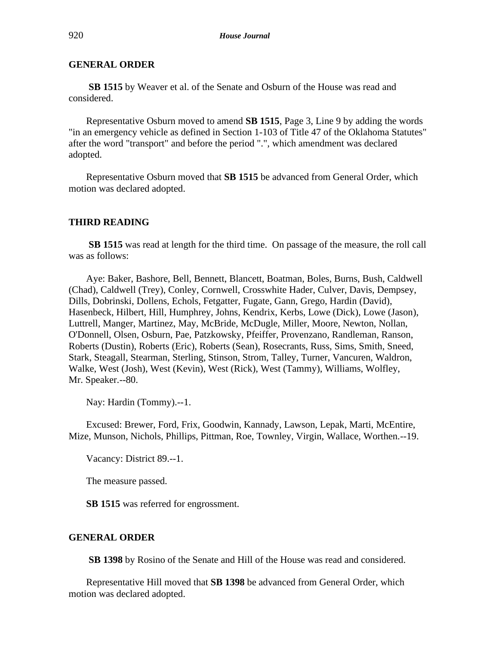**SB 1515** by Weaver et al. of the Senate and Osburn of the House was read and considered.

Representative Osburn moved to amend **SB 1515**, Page 3, Line 9 by adding the words "in an emergency vehicle as defined in Section 1-103 of Title 47 of the Oklahoma Statutes" after the word "transport" and before the period ".", which amendment was declared adopted.

Representative Osburn moved that **SB 1515** be advanced from General Order, which motion was declared adopted.

#### **THIRD READING**

**SB 1515** was read at length for the third time. On passage of the measure, the roll call was as follows:

Aye: Baker, Bashore, Bell, Bennett, Blancett, Boatman, Boles, Burns, Bush, Caldwell (Chad), Caldwell (Trey), Conley, Cornwell, Crosswhite Hader, Culver, Davis, Dempsey, Dills, Dobrinski, Dollens, Echols, Fetgatter, Fugate, Gann, Grego, Hardin (David), Hasenbeck, Hilbert, Hill, Humphrey, Johns, Kendrix, Kerbs, Lowe (Dick), Lowe (Jason), Luttrell, Manger, Martinez, May, McBride, McDugle, Miller, Moore, Newton, Nollan, O'Donnell, Olsen, Osburn, Pae, Patzkowsky, Pfeiffer, Provenzano, Randleman, Ranson, Roberts (Dustin), Roberts (Eric), Roberts (Sean), Rosecrants, Russ, Sims, Smith, Sneed, Stark, Steagall, Stearman, Sterling, Stinson, Strom, Talley, Turner, Vancuren, Waldron, Walke, West (Josh), West (Kevin), West (Rick), West (Tammy), Williams, Wolfley, Mr. Speaker.--80.

Nay: Hardin (Tommy).--1.

Excused: Brewer, Ford, Frix, Goodwin, Kannady, Lawson, Lepak, Marti, McEntire, Mize, Munson, Nichols, Phillips, Pittman, Roe, Townley, Virgin, Wallace, Worthen.--19.

Vacancy: District 89.--1.

The measure passed.

**SB 1515** was referred for engrossment.

#### **GENERAL ORDER**

**SB 1398** by Rosino of the Senate and Hill of the House was read and considered.

Representative Hill moved that **SB 1398** be advanced from General Order, which motion was declared adopted.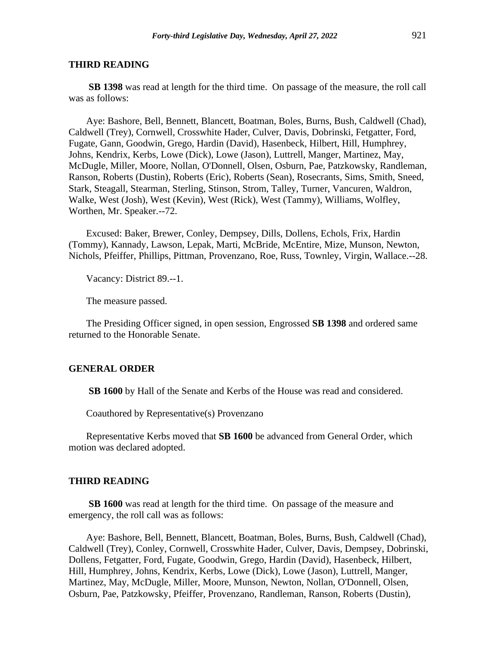#### **THIRD READING**

**SB 1398** was read at length for the third time. On passage of the measure, the roll call was as follows:

Aye: Bashore, Bell, Bennett, Blancett, Boatman, Boles, Burns, Bush, Caldwell (Chad), Caldwell (Trey), Cornwell, Crosswhite Hader, Culver, Davis, Dobrinski, Fetgatter, Ford, Fugate, Gann, Goodwin, Grego, Hardin (David), Hasenbeck, Hilbert, Hill, Humphrey, Johns, Kendrix, Kerbs, Lowe (Dick), Lowe (Jason), Luttrell, Manger, Martinez, May, McDugle, Miller, Moore, Nollan, O'Donnell, Olsen, Osburn, Pae, Patzkowsky, Randleman, Ranson, Roberts (Dustin), Roberts (Eric), Roberts (Sean), Rosecrants, Sims, Smith, Sneed, Stark, Steagall, Stearman, Sterling, Stinson, Strom, Talley, Turner, Vancuren, Waldron, Walke, West (Josh), West (Kevin), West (Rick), West (Tammy), Williams, Wolfley, Worthen, Mr. Speaker.--72.

Excused: Baker, Brewer, Conley, Dempsey, Dills, Dollens, Echols, Frix, Hardin (Tommy), Kannady, Lawson, Lepak, Marti, McBride, McEntire, Mize, Munson, Newton, Nichols, Pfeiffer, Phillips, Pittman, Provenzano, Roe, Russ, Townley, Virgin, Wallace.--28.

Vacancy: District 89.--1.

The measure passed.

The Presiding Officer signed, in open session, Engrossed **SB 1398** and ordered same returned to the Honorable Senate.

#### **GENERAL ORDER**

**SB 1600** by Hall of the Senate and Kerbs of the House was read and considered.

Coauthored by Representative(s) Provenzano

Representative Kerbs moved that **SB 1600** be advanced from General Order, which motion was declared adopted.

#### **THIRD READING**

**SB 1600** was read at length for the third time. On passage of the measure and emergency, the roll call was as follows:

Aye: Bashore, Bell, Bennett, Blancett, Boatman, Boles, Burns, Bush, Caldwell (Chad), Caldwell (Trey), Conley, Cornwell, Crosswhite Hader, Culver, Davis, Dempsey, Dobrinski, Dollens, Fetgatter, Ford, Fugate, Goodwin, Grego, Hardin (David), Hasenbeck, Hilbert, Hill, Humphrey, Johns, Kendrix, Kerbs, Lowe (Dick), Lowe (Jason), Luttrell, Manger, Martinez, May, McDugle, Miller, Moore, Munson, Newton, Nollan, O'Donnell, Olsen, Osburn, Pae, Patzkowsky, Pfeiffer, Provenzano, Randleman, Ranson, Roberts (Dustin),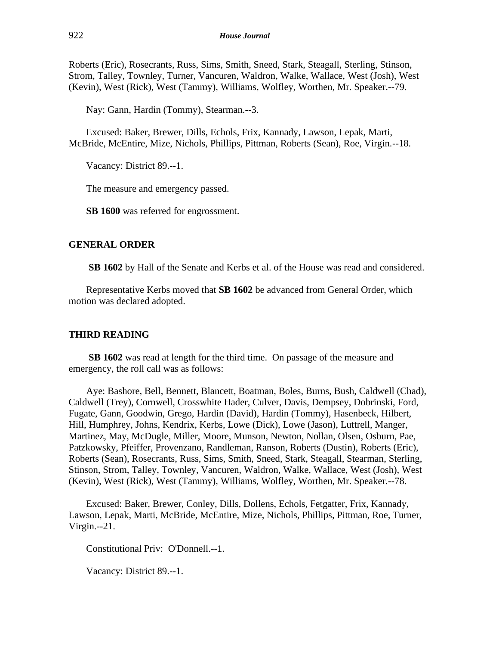Roberts (Eric), Rosecrants, Russ, Sims, Smith, Sneed, Stark, Steagall, Sterling, Stinson, Strom, Talley, Townley, Turner, Vancuren, Waldron, Walke, Wallace, West (Josh), West (Kevin), West (Rick), West (Tammy), Williams, Wolfley, Worthen, Mr. Speaker.--79.

Nay: Gann, Hardin (Tommy), Stearman.--3.

Excused: Baker, Brewer, Dills, Echols, Frix, Kannady, Lawson, Lepak, Marti, McBride, McEntire, Mize, Nichols, Phillips, Pittman, Roberts (Sean), Roe, Virgin.--18.

Vacancy: District 89.--1.

The measure and emergency passed.

**SB 1600** was referred for engrossment.

# **GENERAL ORDER**

**SB 1602** by Hall of the Senate and Kerbs et al. of the House was read and considered.

Representative Kerbs moved that **SB 1602** be advanced from General Order, which motion was declared adopted.

# **THIRD READING**

**SB 1602** was read at length for the third time. On passage of the measure and emergency, the roll call was as follows:

Aye: Bashore, Bell, Bennett, Blancett, Boatman, Boles, Burns, Bush, Caldwell (Chad), Caldwell (Trey), Cornwell, Crosswhite Hader, Culver, Davis, Dempsey, Dobrinski, Ford, Fugate, Gann, Goodwin, Grego, Hardin (David), Hardin (Tommy), Hasenbeck, Hilbert, Hill, Humphrey, Johns, Kendrix, Kerbs, Lowe (Dick), Lowe (Jason), Luttrell, Manger, Martinez, May, McDugle, Miller, Moore, Munson, Newton, Nollan, Olsen, Osburn, Pae, Patzkowsky, Pfeiffer, Provenzano, Randleman, Ranson, Roberts (Dustin), Roberts (Eric), Roberts (Sean), Rosecrants, Russ, Sims, Smith, Sneed, Stark, Steagall, Stearman, Sterling, Stinson, Strom, Talley, Townley, Vancuren, Waldron, Walke, Wallace, West (Josh), West (Kevin), West (Rick), West (Tammy), Williams, Wolfley, Worthen, Mr. Speaker.--78.

Excused: Baker, Brewer, Conley, Dills, Dollens, Echols, Fetgatter, Frix, Kannady, Lawson, Lepak, Marti, McBride, McEntire, Mize, Nichols, Phillips, Pittman, Roe, Turner, Virgin.--21.

Constitutional Priv: O'Donnell.--1.

Vacancy: District 89.--1.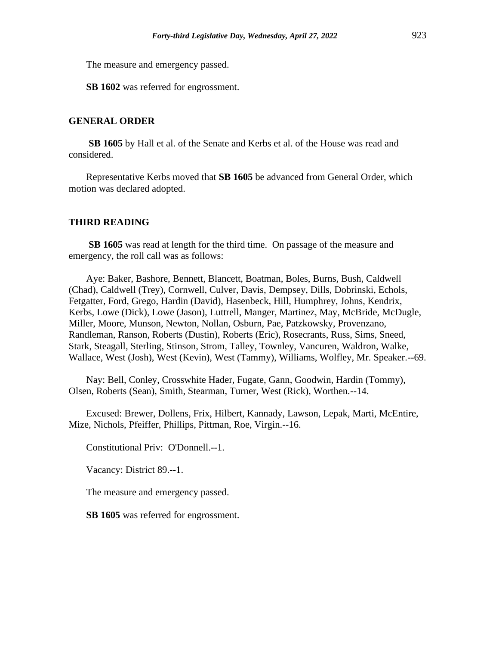The measure and emergency passed.

**SB 1602** was referred for engrossment.

## **GENERAL ORDER**

**SB 1605** by Hall et al. of the Senate and Kerbs et al. of the House was read and considered.

Representative Kerbs moved that **SB 1605** be advanced from General Order, which motion was declared adopted.

#### **THIRD READING**

**SB 1605** was read at length for the third time. On passage of the measure and emergency, the roll call was as follows:

Aye: Baker, Bashore, Bennett, Blancett, Boatman, Boles, Burns, Bush, Caldwell (Chad), Caldwell (Trey), Cornwell, Culver, Davis, Dempsey, Dills, Dobrinski, Echols, Fetgatter, Ford, Grego, Hardin (David), Hasenbeck, Hill, Humphrey, Johns, Kendrix, Kerbs, Lowe (Dick), Lowe (Jason), Luttrell, Manger, Martinez, May, McBride, McDugle, Miller, Moore, Munson, Newton, Nollan, Osburn, Pae, Patzkowsky, Provenzano, Randleman, Ranson, Roberts (Dustin), Roberts (Eric), Rosecrants, Russ, Sims, Sneed, Stark, Steagall, Sterling, Stinson, Strom, Talley, Townley, Vancuren, Waldron, Walke, Wallace, West (Josh), West (Kevin), West (Tammy), Williams, Wolfley, Mr. Speaker.--69.

Nay: Bell, Conley, Crosswhite Hader, Fugate, Gann, Goodwin, Hardin (Tommy), Olsen, Roberts (Sean), Smith, Stearman, Turner, West (Rick), Worthen.--14.

Excused: Brewer, Dollens, Frix, Hilbert, Kannady, Lawson, Lepak, Marti, McEntire, Mize, Nichols, Pfeiffer, Phillips, Pittman, Roe, Virgin.--16.

Constitutional Priv: O'Donnell.--1.

Vacancy: District 89.--1.

The measure and emergency passed.

**SB 1605** was referred for engrossment.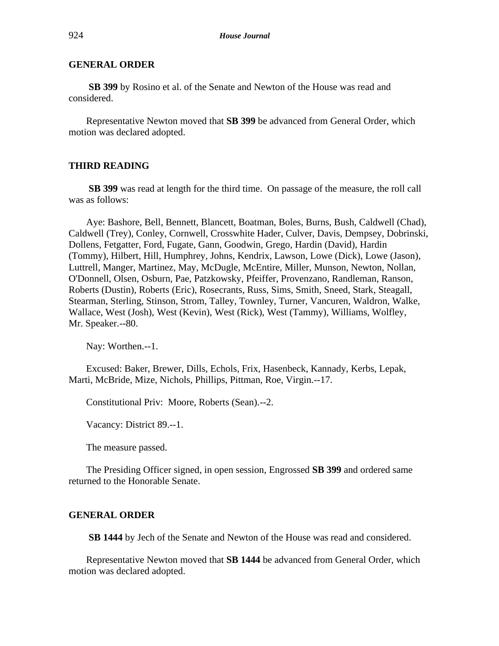**SB 399** by Rosino et al. of the Senate and Newton of the House was read and considered.

Representative Newton moved that **SB 399** be advanced from General Order, which motion was declared adopted.

# **THIRD READING**

**SB 399** was read at length for the third time. On passage of the measure, the roll call was as follows:

Aye: Bashore, Bell, Bennett, Blancett, Boatman, Boles, Burns, Bush, Caldwell (Chad), Caldwell (Trey), Conley, Cornwell, Crosswhite Hader, Culver, Davis, Dempsey, Dobrinski, Dollens, Fetgatter, Ford, Fugate, Gann, Goodwin, Grego, Hardin (David), Hardin (Tommy), Hilbert, Hill, Humphrey, Johns, Kendrix, Lawson, Lowe (Dick), Lowe (Jason), Luttrell, Manger, Martinez, May, McDugle, McEntire, Miller, Munson, Newton, Nollan, O'Donnell, Olsen, Osburn, Pae, Patzkowsky, Pfeiffer, Provenzano, Randleman, Ranson, Roberts (Dustin), Roberts (Eric), Rosecrants, Russ, Sims, Smith, Sneed, Stark, Steagall, Stearman, Sterling, Stinson, Strom, Talley, Townley, Turner, Vancuren, Waldron, Walke, Wallace, West (Josh), West (Kevin), West (Rick), West (Tammy), Williams, Wolfley, Mr. Speaker.--80.

Nay: Worthen.--1.

Excused: Baker, Brewer, Dills, Echols, Frix, Hasenbeck, Kannady, Kerbs, Lepak, Marti, McBride, Mize, Nichols, Phillips, Pittman, Roe, Virgin.--17.

Constitutional Priv: Moore, Roberts (Sean).--2.

Vacancy: District 89.--1.

The measure passed.

The Presiding Officer signed, in open session, Engrossed **SB 399** and ordered same returned to the Honorable Senate.

#### **GENERAL ORDER**

**SB 1444** by Jech of the Senate and Newton of the House was read and considered.

Representative Newton moved that **SB 1444** be advanced from General Order, which motion was declared adopted.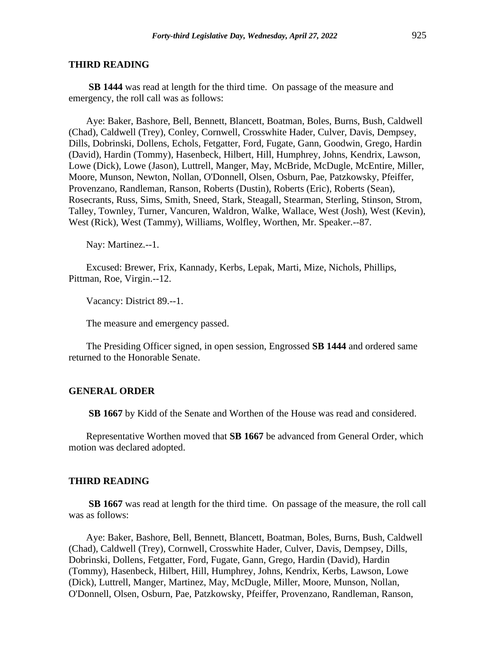#### **THIRD READING**

**SB 1444** was read at length for the third time. On passage of the measure and emergency, the roll call was as follows:

Aye: Baker, Bashore, Bell, Bennett, Blancett, Boatman, Boles, Burns, Bush, Caldwell (Chad), Caldwell (Trey), Conley, Cornwell, Crosswhite Hader, Culver, Davis, Dempsey, Dills, Dobrinski, Dollens, Echols, Fetgatter, Ford, Fugate, Gann, Goodwin, Grego, Hardin (David), Hardin (Tommy), Hasenbeck, Hilbert, Hill, Humphrey, Johns, Kendrix, Lawson, Lowe (Dick), Lowe (Jason), Luttrell, Manger, May, McBride, McDugle, McEntire, Miller, Moore, Munson, Newton, Nollan, O'Donnell, Olsen, Osburn, Pae, Patzkowsky, Pfeiffer, Provenzano, Randleman, Ranson, Roberts (Dustin), Roberts (Eric), Roberts (Sean), Rosecrants, Russ, Sims, Smith, Sneed, Stark, Steagall, Stearman, Sterling, Stinson, Strom, Talley, Townley, Turner, Vancuren, Waldron, Walke, Wallace, West (Josh), West (Kevin), West (Rick), West (Tammy), Williams, Wolfley, Worthen, Mr. Speaker.--87.

Nay: Martinez.--1.

Excused: Brewer, Frix, Kannady, Kerbs, Lepak, Marti, Mize, Nichols, Phillips, Pittman, Roe, Virgin.--12.

Vacancy: District 89.--1.

The measure and emergency passed.

The Presiding Officer signed, in open session, Engrossed **SB 1444** and ordered same returned to the Honorable Senate.

## **GENERAL ORDER**

**SB 1667** by Kidd of the Senate and Worthen of the House was read and considered.

Representative Worthen moved that **SB 1667** be advanced from General Order, which motion was declared adopted.

#### **THIRD READING**

**SB 1667** was read at length for the third time. On passage of the measure, the roll call was as follows:

Aye: Baker, Bashore, Bell, Bennett, Blancett, Boatman, Boles, Burns, Bush, Caldwell (Chad), Caldwell (Trey), Cornwell, Crosswhite Hader, Culver, Davis, Dempsey, Dills, Dobrinski, Dollens, Fetgatter, Ford, Fugate, Gann, Grego, Hardin (David), Hardin (Tommy), Hasenbeck, Hilbert, Hill, Humphrey, Johns, Kendrix, Kerbs, Lawson, Lowe (Dick), Luttrell, Manger, Martinez, May, McDugle, Miller, Moore, Munson, Nollan, O'Donnell, Olsen, Osburn, Pae, Patzkowsky, Pfeiffer, Provenzano, Randleman, Ranson,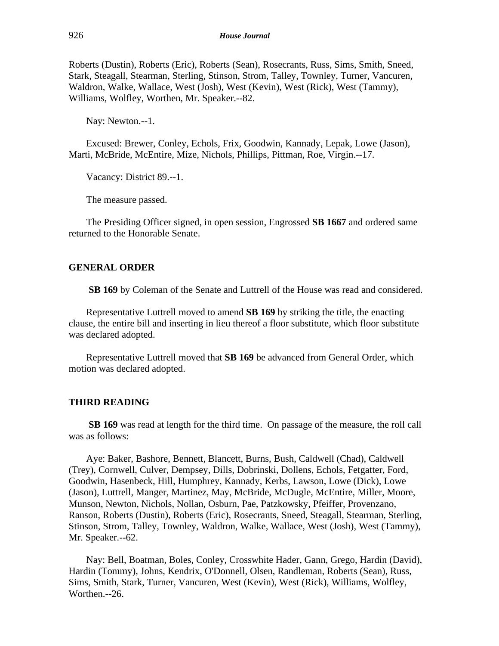Roberts (Dustin), Roberts (Eric), Roberts (Sean), Rosecrants, Russ, Sims, Smith, Sneed, Stark, Steagall, Stearman, Sterling, Stinson, Strom, Talley, Townley, Turner, Vancuren, Waldron, Walke, Wallace, West (Josh), West (Kevin), West (Rick), West (Tammy), Williams, Wolfley, Worthen, Mr. Speaker.--82.

Nay: Newton.--1.

Excused: Brewer, Conley, Echols, Frix, Goodwin, Kannady, Lepak, Lowe (Jason), Marti, McBride, McEntire, Mize, Nichols, Phillips, Pittman, Roe, Virgin.--17.

Vacancy: District 89.--1.

The measure passed.

The Presiding Officer signed, in open session, Engrossed **SB 1667** and ordered same returned to the Honorable Senate.

#### **GENERAL ORDER**

**SB 169** by Coleman of the Senate and Luttrell of the House was read and considered.

Representative Luttrell moved to amend **SB 169** by striking the title, the enacting clause, the entire bill and inserting in lieu thereof a floor substitute, which floor substitute was declared adopted.

Representative Luttrell moved that **SB 169** be advanced from General Order, which motion was declared adopted.

#### **THIRD READING**

**SB 169** was read at length for the third time. On passage of the measure, the roll call was as follows:

Aye: Baker, Bashore, Bennett, Blancett, Burns, Bush, Caldwell (Chad), Caldwell (Trey), Cornwell, Culver, Dempsey, Dills, Dobrinski, Dollens, Echols, Fetgatter, Ford, Goodwin, Hasenbeck, Hill, Humphrey, Kannady, Kerbs, Lawson, Lowe (Dick), Lowe (Jason), Luttrell, Manger, Martinez, May, McBride, McDugle, McEntire, Miller, Moore, Munson, Newton, Nichols, Nollan, Osburn, Pae, Patzkowsky, Pfeiffer, Provenzano, Ranson, Roberts (Dustin), Roberts (Eric), Rosecrants, Sneed, Steagall, Stearman, Sterling, Stinson, Strom, Talley, Townley, Waldron, Walke, Wallace, West (Josh), West (Tammy), Mr. Speaker.--62.

Nay: Bell, Boatman, Boles, Conley, Crosswhite Hader, Gann, Grego, Hardin (David), Hardin (Tommy), Johns, Kendrix, O'Donnell, Olsen, Randleman, Roberts (Sean), Russ, Sims, Smith, Stark, Turner, Vancuren, West (Kevin), West (Rick), Williams, Wolfley, Worthen.--26.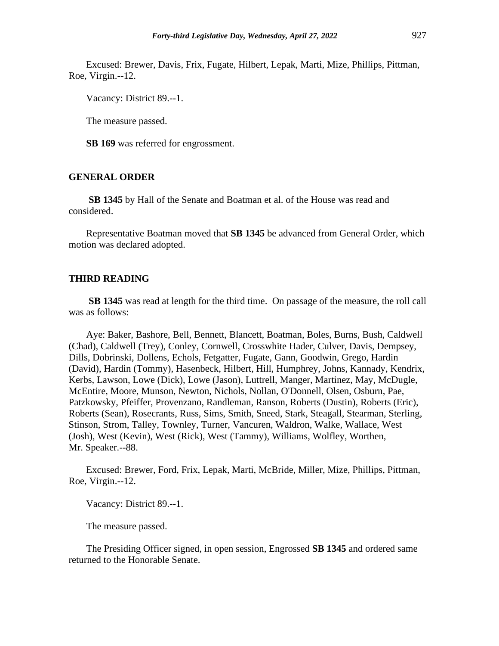Excused: Brewer, Davis, Frix, Fugate, Hilbert, Lepak, Marti, Mize, Phillips, Pittman, Roe, Virgin.--12.

Vacancy: District 89.--1.

The measure passed.

**SB 169** was referred for engrossment.

## **GENERAL ORDER**

**SB 1345** by Hall of the Senate and Boatman et al. of the House was read and considered.

Representative Boatman moved that **SB 1345** be advanced from General Order, which motion was declared adopted.

#### **THIRD READING**

**SB 1345** was read at length for the third time. On passage of the measure, the roll call was as follows:

Aye: Baker, Bashore, Bell, Bennett, Blancett, Boatman, Boles, Burns, Bush, Caldwell (Chad), Caldwell (Trey), Conley, Cornwell, Crosswhite Hader, Culver, Davis, Dempsey, Dills, Dobrinski, Dollens, Echols, Fetgatter, Fugate, Gann, Goodwin, Grego, Hardin (David), Hardin (Tommy), Hasenbeck, Hilbert, Hill, Humphrey, Johns, Kannady, Kendrix, Kerbs, Lawson, Lowe (Dick), Lowe (Jason), Luttrell, Manger, Martinez, May, McDugle, McEntire, Moore, Munson, Newton, Nichols, Nollan, O'Donnell, Olsen, Osburn, Pae, Patzkowsky, Pfeiffer, Provenzano, Randleman, Ranson, Roberts (Dustin), Roberts (Eric), Roberts (Sean), Rosecrants, Russ, Sims, Smith, Sneed, Stark, Steagall, Stearman, Sterling, Stinson, Strom, Talley, Townley, Turner, Vancuren, Waldron, Walke, Wallace, West (Josh), West (Kevin), West (Rick), West (Tammy), Williams, Wolfley, Worthen, Mr. Speaker.--88.

Excused: Brewer, Ford, Frix, Lepak, Marti, McBride, Miller, Mize, Phillips, Pittman, Roe, Virgin.--12.

Vacancy: District 89.--1.

The measure passed.

The Presiding Officer signed, in open session, Engrossed **SB 1345** and ordered same returned to the Honorable Senate.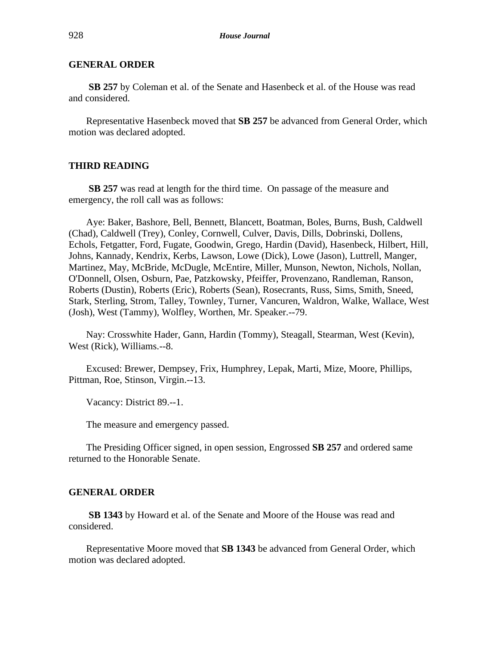**SB 257** by Coleman et al. of the Senate and Hasenbeck et al. of the House was read and considered.

Representative Hasenbeck moved that **SB 257** be advanced from General Order, which motion was declared adopted.

#### **THIRD READING**

**SB 257** was read at length for the third time. On passage of the measure and emergency, the roll call was as follows:

Aye: Baker, Bashore, Bell, Bennett, Blancett, Boatman, Boles, Burns, Bush, Caldwell (Chad), Caldwell (Trey), Conley, Cornwell, Culver, Davis, Dills, Dobrinski, Dollens, Echols, Fetgatter, Ford, Fugate, Goodwin, Grego, Hardin (David), Hasenbeck, Hilbert, Hill, Johns, Kannady, Kendrix, Kerbs, Lawson, Lowe (Dick), Lowe (Jason), Luttrell, Manger, Martinez, May, McBride, McDugle, McEntire, Miller, Munson, Newton, Nichols, Nollan, O'Donnell, Olsen, Osburn, Pae, Patzkowsky, Pfeiffer, Provenzano, Randleman, Ranson, Roberts (Dustin), Roberts (Eric), Roberts (Sean), Rosecrants, Russ, Sims, Smith, Sneed, Stark, Sterling, Strom, Talley, Townley, Turner, Vancuren, Waldron, Walke, Wallace, West (Josh), West (Tammy), Wolfley, Worthen, Mr. Speaker.--79.

Nay: Crosswhite Hader, Gann, Hardin (Tommy), Steagall, Stearman, West (Kevin), West (Rick), Williams.--8.

Excused: Brewer, Dempsey, Frix, Humphrey, Lepak, Marti, Mize, Moore, Phillips, Pittman, Roe, Stinson, Virgin.--13.

Vacancy: District 89.--1.

The measure and emergency passed.

The Presiding Officer signed, in open session, Engrossed **SB 257** and ordered same returned to the Honorable Senate.

#### **GENERAL ORDER**

**SB 1343** by Howard et al. of the Senate and Moore of the House was read and considered.

Representative Moore moved that **SB 1343** be advanced from General Order, which motion was declared adopted.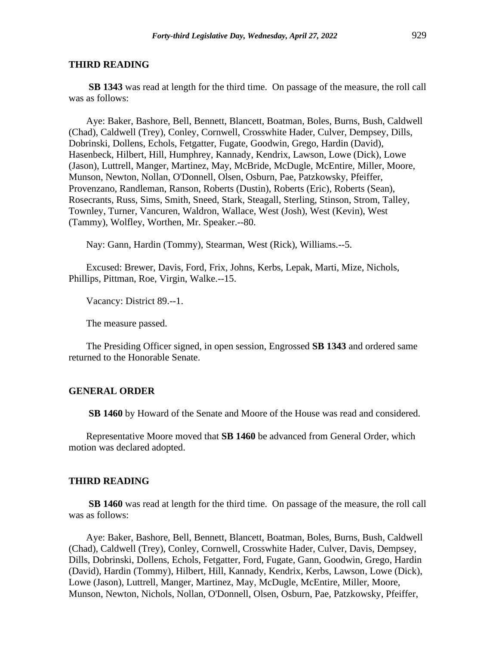#### **THIRD READING**

**SB 1343** was read at length for the third time. On passage of the measure, the roll call was as follows:

Aye: Baker, Bashore, Bell, Bennett, Blancett, Boatman, Boles, Burns, Bush, Caldwell (Chad), Caldwell (Trey), Conley, Cornwell, Crosswhite Hader, Culver, Dempsey, Dills, Dobrinski, Dollens, Echols, Fetgatter, Fugate, Goodwin, Grego, Hardin (David), Hasenbeck, Hilbert, Hill, Humphrey, Kannady, Kendrix, Lawson, Lowe (Dick), Lowe (Jason), Luttrell, Manger, Martinez, May, McBride, McDugle, McEntire, Miller, Moore, Munson, Newton, Nollan, O'Donnell, Olsen, Osburn, Pae, Patzkowsky, Pfeiffer, Provenzano, Randleman, Ranson, Roberts (Dustin), Roberts (Eric), Roberts (Sean), Rosecrants, Russ, Sims, Smith, Sneed, Stark, Steagall, Sterling, Stinson, Strom, Talley, Townley, Turner, Vancuren, Waldron, Wallace, West (Josh), West (Kevin), West (Tammy), Wolfley, Worthen, Mr. Speaker.--80.

Nay: Gann, Hardin (Tommy), Stearman, West (Rick), Williams.--5.

Excused: Brewer, Davis, Ford, Frix, Johns, Kerbs, Lepak, Marti, Mize, Nichols, Phillips, Pittman, Roe, Virgin, Walke.--15.

Vacancy: District 89.--1.

The measure passed.

The Presiding Officer signed, in open session, Engrossed **SB 1343** and ordered same returned to the Honorable Senate.

## **GENERAL ORDER**

**SB 1460** by Howard of the Senate and Moore of the House was read and considered.

Representative Moore moved that **SB 1460** be advanced from General Order, which motion was declared adopted.

#### **THIRD READING**

**SB 1460** was read at length for the third time. On passage of the measure, the roll call was as follows:

Aye: Baker, Bashore, Bell, Bennett, Blancett, Boatman, Boles, Burns, Bush, Caldwell (Chad), Caldwell (Trey), Conley, Cornwell, Crosswhite Hader, Culver, Davis, Dempsey, Dills, Dobrinski, Dollens, Echols, Fetgatter, Ford, Fugate, Gann, Goodwin, Grego, Hardin (David), Hardin (Tommy), Hilbert, Hill, Kannady, Kendrix, Kerbs, Lawson, Lowe (Dick), Lowe (Jason), Luttrell, Manger, Martinez, May, McDugle, McEntire, Miller, Moore, Munson, Newton, Nichols, Nollan, O'Donnell, Olsen, Osburn, Pae, Patzkowsky, Pfeiffer,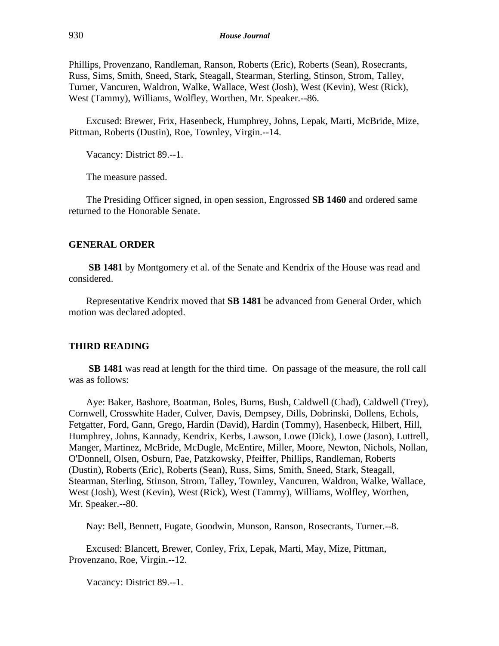Phillips, Provenzano, Randleman, Ranson, Roberts (Eric), Roberts (Sean), Rosecrants, Russ, Sims, Smith, Sneed, Stark, Steagall, Stearman, Sterling, Stinson, Strom, Talley, Turner, Vancuren, Waldron, Walke, Wallace, West (Josh), West (Kevin), West (Rick), West (Tammy), Williams, Wolfley, Worthen, Mr. Speaker.--86.

Excused: Brewer, Frix, Hasenbeck, Humphrey, Johns, Lepak, Marti, McBride, Mize, Pittman, Roberts (Dustin), Roe, Townley, Virgin.--14.

Vacancy: District 89.--1.

The measure passed.

The Presiding Officer signed, in open session, Engrossed **SB 1460** and ordered same returned to the Honorable Senate.

## **GENERAL ORDER**

**SB 1481** by Montgomery et al. of the Senate and Kendrix of the House was read and considered.

Representative Kendrix moved that **SB 1481** be advanced from General Order, which motion was declared adopted.

## **THIRD READING**

**SB 1481** was read at length for the third time. On passage of the measure, the roll call was as follows:

Aye: Baker, Bashore, Boatman, Boles, Burns, Bush, Caldwell (Chad), Caldwell (Trey), Cornwell, Crosswhite Hader, Culver, Davis, Dempsey, Dills, Dobrinski, Dollens, Echols, Fetgatter, Ford, Gann, Grego, Hardin (David), Hardin (Tommy), Hasenbeck, Hilbert, Hill, Humphrey, Johns, Kannady, Kendrix, Kerbs, Lawson, Lowe (Dick), Lowe (Jason), Luttrell, Manger, Martinez, McBride, McDugle, McEntire, Miller, Moore, Newton, Nichols, Nollan, O'Donnell, Olsen, Osburn, Pae, Patzkowsky, Pfeiffer, Phillips, Randleman, Roberts (Dustin), Roberts (Eric), Roberts (Sean), Russ, Sims, Smith, Sneed, Stark, Steagall, Stearman, Sterling, Stinson, Strom, Talley, Townley, Vancuren, Waldron, Walke, Wallace, West (Josh), West (Kevin), West (Rick), West (Tammy), Williams, Wolfley, Worthen, Mr. Speaker.--80.

Nay: Bell, Bennett, Fugate, Goodwin, Munson, Ranson, Rosecrants, Turner.--8.

Excused: Blancett, Brewer, Conley, Frix, Lepak, Marti, May, Mize, Pittman, Provenzano, Roe, Virgin.--12.

Vacancy: District 89.--1.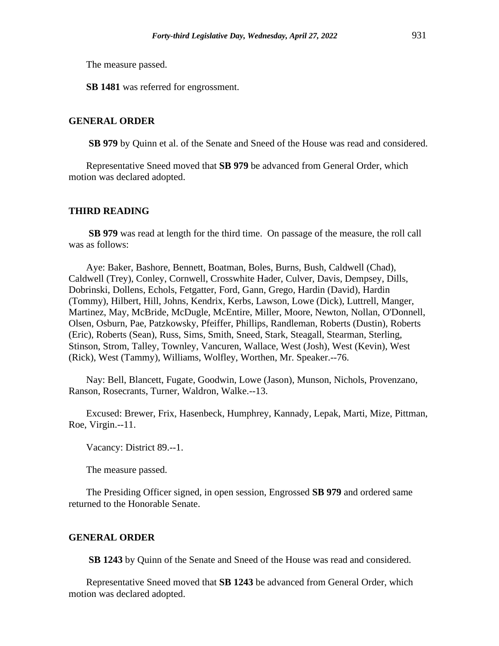The measure passed.

**SB 1481** was referred for engrossment.

## **GENERAL ORDER**

**SB 979** by Quinn et al. of the Senate and Sneed of the House was read and considered.

Representative Sneed moved that **SB 979** be advanced from General Order, which motion was declared adopted.

## **THIRD READING**

**SB 979** was read at length for the third time. On passage of the measure, the roll call was as follows:

Aye: Baker, Bashore, Bennett, Boatman, Boles, Burns, Bush, Caldwell (Chad), Caldwell (Trey), Conley, Cornwell, Crosswhite Hader, Culver, Davis, Dempsey, Dills, Dobrinski, Dollens, Echols, Fetgatter, Ford, Gann, Grego, Hardin (David), Hardin (Tommy), Hilbert, Hill, Johns, Kendrix, Kerbs, Lawson, Lowe (Dick), Luttrell, Manger, Martinez, May, McBride, McDugle, McEntire, Miller, Moore, Newton, Nollan, O'Donnell, Olsen, Osburn, Pae, Patzkowsky, Pfeiffer, Phillips, Randleman, Roberts (Dustin), Roberts (Eric), Roberts (Sean), Russ, Sims, Smith, Sneed, Stark, Steagall, Stearman, Sterling, Stinson, Strom, Talley, Townley, Vancuren, Wallace, West (Josh), West (Kevin), West (Rick), West (Tammy), Williams, Wolfley, Worthen, Mr. Speaker.--76.

Nay: Bell, Blancett, Fugate, Goodwin, Lowe (Jason), Munson, Nichols, Provenzano, Ranson, Rosecrants, Turner, Waldron, Walke.--13.

Excused: Brewer, Frix, Hasenbeck, Humphrey, Kannady, Lepak, Marti, Mize, Pittman, Roe, Virgin.--11.

Vacancy: District 89.--1.

The measure passed.

The Presiding Officer signed, in open session, Engrossed **SB 979** and ordered same returned to the Honorable Senate.

## **GENERAL ORDER**

**SB 1243** by Quinn of the Senate and Sneed of the House was read and considered.

Representative Sneed moved that **SB 1243** be advanced from General Order, which motion was declared adopted.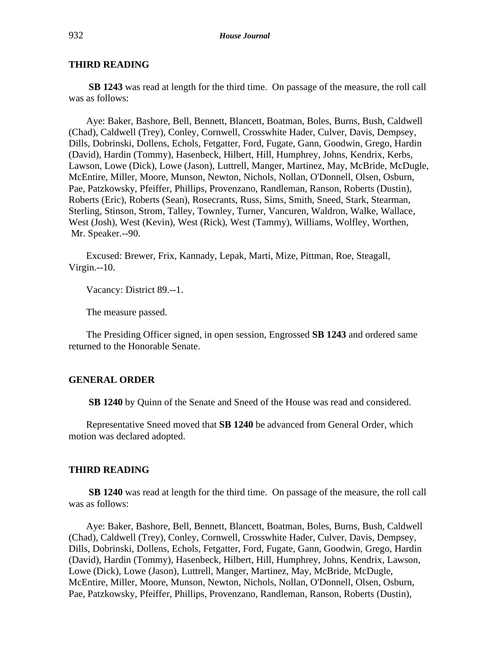#### **THIRD READING**

**SB 1243** was read at length for the third time. On passage of the measure, the roll call was as follows:

Aye: Baker, Bashore, Bell, Bennett, Blancett, Boatman, Boles, Burns, Bush, Caldwell (Chad), Caldwell (Trey), Conley, Cornwell, Crosswhite Hader, Culver, Davis, Dempsey, Dills, Dobrinski, Dollens, Echols, Fetgatter, Ford, Fugate, Gann, Goodwin, Grego, Hardin (David), Hardin (Tommy), Hasenbeck, Hilbert, Hill, Humphrey, Johns, Kendrix, Kerbs, Lawson, Lowe (Dick), Lowe (Jason), Luttrell, Manger, Martinez, May, McBride, McDugle, McEntire, Miller, Moore, Munson, Newton, Nichols, Nollan, O'Donnell, Olsen, Osburn, Pae, Patzkowsky, Pfeiffer, Phillips, Provenzano, Randleman, Ranson, Roberts (Dustin), Roberts (Eric), Roberts (Sean), Rosecrants, Russ, Sims, Smith, Sneed, Stark, Stearman, Sterling, Stinson, Strom, Talley, Townley, Turner, Vancuren, Waldron, Walke, Wallace, West (Josh), West (Kevin), West (Rick), West (Tammy), Williams, Wolfley, Worthen, Mr. Speaker.--90.

Excused: Brewer, Frix, Kannady, Lepak, Marti, Mize, Pittman, Roe, Steagall, Virgin.--10.

Vacancy: District 89.--1.

The measure passed.

The Presiding Officer signed, in open session, Engrossed **SB 1243** and ordered same returned to the Honorable Senate.

# **GENERAL ORDER**

**SB 1240** by Quinn of the Senate and Sneed of the House was read and considered.

Representative Sneed moved that **SB 1240** be advanced from General Order, which motion was declared adopted.

#### **THIRD READING**

**SB 1240** was read at length for the third time. On passage of the measure, the roll call was as follows:

Aye: Baker, Bashore, Bell, Bennett, Blancett, Boatman, Boles, Burns, Bush, Caldwell (Chad), Caldwell (Trey), Conley, Cornwell, Crosswhite Hader, Culver, Davis, Dempsey, Dills, Dobrinski, Dollens, Echols, Fetgatter, Ford, Fugate, Gann, Goodwin, Grego, Hardin (David), Hardin (Tommy), Hasenbeck, Hilbert, Hill, Humphrey, Johns, Kendrix, Lawson, Lowe (Dick), Lowe (Jason), Luttrell, Manger, Martinez, May, McBride, McDugle, McEntire, Miller, Moore, Munson, Newton, Nichols, Nollan, O'Donnell, Olsen, Osburn, Pae, Patzkowsky, Pfeiffer, Phillips, Provenzano, Randleman, Ranson, Roberts (Dustin),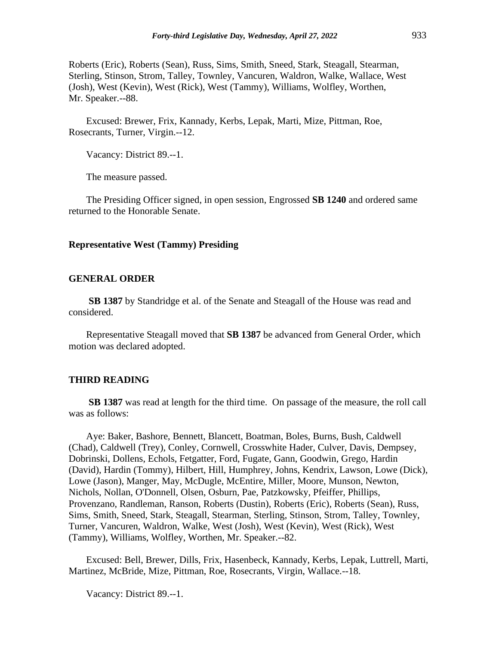Roberts (Eric), Roberts (Sean), Russ, Sims, Smith, Sneed, Stark, Steagall, Stearman, Sterling, Stinson, Strom, Talley, Townley, Vancuren, Waldron, Walke, Wallace, West (Josh), West (Kevin), West (Rick), West (Tammy), Williams, Wolfley, Worthen, Mr. Speaker.--88.

Excused: Brewer, Frix, Kannady, Kerbs, Lepak, Marti, Mize, Pittman, Roe, Rosecrants, Turner, Virgin.--12.

Vacancy: District 89.--1.

The measure passed.

The Presiding Officer signed, in open session, Engrossed **SB 1240** and ordered same returned to the Honorable Senate.

#### **Representative West (Tammy) Presiding**

#### **GENERAL ORDER**

**SB 1387** by Standridge et al. of the Senate and Steagall of the House was read and considered.

Representative Steagall moved that **SB 1387** be advanced from General Order, which motion was declared adopted.

#### **THIRD READING**

**SB 1387** was read at length for the third time. On passage of the measure, the roll call was as follows:

Aye: Baker, Bashore, Bennett, Blancett, Boatman, Boles, Burns, Bush, Caldwell (Chad), Caldwell (Trey), Conley, Cornwell, Crosswhite Hader, Culver, Davis, Dempsey, Dobrinski, Dollens, Echols, Fetgatter, Ford, Fugate, Gann, Goodwin, Grego, Hardin (David), Hardin (Tommy), Hilbert, Hill, Humphrey, Johns, Kendrix, Lawson, Lowe (Dick), Lowe (Jason), Manger, May, McDugle, McEntire, Miller, Moore, Munson, Newton, Nichols, Nollan, O'Donnell, Olsen, Osburn, Pae, Patzkowsky, Pfeiffer, Phillips, Provenzano, Randleman, Ranson, Roberts (Dustin), Roberts (Eric), Roberts (Sean), Russ, Sims, Smith, Sneed, Stark, Steagall, Stearman, Sterling, Stinson, Strom, Talley, Townley, Turner, Vancuren, Waldron, Walke, West (Josh), West (Kevin), West (Rick), West (Tammy), Williams, Wolfley, Worthen, Mr. Speaker.--82.

Excused: Bell, Brewer, Dills, Frix, Hasenbeck, Kannady, Kerbs, Lepak, Luttrell, Marti, Martinez, McBride, Mize, Pittman, Roe, Rosecrants, Virgin, Wallace.--18.

Vacancy: District 89.--1.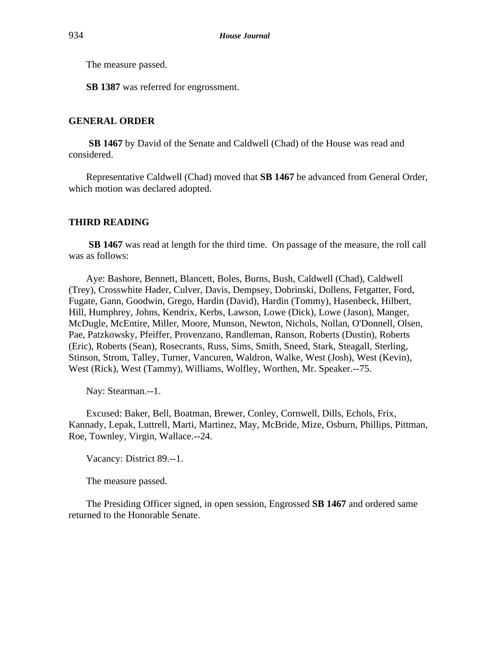The measure passed.

**SB 1387** was referred for engrossment.

## **GENERAL ORDER**

**SB 1467** by David of the Senate and Caldwell (Chad) of the House was read and considered.

Representative Caldwell (Chad) moved that **SB 1467** be advanced from General Order, which motion was declared adopted.

## **THIRD READING**

**SB 1467** was read at length for the third time. On passage of the measure, the roll call was as follows:

Aye: Bashore, Bennett, Blancett, Boles, Burns, Bush, Caldwell (Chad), Caldwell (Trey), Crosswhite Hader, Culver, Davis, Dempsey, Dobrinski, Dollens, Fetgatter, Ford, Fugate, Gann, Goodwin, Grego, Hardin (David), Hardin (Tommy), Hasenbeck, Hilbert, Hill, Humphrey, Johns, Kendrix, Kerbs, Lawson, Lowe (Dick), Lowe (Jason), Manger, McDugle, McEntire, Miller, Moore, Munson, Newton, Nichols, Nollan, O'Donnell, Olsen, Pae, Patzkowsky, Pfeiffer, Provenzano, Randleman, Ranson, Roberts (Dustin), Roberts (Eric), Roberts (Sean), Rosecrants, Russ, Sims, Smith, Sneed, Stark, Steagall, Sterling, Stinson, Strom, Talley, Turner, Vancuren, Waldron, Walke, West (Josh), West (Kevin), West (Rick), West (Tammy), Williams, Wolfley, Worthen, Mr. Speaker.--75.

Nay: Stearman.--1.

Excused: Baker, Bell, Boatman, Brewer, Conley, Cornwell, Dills, Echols, Frix, Kannady, Lepak, Luttrell, Marti, Martinez, May, McBride, Mize, Osburn, Phillips, Pittman, Roe, Townley, Virgin, Wallace.--24.

Vacancy: District 89.--1.

The measure passed.

The Presiding Officer signed, in open session, Engrossed **SB 1467** and ordered same returned to the Honorable Senate.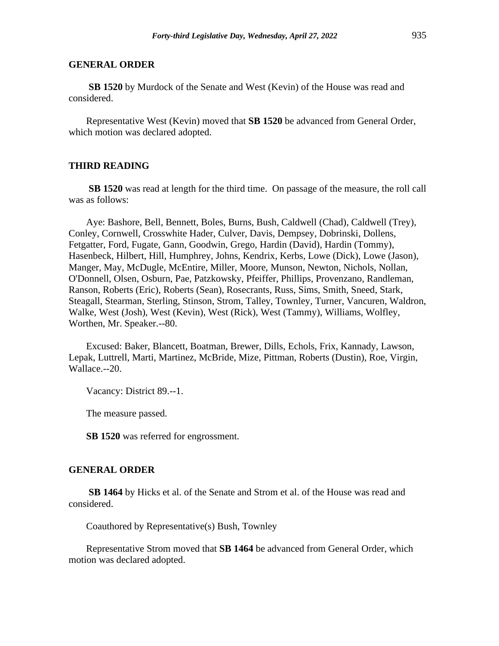**SB 1520** by Murdock of the Senate and West (Kevin) of the House was read and considered.

Representative West (Kevin) moved that **SB 1520** be advanced from General Order, which motion was declared adopted.

## **THIRD READING**

**SB 1520** was read at length for the third time. On passage of the measure, the roll call was as follows:

Aye: Bashore, Bell, Bennett, Boles, Burns, Bush, Caldwell (Chad), Caldwell (Trey), Conley, Cornwell, Crosswhite Hader, Culver, Davis, Dempsey, Dobrinski, Dollens, Fetgatter, Ford, Fugate, Gann, Goodwin, Grego, Hardin (David), Hardin (Tommy), Hasenbeck, Hilbert, Hill, Humphrey, Johns, Kendrix, Kerbs, Lowe (Dick), Lowe (Jason), Manger, May, McDugle, McEntire, Miller, Moore, Munson, Newton, Nichols, Nollan, O'Donnell, Olsen, Osburn, Pae, Patzkowsky, Pfeiffer, Phillips, Provenzano, Randleman, Ranson, Roberts (Eric), Roberts (Sean), Rosecrants, Russ, Sims, Smith, Sneed, Stark, Steagall, Stearman, Sterling, Stinson, Strom, Talley, Townley, Turner, Vancuren, Waldron, Walke, West (Josh), West (Kevin), West (Rick), West (Tammy), Williams, Wolfley, Worthen, Mr. Speaker.--80.

Excused: Baker, Blancett, Boatman, Brewer, Dills, Echols, Frix, Kannady, Lawson, Lepak, Luttrell, Marti, Martinez, McBride, Mize, Pittman, Roberts (Dustin), Roe, Virgin, Wallace.--20.

Vacancy: District 89.--1.

The measure passed.

**SB 1520** was referred for engrossment.

#### **GENERAL ORDER**

**SB 1464** by Hicks et al. of the Senate and Strom et al. of the House was read and considered.

Coauthored by Representative(s) Bush, Townley

Representative Strom moved that **SB 1464** be advanced from General Order, which motion was declared adopted.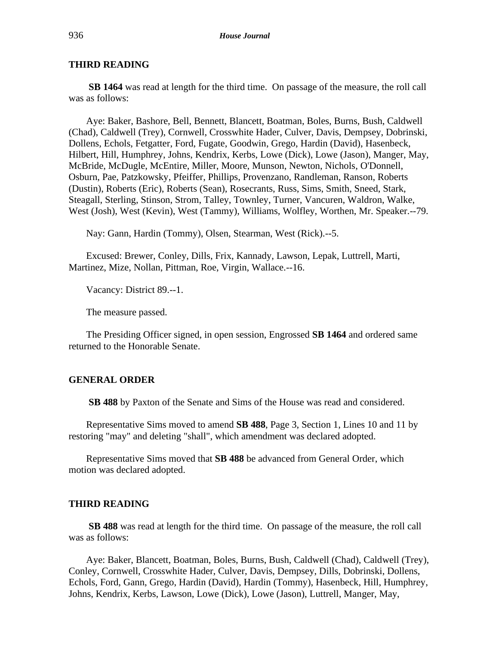# **THIRD READING**

**SB 1464** was read at length for the third time. On passage of the measure, the roll call was as follows:

Aye: Baker, Bashore, Bell, Bennett, Blancett, Boatman, Boles, Burns, Bush, Caldwell (Chad), Caldwell (Trey), Cornwell, Crosswhite Hader, Culver, Davis, Dempsey, Dobrinski, Dollens, Echols, Fetgatter, Ford, Fugate, Goodwin, Grego, Hardin (David), Hasenbeck, Hilbert, Hill, Humphrey, Johns, Kendrix, Kerbs, Lowe (Dick), Lowe (Jason), Manger, May, McBride, McDugle, McEntire, Miller, Moore, Munson, Newton, Nichols, O'Donnell, Osburn, Pae, Patzkowsky, Pfeiffer, Phillips, Provenzano, Randleman, Ranson, Roberts (Dustin), Roberts (Eric), Roberts (Sean), Rosecrants, Russ, Sims, Smith, Sneed, Stark, Steagall, Sterling, Stinson, Strom, Talley, Townley, Turner, Vancuren, Waldron, Walke, West (Josh), West (Kevin), West (Tammy), Williams, Wolfley, Worthen, Mr. Speaker.--79.

Nay: Gann, Hardin (Tommy), Olsen, Stearman, West (Rick).--5.

Excused: Brewer, Conley, Dills, Frix, Kannady, Lawson, Lepak, Luttrell, Marti, Martinez, Mize, Nollan, Pittman, Roe, Virgin, Wallace.--16.

Vacancy: District 89.--1.

The measure passed.

The Presiding Officer signed, in open session, Engrossed **SB 1464** and ordered same returned to the Honorable Senate.

## **GENERAL ORDER**

**SB 488** by Paxton of the Senate and Sims of the House was read and considered.

Representative Sims moved to amend **SB 488**, Page 3, Section 1, Lines 10 and 11 by restoring "may" and deleting "shall", which amendment was declared adopted.

Representative Sims moved that **SB 488** be advanced from General Order, which motion was declared adopted.

## **THIRD READING**

**SB 488** was read at length for the third time. On passage of the measure, the roll call was as follows:

Aye: Baker, Blancett, Boatman, Boles, Burns, Bush, Caldwell (Chad), Caldwell (Trey), Conley, Cornwell, Crosswhite Hader, Culver, Davis, Dempsey, Dills, Dobrinski, Dollens, Echols, Ford, Gann, Grego, Hardin (David), Hardin (Tommy), Hasenbeck, Hill, Humphrey, Johns, Kendrix, Kerbs, Lawson, Lowe (Dick), Lowe (Jason), Luttrell, Manger, May,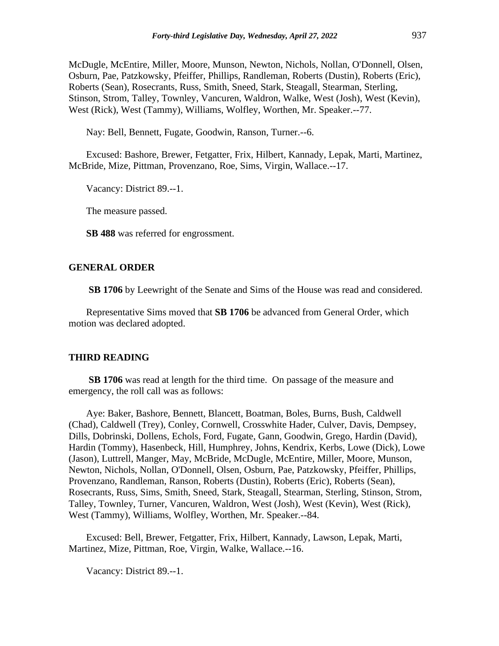McDugle, McEntire, Miller, Moore, Munson, Newton, Nichols, Nollan, O'Donnell, Olsen, Osburn, Pae, Patzkowsky, Pfeiffer, Phillips, Randleman, Roberts (Dustin), Roberts (Eric), Roberts (Sean), Rosecrants, Russ, Smith, Sneed, Stark, Steagall, Stearman, Sterling, Stinson, Strom, Talley, Townley, Vancuren, Waldron, Walke, West (Josh), West (Kevin), West (Rick), West (Tammy), Williams, Wolfley, Worthen, Mr. Speaker.--77.

Nay: Bell, Bennett, Fugate, Goodwin, Ranson, Turner.--6.

Excused: Bashore, Brewer, Fetgatter, Frix, Hilbert, Kannady, Lepak, Marti, Martinez, McBride, Mize, Pittman, Provenzano, Roe, Sims, Virgin, Wallace.--17.

Vacancy: District 89.--1.

The measure passed.

**SB 488** was referred for engrossment.

#### **GENERAL ORDER**

**SB 1706** by Leewright of the Senate and Sims of the House was read and considered.

Representative Sims moved that **SB 1706** be advanced from General Order, which motion was declared adopted.

#### **THIRD READING**

**SB 1706** was read at length for the third time. On passage of the measure and emergency, the roll call was as follows:

Aye: Baker, Bashore, Bennett, Blancett, Boatman, Boles, Burns, Bush, Caldwell (Chad), Caldwell (Trey), Conley, Cornwell, Crosswhite Hader, Culver, Davis, Dempsey, Dills, Dobrinski, Dollens, Echols, Ford, Fugate, Gann, Goodwin, Grego, Hardin (David), Hardin (Tommy), Hasenbeck, Hill, Humphrey, Johns, Kendrix, Kerbs, Lowe (Dick), Lowe (Jason), Luttrell, Manger, May, McBride, McDugle, McEntire, Miller, Moore, Munson, Newton, Nichols, Nollan, O'Donnell, Olsen, Osburn, Pae, Patzkowsky, Pfeiffer, Phillips, Provenzano, Randleman, Ranson, Roberts (Dustin), Roberts (Eric), Roberts (Sean), Rosecrants, Russ, Sims, Smith, Sneed, Stark, Steagall, Stearman, Sterling, Stinson, Strom, Talley, Townley, Turner, Vancuren, Waldron, West (Josh), West (Kevin), West (Rick), West (Tammy), Williams, Wolfley, Worthen, Mr. Speaker.--84.

Excused: Bell, Brewer, Fetgatter, Frix, Hilbert, Kannady, Lawson, Lepak, Marti, Martinez, Mize, Pittman, Roe, Virgin, Walke, Wallace.--16.

Vacancy: District 89.--1.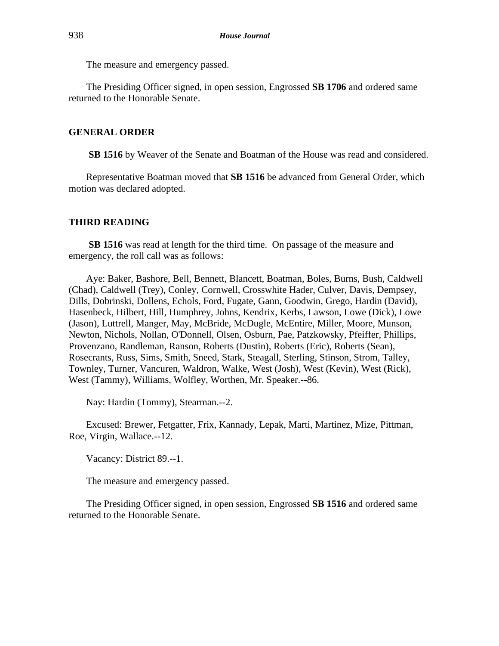The measure and emergency passed.

The Presiding Officer signed, in open session, Engrossed **SB 1706** and ordered same returned to the Honorable Senate.

# **GENERAL ORDER**

**SB 1516** by Weaver of the Senate and Boatman of the House was read and considered.

Representative Boatman moved that **SB 1516** be advanced from General Order, which motion was declared adopted.

#### **THIRD READING**

**SB 1516** was read at length for the third time. On passage of the measure and emergency, the roll call was as follows:

Aye: Baker, Bashore, Bell, Bennett, Blancett, Boatman, Boles, Burns, Bush, Caldwell (Chad), Caldwell (Trey), Conley, Cornwell, Crosswhite Hader, Culver, Davis, Dempsey, Dills, Dobrinski, Dollens, Echols, Ford, Fugate, Gann, Goodwin, Grego, Hardin (David), Hasenbeck, Hilbert, Hill, Humphrey, Johns, Kendrix, Kerbs, Lawson, Lowe (Dick), Lowe (Jason), Luttrell, Manger, May, McBride, McDugle, McEntire, Miller, Moore, Munson, Newton, Nichols, Nollan, O'Donnell, Olsen, Osburn, Pae, Patzkowsky, Pfeiffer, Phillips, Provenzano, Randleman, Ranson, Roberts (Dustin), Roberts (Eric), Roberts (Sean), Rosecrants, Russ, Sims, Smith, Sneed, Stark, Steagall, Sterling, Stinson, Strom, Talley, Townley, Turner, Vancuren, Waldron, Walke, West (Josh), West (Kevin), West (Rick), West (Tammy), Williams, Wolfley, Worthen, Mr. Speaker.--86.

Nay: Hardin (Tommy), Stearman.--2.

Excused: Brewer, Fetgatter, Frix, Kannady, Lepak, Marti, Martinez, Mize, Pittman, Roe, Virgin, Wallace.--12.

Vacancy: District 89.--1.

The measure and emergency passed.

The Presiding Officer signed, in open session, Engrossed **SB 1516** and ordered same returned to the Honorable Senate.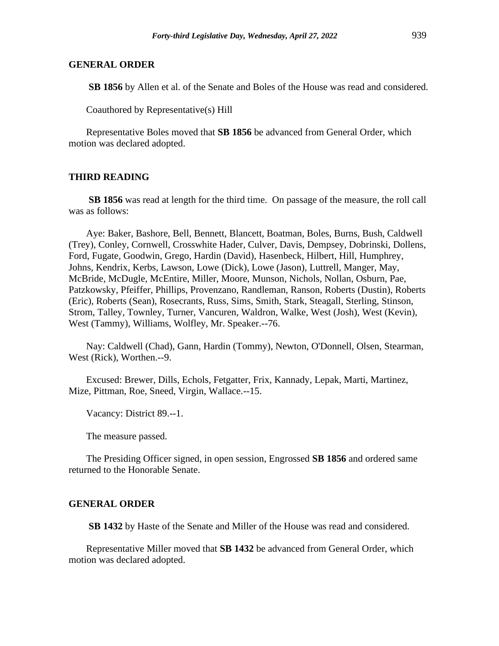**SB 1856** by Allen et al. of the Senate and Boles of the House was read and considered.

Coauthored by Representative(s) Hill

Representative Boles moved that **SB 1856** be advanced from General Order, which motion was declared adopted.

# **THIRD READING**

**SB 1856** was read at length for the third time. On passage of the measure, the roll call was as follows:

Aye: Baker, Bashore, Bell, Bennett, Blancett, Boatman, Boles, Burns, Bush, Caldwell (Trey), Conley, Cornwell, Crosswhite Hader, Culver, Davis, Dempsey, Dobrinski, Dollens, Ford, Fugate, Goodwin, Grego, Hardin (David), Hasenbeck, Hilbert, Hill, Humphrey, Johns, Kendrix, Kerbs, Lawson, Lowe (Dick), Lowe (Jason), Luttrell, Manger, May, McBride, McDugle, McEntire, Miller, Moore, Munson, Nichols, Nollan, Osburn, Pae, Patzkowsky, Pfeiffer, Phillips, Provenzano, Randleman, Ranson, Roberts (Dustin), Roberts (Eric), Roberts (Sean), Rosecrants, Russ, Sims, Smith, Stark, Steagall, Sterling, Stinson, Strom, Talley, Townley, Turner, Vancuren, Waldron, Walke, West (Josh), West (Kevin), West (Tammy), Williams, Wolfley, Mr. Speaker.--76.

Nay: Caldwell (Chad), Gann, Hardin (Tommy), Newton, O'Donnell, Olsen, Stearman, West (Rick), Worthen.--9.

Excused: Brewer, Dills, Echols, Fetgatter, Frix, Kannady, Lepak, Marti, Martinez, Mize, Pittman, Roe, Sneed, Virgin, Wallace.--15.

Vacancy: District 89.--1.

The measure passed.

The Presiding Officer signed, in open session, Engrossed **SB 1856** and ordered same returned to the Honorable Senate.

## **GENERAL ORDER**

**SB 1432** by Haste of the Senate and Miller of the House was read and considered.

Representative Miller moved that **SB 1432** be advanced from General Order, which motion was declared adopted.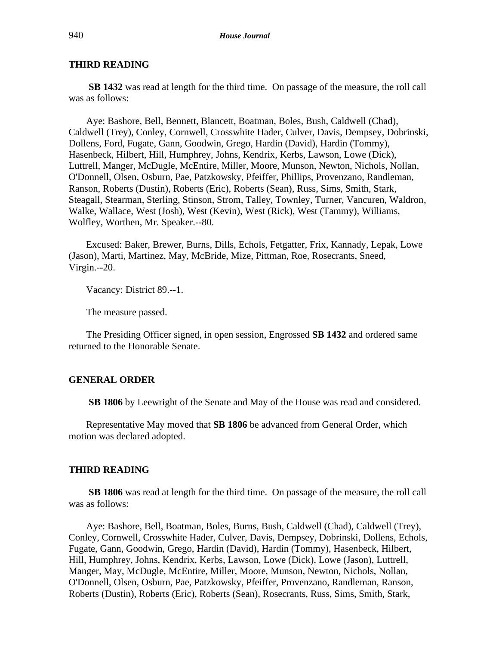# **THIRD READING**

**SB 1432** was read at length for the third time. On passage of the measure, the roll call was as follows:

Aye: Bashore, Bell, Bennett, Blancett, Boatman, Boles, Bush, Caldwell (Chad), Caldwell (Trey), Conley, Cornwell, Crosswhite Hader, Culver, Davis, Dempsey, Dobrinski, Dollens, Ford, Fugate, Gann, Goodwin, Grego, Hardin (David), Hardin (Tommy), Hasenbeck, Hilbert, Hill, Humphrey, Johns, Kendrix, Kerbs, Lawson, Lowe (Dick), Luttrell, Manger, McDugle, McEntire, Miller, Moore, Munson, Newton, Nichols, Nollan, O'Donnell, Olsen, Osburn, Pae, Patzkowsky, Pfeiffer, Phillips, Provenzano, Randleman, Ranson, Roberts (Dustin), Roberts (Eric), Roberts (Sean), Russ, Sims, Smith, Stark, Steagall, Stearman, Sterling, Stinson, Strom, Talley, Townley, Turner, Vancuren, Waldron, Walke, Wallace, West (Josh), West (Kevin), West (Rick), West (Tammy), Williams, Wolfley, Worthen, Mr. Speaker.--80.

Excused: Baker, Brewer, Burns, Dills, Echols, Fetgatter, Frix, Kannady, Lepak, Lowe (Jason), Marti, Martinez, May, McBride, Mize, Pittman, Roe, Rosecrants, Sneed, Virgin.--20.

Vacancy: District 89.--1.

The measure passed.

The Presiding Officer signed, in open session, Engrossed **SB 1432** and ordered same returned to the Honorable Senate.

## **GENERAL ORDER**

**SB 1806** by Leewright of the Senate and May of the House was read and considered.

Representative May moved that **SB 1806** be advanced from General Order, which motion was declared adopted.

#### **THIRD READING**

**SB 1806** was read at length for the third time. On passage of the measure, the roll call was as follows:

Aye: Bashore, Bell, Boatman, Boles, Burns, Bush, Caldwell (Chad), Caldwell (Trey), Conley, Cornwell, Crosswhite Hader, Culver, Davis, Dempsey, Dobrinski, Dollens, Echols, Fugate, Gann, Goodwin, Grego, Hardin (David), Hardin (Tommy), Hasenbeck, Hilbert, Hill, Humphrey, Johns, Kendrix, Kerbs, Lawson, Lowe (Dick), Lowe (Jason), Luttrell, Manger, May, McDugle, McEntire, Miller, Moore, Munson, Newton, Nichols, Nollan, O'Donnell, Olsen, Osburn, Pae, Patzkowsky, Pfeiffer, Provenzano, Randleman, Ranson, Roberts (Dustin), Roberts (Eric), Roberts (Sean), Rosecrants, Russ, Sims, Smith, Stark,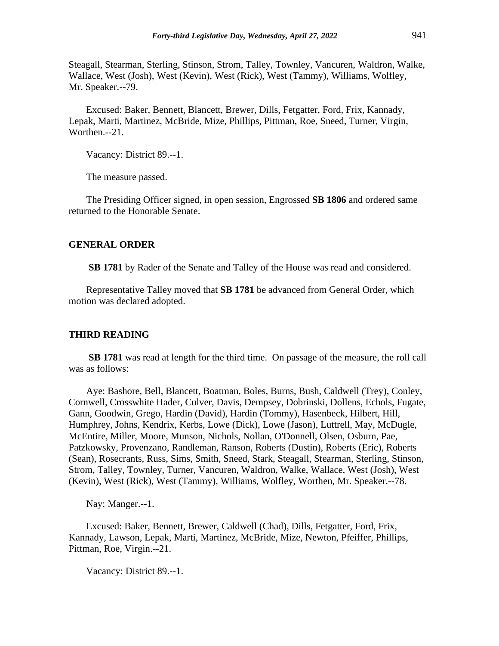Steagall, Stearman, Sterling, Stinson, Strom, Talley, Townley, Vancuren, Waldron, Walke, Wallace, West (Josh), West (Kevin), West (Rick), West (Tammy), Williams, Wolfley, Mr. Speaker.--79.

Excused: Baker, Bennett, Blancett, Brewer, Dills, Fetgatter, Ford, Frix, Kannady, Lepak, Marti, Martinez, McBride, Mize, Phillips, Pittman, Roe, Sneed, Turner, Virgin, Worthen.--21.

Vacancy: District 89.--1.

The measure passed.

The Presiding Officer signed, in open session, Engrossed **SB 1806** and ordered same returned to the Honorable Senate.

#### **GENERAL ORDER**

**SB 1781** by Rader of the Senate and Talley of the House was read and considered.

Representative Talley moved that **SB 1781** be advanced from General Order, which motion was declared adopted.

#### **THIRD READING**

**SB 1781** was read at length for the third time. On passage of the measure, the roll call was as follows:

Aye: Bashore, Bell, Blancett, Boatman, Boles, Burns, Bush, Caldwell (Trey), Conley, Cornwell, Crosswhite Hader, Culver, Davis, Dempsey, Dobrinski, Dollens, Echols, Fugate, Gann, Goodwin, Grego, Hardin (David), Hardin (Tommy), Hasenbeck, Hilbert, Hill, Humphrey, Johns, Kendrix, Kerbs, Lowe (Dick), Lowe (Jason), Luttrell, May, McDugle, McEntire, Miller, Moore, Munson, Nichols, Nollan, O'Donnell, Olsen, Osburn, Pae, Patzkowsky, Provenzano, Randleman, Ranson, Roberts (Dustin), Roberts (Eric), Roberts (Sean), Rosecrants, Russ, Sims, Smith, Sneed, Stark, Steagall, Stearman, Sterling, Stinson, Strom, Talley, Townley, Turner, Vancuren, Waldron, Walke, Wallace, West (Josh), West (Kevin), West (Rick), West (Tammy), Williams, Wolfley, Worthen, Mr. Speaker.--78.

Nay: Manger.--1.

Excused: Baker, Bennett, Brewer, Caldwell (Chad), Dills, Fetgatter, Ford, Frix, Kannady, Lawson, Lepak, Marti, Martinez, McBride, Mize, Newton, Pfeiffer, Phillips, Pittman, Roe, Virgin.--21.

Vacancy: District 89.--1.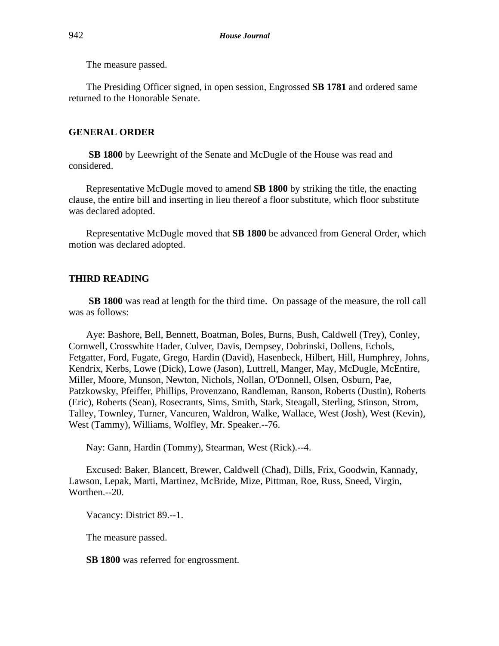The measure passed.

The Presiding Officer signed, in open session, Engrossed **SB 1781** and ordered same returned to the Honorable Senate.

# **GENERAL ORDER**

**SB 1800** by Leewright of the Senate and McDugle of the House was read and considered.

Representative McDugle moved to amend **SB 1800** by striking the title, the enacting clause, the entire bill and inserting in lieu thereof a floor substitute, which floor substitute was declared adopted.

Representative McDugle moved that **SB 1800** be advanced from General Order, which motion was declared adopted.

# **THIRD READING**

**SB 1800** was read at length for the third time. On passage of the measure, the roll call was as follows:

Aye: Bashore, Bell, Bennett, Boatman, Boles, Burns, Bush, Caldwell (Trey), Conley, Cornwell, Crosswhite Hader, Culver, Davis, Dempsey, Dobrinski, Dollens, Echols, Fetgatter, Ford, Fugate, Grego, Hardin (David), Hasenbeck, Hilbert, Hill, Humphrey, Johns, Kendrix, Kerbs, Lowe (Dick), Lowe (Jason), Luttrell, Manger, May, McDugle, McEntire, Miller, Moore, Munson, Newton, Nichols, Nollan, O'Donnell, Olsen, Osburn, Pae, Patzkowsky, Pfeiffer, Phillips, Provenzano, Randleman, Ranson, Roberts (Dustin), Roberts (Eric), Roberts (Sean), Rosecrants, Sims, Smith, Stark, Steagall, Sterling, Stinson, Strom, Talley, Townley, Turner, Vancuren, Waldron, Walke, Wallace, West (Josh), West (Kevin), West (Tammy), Williams, Wolfley, Mr. Speaker.--76.

Nay: Gann, Hardin (Tommy), Stearman, West (Rick).--4.

Excused: Baker, Blancett, Brewer, Caldwell (Chad), Dills, Frix, Goodwin, Kannady, Lawson, Lepak, Marti, Martinez, McBride, Mize, Pittman, Roe, Russ, Sneed, Virgin, Worthen.--20.

Vacancy: District 89.--1.

The measure passed.

**SB 1800** was referred for engrossment.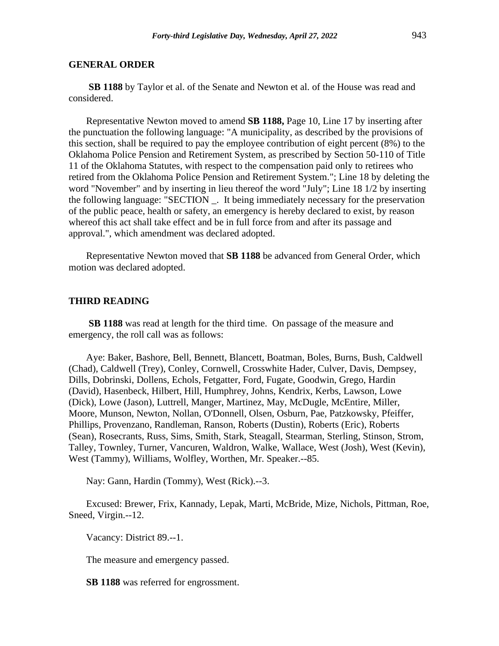**SB 1188** by Taylor et al. of the Senate and Newton et al. of the House was read and considered.

Representative Newton moved to amend **SB 1188,** Page 10, Line 17 by inserting after the punctuation the following language: "A municipality, as described by the provisions of this section, shall be required to pay the employee contribution of eight percent (8%) to the Oklahoma Police Pension and Retirement System, as prescribed by Section 50-110 of Title 11 of the Oklahoma Statutes, with respect to the compensation paid only to retirees who retired from the Oklahoma Police Pension and Retirement System."; Line 18 by deleting the word "November" and by inserting in lieu thereof the word "July"; Line 18 1/2 by inserting the following language: "SECTION \_. It being immediately necessary for the preservation of the public peace, health or safety, an emergency is hereby declared to exist, by reason whereof this act shall take effect and be in full force from and after its passage and approval.", which amendment was declared adopted.

Representative Newton moved that **SB 1188** be advanced from General Order, which motion was declared adopted.

## **THIRD READING**

**SB 1188** was read at length for the third time. On passage of the measure and emergency, the roll call was as follows:

Aye: Baker, Bashore, Bell, Bennett, Blancett, Boatman, Boles, Burns, Bush, Caldwell (Chad), Caldwell (Trey), Conley, Cornwell, Crosswhite Hader, Culver, Davis, Dempsey, Dills, Dobrinski, Dollens, Echols, Fetgatter, Ford, Fugate, Goodwin, Grego, Hardin (David), Hasenbeck, Hilbert, Hill, Humphrey, Johns, Kendrix, Kerbs, Lawson, Lowe (Dick), Lowe (Jason), Luttrell, Manger, Martinez, May, McDugle, McEntire, Miller, Moore, Munson, Newton, Nollan, O'Donnell, Olsen, Osburn, Pae, Patzkowsky, Pfeiffer, Phillips, Provenzano, Randleman, Ranson, Roberts (Dustin), Roberts (Eric), Roberts (Sean), Rosecrants, Russ, Sims, Smith, Stark, Steagall, Stearman, Sterling, Stinson, Strom, Talley, Townley, Turner, Vancuren, Waldron, Walke, Wallace, West (Josh), West (Kevin), West (Tammy), Williams, Wolfley, Worthen, Mr. Speaker.--85.

Nay: Gann, Hardin (Tommy), West (Rick).--3.

Excused: Brewer, Frix, Kannady, Lepak, Marti, McBride, Mize, Nichols, Pittman, Roe, Sneed, Virgin.--12.

Vacancy: District 89.--1.

The measure and emergency passed.

**SB 1188** was referred for engrossment.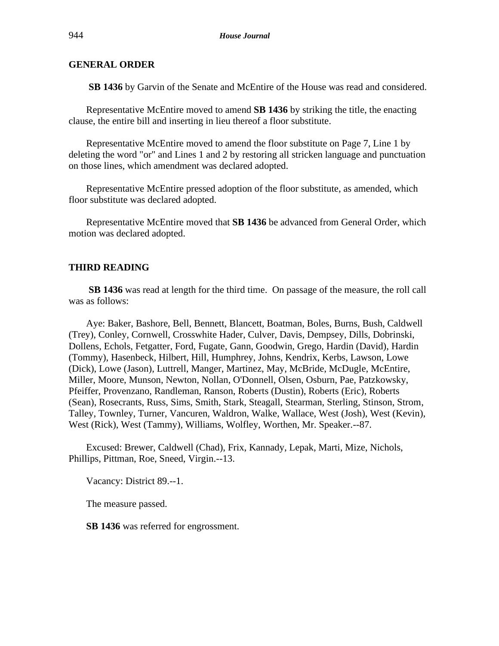**SB 1436** by Garvin of the Senate and McEntire of the House was read and considered.

Representative McEntire moved to amend **SB 1436** by striking the title, the enacting clause, the entire bill and inserting in lieu thereof a floor substitute.

Representative McEntire moved to amend the floor substitute on Page 7, Line 1 by deleting the word "or" and Lines 1 and 2 by restoring all stricken language and punctuation on those lines, which amendment was declared adopted.

Representative McEntire pressed adoption of the floor substitute, as amended, which floor substitute was declared adopted.

Representative McEntire moved that **SB 1436** be advanced from General Order, which motion was declared adopted.

#### **THIRD READING**

**SB 1436** was read at length for the third time. On passage of the measure, the roll call was as follows:

Aye: Baker, Bashore, Bell, Bennett, Blancett, Boatman, Boles, Burns, Bush, Caldwell (Trey), Conley, Cornwell, Crosswhite Hader, Culver, Davis, Dempsey, Dills, Dobrinski, Dollens, Echols, Fetgatter, Ford, Fugate, Gann, Goodwin, Grego, Hardin (David), Hardin (Tommy), Hasenbeck, Hilbert, Hill, Humphrey, Johns, Kendrix, Kerbs, Lawson, Lowe (Dick), Lowe (Jason), Luttrell, Manger, Martinez, May, McBride, McDugle, McEntire, Miller, Moore, Munson, Newton, Nollan, O'Donnell, Olsen, Osburn, Pae, Patzkowsky, Pfeiffer, Provenzano, Randleman, Ranson, Roberts (Dustin), Roberts (Eric), Roberts (Sean), Rosecrants, Russ, Sims, Smith, Stark, Steagall, Stearman, Sterling, Stinson, Strom, Talley, Townley, Turner, Vancuren, Waldron, Walke, Wallace, West (Josh), West (Kevin), West (Rick), West (Tammy), Williams, Wolfley, Worthen, Mr. Speaker.--87.

Excused: Brewer, Caldwell (Chad), Frix, Kannady, Lepak, Marti, Mize, Nichols, Phillips, Pittman, Roe, Sneed, Virgin.--13.

Vacancy: District 89.--1.

The measure passed.

**SB 1436** was referred for engrossment.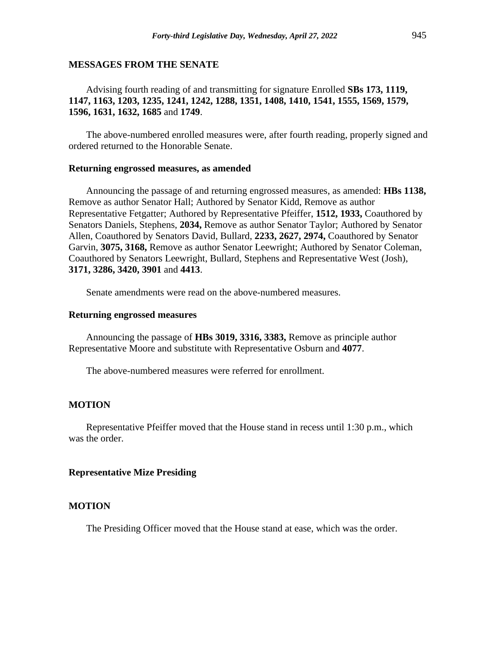## **MESSAGES FROM THE SENATE**

# Advising fourth reading of and transmitting for signature Enrolled **SBs 173, 1119, 1147, 1163, 1203, 1235, 1241, 1242, 1288, 1351, 1408, 1410, 1541, 1555, 1569, 1579, 1596, 1631, 1632, 1685** and **1749**.

The above-numbered enrolled measures were, after fourth reading, properly signed and ordered returned to the Honorable Senate.

#### **Returning engrossed measures, as amended**

Announcing the passage of and returning engrossed measures, as amended: **HBs 1138,** Remove as author Senator Hall; Authored by Senator Kidd, Remove as author Representative Fetgatter; Authored by Representative Pfeiffer, **1512, 1933,** Coauthored by Senators Daniels, Stephens, **2034,** Remove as author Senator Taylor; Authored by Senator Allen, Coauthored by Senators David, Bullard, **2233, 2627, 2974,** Coauthored by Senator Garvin, **3075, 3168,** Remove as author Senator Leewright; Authored by Senator Coleman, Coauthored by Senators Leewright, Bullard, Stephens and Representative West (Josh), **3171, 3286, 3420, 3901** and **4413**.

Senate amendments were read on the above-numbered measures.

#### **Returning engrossed measures**

Announcing the passage of **HBs 3019, 3316, 3383,** Remove as principle author Representative Moore and substitute with Representative Osburn and **4077**.

The above-numbered measures were referred for enrollment.

#### **MOTION**

Representative Pfeiffer moved that the House stand in recess until 1:30 p.m., which was the order.

## **Representative Mize Presiding**

## **MOTION**

The Presiding Officer moved that the House stand at ease, which was the order.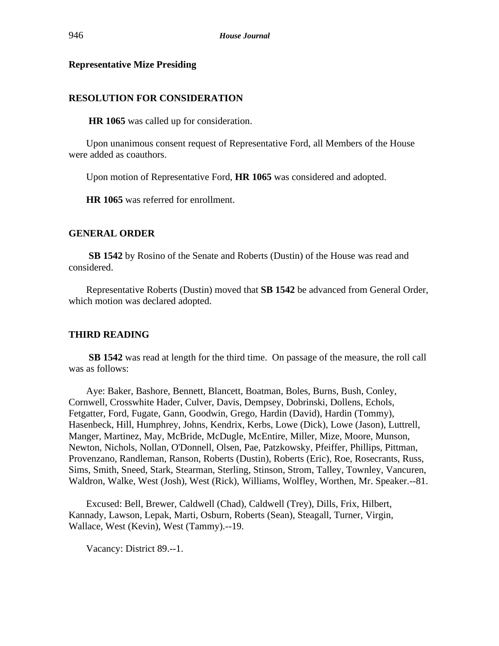# **Representative Mize Presiding**

# **RESOLUTION FOR CONSIDERATION**

**HR 1065** was called up for consideration.

Upon unanimous consent request of Representative Ford, all Members of the House were added as coauthors.

Upon motion of Representative Ford, **HR 1065** was considered and adopted.

**HR 1065** was referred for enrollment.

## **GENERAL ORDER**

**SB 1542** by Rosino of the Senate and Roberts (Dustin) of the House was read and considered.

Representative Roberts (Dustin) moved that **SB 1542** be advanced from General Order, which motion was declared adopted.

#### **THIRD READING**

**SB 1542** was read at length for the third time. On passage of the measure, the roll call was as follows:

Aye: Baker, Bashore, Bennett, Blancett, Boatman, Boles, Burns, Bush, Conley, Cornwell, Crosswhite Hader, Culver, Davis, Dempsey, Dobrinski, Dollens, Echols, Fetgatter, Ford, Fugate, Gann, Goodwin, Grego, Hardin (David), Hardin (Tommy), Hasenbeck, Hill, Humphrey, Johns, Kendrix, Kerbs, Lowe (Dick), Lowe (Jason), Luttrell, Manger, Martinez, May, McBride, McDugle, McEntire, Miller, Mize, Moore, Munson, Newton, Nichols, Nollan, O'Donnell, Olsen, Pae, Patzkowsky, Pfeiffer, Phillips, Pittman, Provenzano, Randleman, Ranson, Roberts (Dustin), Roberts (Eric), Roe, Rosecrants, Russ, Sims, Smith, Sneed, Stark, Stearman, Sterling, Stinson, Strom, Talley, Townley, Vancuren, Waldron, Walke, West (Josh), West (Rick), Williams, Wolfley, Worthen, Mr. Speaker.--81.

Excused: Bell, Brewer, Caldwell (Chad), Caldwell (Trey), Dills, Frix, Hilbert, Kannady, Lawson, Lepak, Marti, Osburn, Roberts (Sean), Steagall, Turner, Virgin, Wallace, West (Kevin), West (Tammy).--19.

Vacancy: District 89.--1.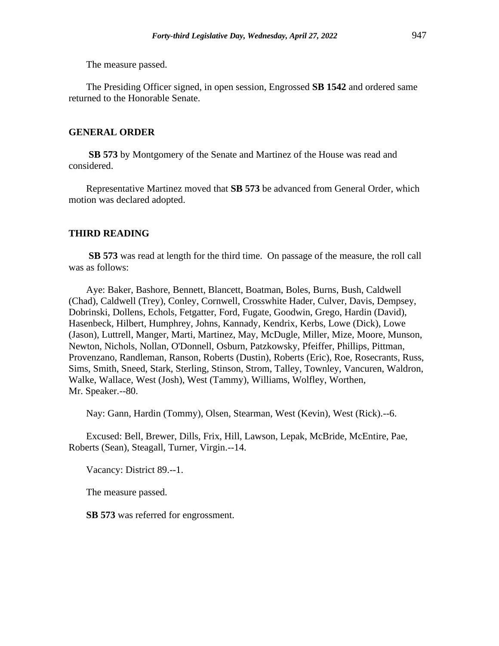The measure passed.

The Presiding Officer signed, in open session, Engrossed **SB 1542** and ordered same returned to the Honorable Senate.

# **GENERAL ORDER**

**SB 573** by Montgomery of the Senate and Martinez of the House was read and considered.

Representative Martinez moved that **SB 573** be advanced from General Order, which motion was declared adopted.

#### **THIRD READING**

**SB 573** was read at length for the third time. On passage of the measure, the roll call was as follows:

Aye: Baker, Bashore, Bennett, Blancett, Boatman, Boles, Burns, Bush, Caldwell (Chad), Caldwell (Trey), Conley, Cornwell, Crosswhite Hader, Culver, Davis, Dempsey, Dobrinski, Dollens, Echols, Fetgatter, Ford, Fugate, Goodwin, Grego, Hardin (David), Hasenbeck, Hilbert, Humphrey, Johns, Kannady, Kendrix, Kerbs, Lowe (Dick), Lowe (Jason), Luttrell, Manger, Marti, Martinez, May, McDugle, Miller, Mize, Moore, Munson, Newton, Nichols, Nollan, O'Donnell, Osburn, Patzkowsky, Pfeiffer, Phillips, Pittman, Provenzano, Randleman, Ranson, Roberts (Dustin), Roberts (Eric), Roe, Rosecrants, Russ, Sims, Smith, Sneed, Stark, Sterling, Stinson, Strom, Talley, Townley, Vancuren, Waldron, Walke, Wallace, West (Josh), West (Tammy), Williams, Wolfley, Worthen, Mr. Speaker.--80.

Nay: Gann, Hardin (Tommy), Olsen, Stearman, West (Kevin), West (Rick).--6.

Excused: Bell, Brewer, Dills, Frix, Hill, Lawson, Lepak, McBride, McEntire, Pae, Roberts (Sean), Steagall, Turner, Virgin.--14.

Vacancy: District 89.--1.

The measure passed.

**SB 573** was referred for engrossment.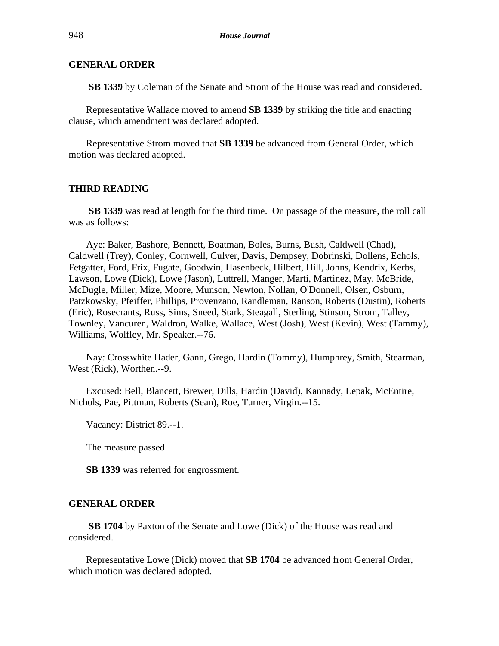**SB 1339** by Coleman of the Senate and Strom of the House was read and considered.

Representative Wallace moved to amend **SB 1339** by striking the title and enacting clause, which amendment was declared adopted.

Representative Strom moved that **SB 1339** be advanced from General Order, which motion was declared adopted.

## **THIRD READING**

**SB 1339** was read at length for the third time. On passage of the measure, the roll call was as follows:

Aye: Baker, Bashore, Bennett, Boatman, Boles, Burns, Bush, Caldwell (Chad), Caldwell (Trey), Conley, Cornwell, Culver, Davis, Dempsey, Dobrinski, Dollens, Echols, Fetgatter, Ford, Frix, Fugate, Goodwin, Hasenbeck, Hilbert, Hill, Johns, Kendrix, Kerbs, Lawson, Lowe (Dick), Lowe (Jason), Luttrell, Manger, Marti, Martinez, May, McBride, McDugle, Miller, Mize, Moore, Munson, Newton, Nollan, O'Donnell, Olsen, Osburn, Patzkowsky, Pfeiffer, Phillips, Provenzano, Randleman, Ranson, Roberts (Dustin), Roberts (Eric), Rosecrants, Russ, Sims, Sneed, Stark, Steagall, Sterling, Stinson, Strom, Talley, Townley, Vancuren, Waldron, Walke, Wallace, West (Josh), West (Kevin), West (Tammy), Williams, Wolfley, Mr. Speaker.--76.

Nay: Crosswhite Hader, Gann, Grego, Hardin (Tommy), Humphrey, Smith, Stearman, West (Rick), Worthen.--9.

Excused: Bell, Blancett, Brewer, Dills, Hardin (David), Kannady, Lepak, McEntire, Nichols, Pae, Pittman, Roberts (Sean), Roe, Turner, Virgin.--15.

Vacancy: District 89.--1.

The measure passed.

**SB 1339** was referred for engrossment.

# **GENERAL ORDER**

**SB 1704** by Paxton of the Senate and Lowe (Dick) of the House was read and considered.

Representative Lowe (Dick) moved that **SB 1704** be advanced from General Order, which motion was declared adopted.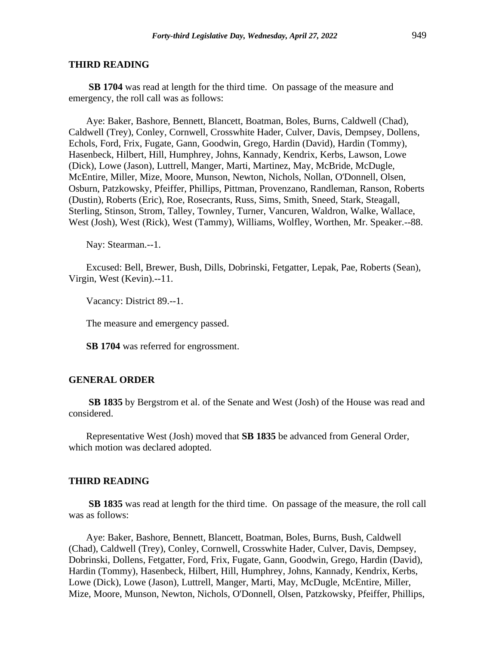#### **THIRD READING**

**SB 1704** was read at length for the third time. On passage of the measure and emergency, the roll call was as follows:

Aye: Baker, Bashore, Bennett, Blancett, Boatman, Boles, Burns, Caldwell (Chad), Caldwell (Trey), Conley, Cornwell, Crosswhite Hader, Culver, Davis, Dempsey, Dollens, Echols, Ford, Frix, Fugate, Gann, Goodwin, Grego, Hardin (David), Hardin (Tommy), Hasenbeck, Hilbert, Hill, Humphrey, Johns, Kannady, Kendrix, Kerbs, Lawson, Lowe (Dick), Lowe (Jason), Luttrell, Manger, Marti, Martinez, May, McBride, McDugle, McEntire, Miller, Mize, Moore, Munson, Newton, Nichols, Nollan, O'Donnell, Olsen, Osburn, Patzkowsky, Pfeiffer, Phillips, Pittman, Provenzano, Randleman, Ranson, Roberts (Dustin), Roberts (Eric), Roe, Rosecrants, Russ, Sims, Smith, Sneed, Stark, Steagall, Sterling, Stinson, Strom, Talley, Townley, Turner, Vancuren, Waldron, Walke, Wallace, West (Josh), West (Rick), West (Tammy), Williams, Wolfley, Worthen, Mr. Speaker.--88.

Nay: Stearman.--1.

Excused: Bell, Brewer, Bush, Dills, Dobrinski, Fetgatter, Lepak, Pae, Roberts (Sean), Virgin, West (Kevin).--11.

Vacancy: District 89.--1.

The measure and emergency passed.

**SB 1704** was referred for engrossment.

## **GENERAL ORDER**

**SB 1835** by Bergstrom et al. of the Senate and West (Josh) of the House was read and considered.

Representative West (Josh) moved that **SB 1835** be advanced from General Order, which motion was declared adopted.

#### **THIRD READING**

**SB 1835** was read at length for the third time. On passage of the measure, the roll call was as follows:

Aye: Baker, Bashore, Bennett, Blancett, Boatman, Boles, Burns, Bush, Caldwell (Chad), Caldwell (Trey), Conley, Cornwell, Crosswhite Hader, Culver, Davis, Dempsey, Dobrinski, Dollens, Fetgatter, Ford, Frix, Fugate, Gann, Goodwin, Grego, Hardin (David), Hardin (Tommy), Hasenbeck, Hilbert, Hill, Humphrey, Johns, Kannady, Kendrix, Kerbs, Lowe (Dick), Lowe (Jason), Luttrell, Manger, Marti, May, McDugle, McEntire, Miller, Mize, Moore, Munson, Newton, Nichols, O'Donnell, Olsen, Patzkowsky, Pfeiffer, Phillips,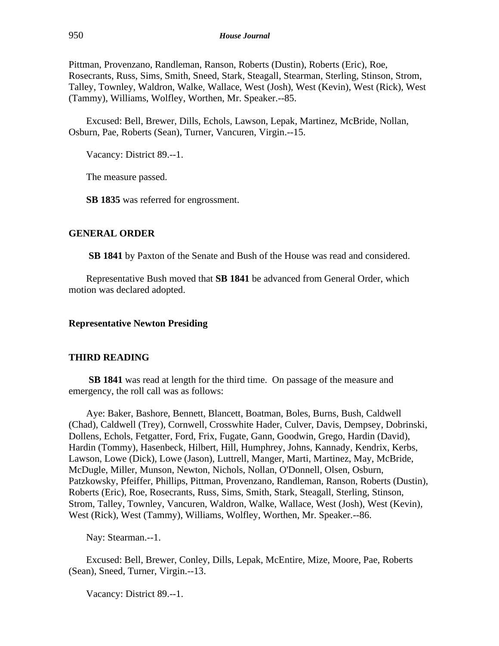Pittman, Provenzano, Randleman, Ranson, Roberts (Dustin), Roberts (Eric), Roe, Rosecrants, Russ, Sims, Smith, Sneed, Stark, Steagall, Stearman, Sterling, Stinson, Strom, Talley, Townley, Waldron, Walke, Wallace, West (Josh), West (Kevin), West (Rick), West (Tammy), Williams, Wolfley, Worthen, Mr. Speaker.--85.

Excused: Bell, Brewer, Dills, Echols, Lawson, Lepak, Martinez, McBride, Nollan, Osburn, Pae, Roberts (Sean), Turner, Vancuren, Virgin.--15.

Vacancy: District 89.--1.

The measure passed.

**SB 1835** was referred for engrossment.

#### **GENERAL ORDER**

**SB 1841** by Paxton of the Senate and Bush of the House was read and considered.

Representative Bush moved that **SB 1841** be advanced from General Order, which motion was declared adopted.

## **Representative Newton Presiding**

#### **THIRD READING**

**SB 1841** was read at length for the third time. On passage of the measure and emergency, the roll call was as follows:

Aye: Baker, Bashore, Bennett, Blancett, Boatman, Boles, Burns, Bush, Caldwell (Chad), Caldwell (Trey), Cornwell, Crosswhite Hader, Culver, Davis, Dempsey, Dobrinski, Dollens, Echols, Fetgatter, Ford, Frix, Fugate, Gann, Goodwin, Grego, Hardin (David), Hardin (Tommy), Hasenbeck, Hilbert, Hill, Humphrey, Johns, Kannady, Kendrix, Kerbs, Lawson, Lowe (Dick), Lowe (Jason), Luttrell, Manger, Marti, Martinez, May, McBride, McDugle, Miller, Munson, Newton, Nichols, Nollan, O'Donnell, Olsen, Osburn, Patzkowsky, Pfeiffer, Phillips, Pittman, Provenzano, Randleman, Ranson, Roberts (Dustin), Roberts (Eric), Roe, Rosecrants, Russ, Sims, Smith, Stark, Steagall, Sterling, Stinson, Strom, Talley, Townley, Vancuren, Waldron, Walke, Wallace, West (Josh), West (Kevin), West (Rick), West (Tammy), Williams, Wolfley, Worthen, Mr. Speaker.--86.

Nay: Stearman.--1.

Excused: Bell, Brewer, Conley, Dills, Lepak, McEntire, Mize, Moore, Pae, Roberts (Sean), Sneed, Turner, Virgin.--13.

Vacancy: District 89.--1.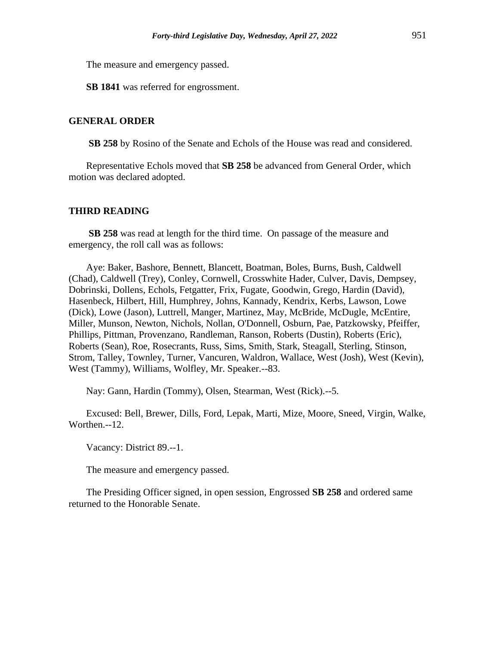The measure and emergency passed.

**SB 1841** was referred for engrossment.

## **GENERAL ORDER**

**SB 258** by Rosino of the Senate and Echols of the House was read and considered.

Representative Echols moved that **SB 258** be advanced from General Order, which motion was declared adopted.

## **THIRD READING**

**SB 258** was read at length for the third time. On passage of the measure and emergency, the roll call was as follows:

Aye: Baker, Bashore, Bennett, Blancett, Boatman, Boles, Burns, Bush, Caldwell (Chad), Caldwell (Trey), Conley, Cornwell, Crosswhite Hader, Culver, Davis, Dempsey, Dobrinski, Dollens, Echols, Fetgatter, Frix, Fugate, Goodwin, Grego, Hardin (David), Hasenbeck, Hilbert, Hill, Humphrey, Johns, Kannady, Kendrix, Kerbs, Lawson, Lowe (Dick), Lowe (Jason), Luttrell, Manger, Martinez, May, McBride, McDugle, McEntire, Miller, Munson, Newton, Nichols, Nollan, O'Donnell, Osburn, Pae, Patzkowsky, Pfeiffer, Phillips, Pittman, Provenzano, Randleman, Ranson, Roberts (Dustin), Roberts (Eric), Roberts (Sean), Roe, Rosecrants, Russ, Sims, Smith, Stark, Steagall, Sterling, Stinson, Strom, Talley, Townley, Turner, Vancuren, Waldron, Wallace, West (Josh), West (Kevin), West (Tammy), Williams, Wolfley, Mr. Speaker.--83.

Nay: Gann, Hardin (Tommy), Olsen, Stearman, West (Rick).--5.

Excused: Bell, Brewer, Dills, Ford, Lepak, Marti, Mize, Moore, Sneed, Virgin, Walke, Worthen.--12.

Vacancy: District 89.--1.

The measure and emergency passed.

The Presiding Officer signed, in open session, Engrossed **SB 258** and ordered same returned to the Honorable Senate.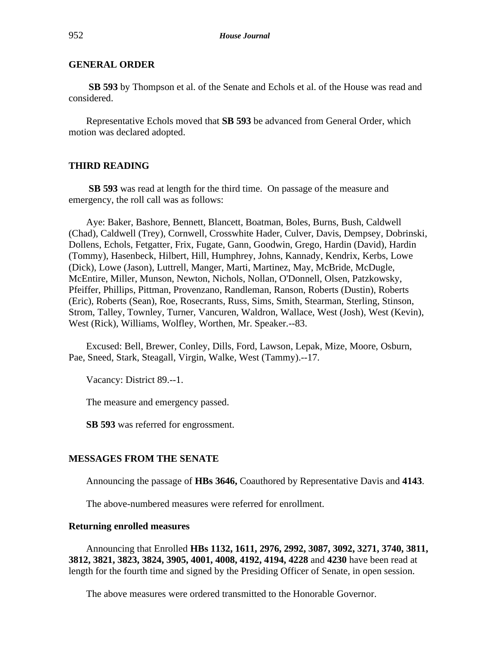**SB 593** by Thompson et al. of the Senate and Echols et al. of the House was read and considered.

Representative Echols moved that **SB 593** be advanced from General Order, which motion was declared adopted.

## **THIRD READING**

**SB 593** was read at length for the third time. On passage of the measure and emergency, the roll call was as follows:

Aye: Baker, Bashore, Bennett, Blancett, Boatman, Boles, Burns, Bush, Caldwell (Chad), Caldwell (Trey), Cornwell, Crosswhite Hader, Culver, Davis, Dempsey, Dobrinski, Dollens, Echols, Fetgatter, Frix, Fugate, Gann, Goodwin, Grego, Hardin (David), Hardin (Tommy), Hasenbeck, Hilbert, Hill, Humphrey, Johns, Kannady, Kendrix, Kerbs, Lowe (Dick), Lowe (Jason), Luttrell, Manger, Marti, Martinez, May, McBride, McDugle, McEntire, Miller, Munson, Newton, Nichols, Nollan, O'Donnell, Olsen, Patzkowsky, Pfeiffer, Phillips, Pittman, Provenzano, Randleman, Ranson, Roberts (Dustin), Roberts (Eric), Roberts (Sean), Roe, Rosecrants, Russ, Sims, Smith, Stearman, Sterling, Stinson, Strom, Talley, Townley, Turner, Vancuren, Waldron, Wallace, West (Josh), West (Kevin), West (Rick), Williams, Wolfley, Worthen, Mr. Speaker.--83.

Excused: Bell, Brewer, Conley, Dills, Ford, Lawson, Lepak, Mize, Moore, Osburn, Pae, Sneed, Stark, Steagall, Virgin, Walke, West (Tammy).--17.

Vacancy: District 89.--1.

The measure and emergency passed.

**SB 593** was referred for engrossment.

#### **MESSAGES FROM THE SENATE**

Announcing the passage of **HBs 3646,** Coauthored by Representative Davis and **4143**.

The above-numbered measures were referred for enrollment.

#### **Returning enrolled measures**

Announcing that Enrolled **HBs 1132, 1611, 2976, 2992, 3087, 3092, 3271, 3740, 3811, 3812, 3821, 3823, 3824, 3905, 4001, 4008, 4192, 4194, 4228** and **4230** have been read at length for the fourth time and signed by the Presiding Officer of Senate, in open session.

The above measures were ordered transmitted to the Honorable Governor.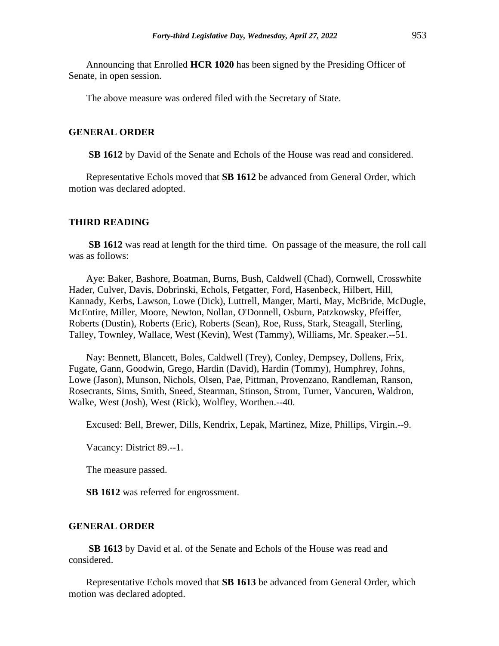Announcing that Enrolled **HCR 1020** has been signed by the Presiding Officer of Senate, in open session.

The above measure was ordered filed with the Secretary of State.

#### **GENERAL ORDER**

**SB 1612** by David of the Senate and Echols of the House was read and considered.

Representative Echols moved that **SB 1612** be advanced from General Order, which motion was declared adopted.

#### **THIRD READING**

**SB 1612** was read at length for the third time. On passage of the measure, the roll call was as follows:

Aye: Baker, Bashore, Boatman, Burns, Bush, Caldwell (Chad), Cornwell, Crosswhite Hader, Culver, Davis, Dobrinski, Echols, Fetgatter, Ford, Hasenbeck, Hilbert, Hill, Kannady, Kerbs, Lawson, Lowe (Dick), Luttrell, Manger, Marti, May, McBride, McDugle, McEntire, Miller, Moore, Newton, Nollan, O'Donnell, Osburn, Patzkowsky, Pfeiffer, Roberts (Dustin), Roberts (Eric), Roberts (Sean), Roe, Russ, Stark, Steagall, Sterling, Talley, Townley, Wallace, West (Kevin), West (Tammy), Williams, Mr. Speaker.--51.

Nay: Bennett, Blancett, Boles, Caldwell (Trey), Conley, Dempsey, Dollens, Frix, Fugate, Gann, Goodwin, Grego, Hardin (David), Hardin (Tommy), Humphrey, Johns, Lowe (Jason), Munson, Nichols, Olsen, Pae, Pittman, Provenzano, Randleman, Ranson, Rosecrants, Sims, Smith, Sneed, Stearman, Stinson, Strom, Turner, Vancuren, Waldron, Walke, West (Josh), West (Rick), Wolfley, Worthen.--40.

Excused: Bell, Brewer, Dills, Kendrix, Lepak, Martinez, Mize, Phillips, Virgin.--9.

Vacancy: District 89.--1.

The measure passed.

**SB 1612** was referred for engrossment.

#### **GENERAL ORDER**

**SB 1613** by David et al. of the Senate and Echols of the House was read and considered.

Representative Echols moved that **SB 1613** be advanced from General Order, which motion was declared adopted.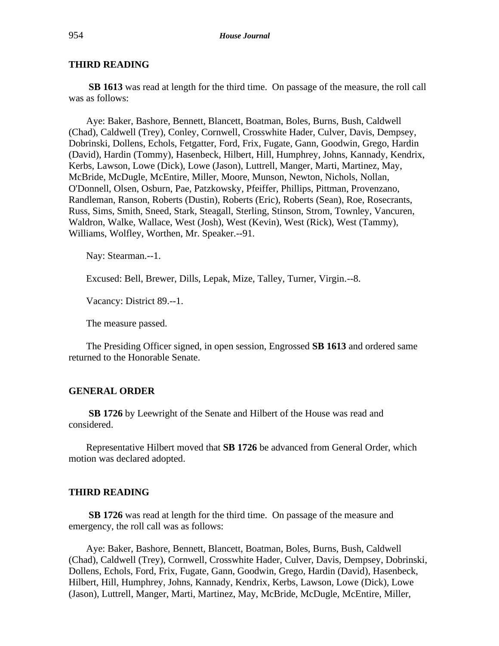# **THIRD READING**

**SB 1613** was read at length for the third time. On passage of the measure, the roll call was as follows:

Aye: Baker, Bashore, Bennett, Blancett, Boatman, Boles, Burns, Bush, Caldwell (Chad), Caldwell (Trey), Conley, Cornwell, Crosswhite Hader, Culver, Davis, Dempsey, Dobrinski, Dollens, Echols, Fetgatter, Ford, Frix, Fugate, Gann, Goodwin, Grego, Hardin (David), Hardin (Tommy), Hasenbeck, Hilbert, Hill, Humphrey, Johns, Kannady, Kendrix, Kerbs, Lawson, Lowe (Dick), Lowe (Jason), Luttrell, Manger, Marti, Martinez, May, McBride, McDugle, McEntire, Miller, Moore, Munson, Newton, Nichols, Nollan, O'Donnell, Olsen, Osburn, Pae, Patzkowsky, Pfeiffer, Phillips, Pittman, Provenzano, Randleman, Ranson, Roberts (Dustin), Roberts (Eric), Roberts (Sean), Roe, Rosecrants, Russ, Sims, Smith, Sneed, Stark, Steagall, Sterling, Stinson, Strom, Townley, Vancuren, Waldron, Walke, Wallace, West (Josh), West (Kevin), West (Rick), West (Tammy), Williams, Wolfley, Worthen, Mr. Speaker.--91.

Nay: Stearman.--1.

Excused: Bell, Brewer, Dills, Lepak, Mize, Talley, Turner, Virgin.--8.

Vacancy: District 89.--1.

The measure passed.

The Presiding Officer signed, in open session, Engrossed **SB 1613** and ordered same returned to the Honorable Senate.

## **GENERAL ORDER**

**SB 1726** by Leewright of the Senate and Hilbert of the House was read and considered.

Representative Hilbert moved that **SB 1726** be advanced from General Order, which motion was declared adopted.

#### **THIRD READING**

**SB 1726** was read at length for the third time. On passage of the measure and emergency, the roll call was as follows:

Aye: Baker, Bashore, Bennett, Blancett, Boatman, Boles, Burns, Bush, Caldwell (Chad), Caldwell (Trey), Cornwell, Crosswhite Hader, Culver, Davis, Dempsey, Dobrinski, Dollens, Echols, Ford, Frix, Fugate, Gann, Goodwin, Grego, Hardin (David), Hasenbeck, Hilbert, Hill, Humphrey, Johns, Kannady, Kendrix, Kerbs, Lawson, Lowe (Dick), Lowe (Jason), Luttrell, Manger, Marti, Martinez, May, McBride, McDugle, McEntire, Miller,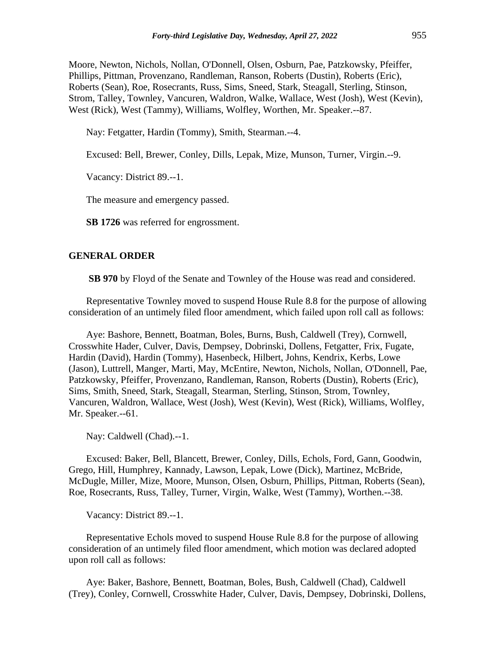Moore, Newton, Nichols, Nollan, O'Donnell, Olsen, Osburn, Pae, Patzkowsky, Pfeiffer, Phillips, Pittman, Provenzano, Randleman, Ranson, Roberts (Dustin), Roberts (Eric), Roberts (Sean), Roe, Rosecrants, Russ, Sims, Sneed, Stark, Steagall, Sterling, Stinson, Strom, Talley, Townley, Vancuren, Waldron, Walke, Wallace, West (Josh), West (Kevin), West (Rick), West (Tammy), Williams, Wolfley, Worthen, Mr. Speaker.--87.

Nay: Fetgatter, Hardin (Tommy), Smith, Stearman.--4.

Excused: Bell, Brewer, Conley, Dills, Lepak, Mize, Munson, Turner, Virgin.--9.

Vacancy: District 89.--1.

The measure and emergency passed.

**SB 1726** was referred for engrossment.

#### **GENERAL ORDER**

**SB 970** by Floyd of the Senate and Townley of the House was read and considered.

Representative Townley moved to suspend House Rule 8.8 for the purpose of allowing consideration of an untimely filed floor amendment, which failed upon roll call as follows:

Aye: Bashore, Bennett, Boatman, Boles, Burns, Bush, Caldwell (Trey), Cornwell, Crosswhite Hader, Culver, Davis, Dempsey, Dobrinski, Dollens, Fetgatter, Frix, Fugate, Hardin (David), Hardin (Tommy), Hasenbeck, Hilbert, Johns, Kendrix, Kerbs, Lowe (Jason), Luttrell, Manger, Marti, May, McEntire, Newton, Nichols, Nollan, O'Donnell, Pae, Patzkowsky, Pfeiffer, Provenzano, Randleman, Ranson, Roberts (Dustin), Roberts (Eric), Sims, Smith, Sneed, Stark, Steagall, Stearman, Sterling, Stinson, Strom, Townley, Vancuren, Waldron, Wallace, West (Josh), West (Kevin), West (Rick), Williams, Wolfley, Mr. Speaker.--61.

Nay: Caldwell (Chad).--1.

Excused: Baker, Bell, Blancett, Brewer, Conley, Dills, Echols, Ford, Gann, Goodwin, Grego, Hill, Humphrey, Kannady, Lawson, Lepak, Lowe (Dick), Martinez, McBride, McDugle, Miller, Mize, Moore, Munson, Olsen, Osburn, Phillips, Pittman, Roberts (Sean), Roe, Rosecrants, Russ, Talley, Turner, Virgin, Walke, West (Tammy), Worthen.--38.

Vacancy: District 89.--1.

Representative Echols moved to suspend House Rule 8.8 for the purpose of allowing consideration of an untimely filed floor amendment, which motion was declared adopted upon roll call as follows:

Aye: Baker, Bashore, Bennett, Boatman, Boles, Bush, Caldwell (Chad), Caldwell (Trey), Conley, Cornwell, Crosswhite Hader, Culver, Davis, Dempsey, Dobrinski, Dollens,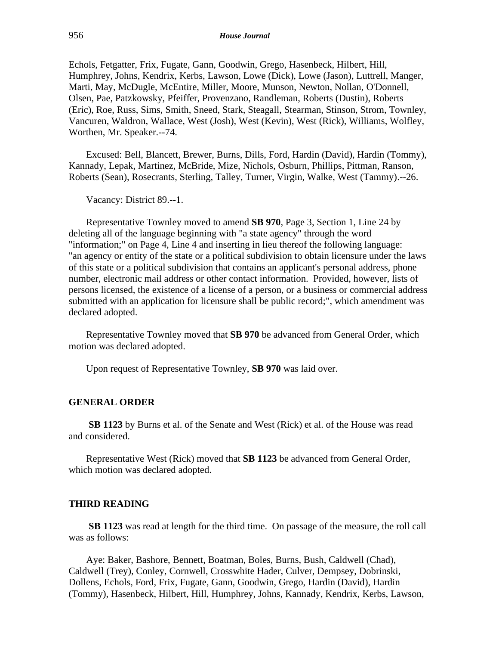Echols, Fetgatter, Frix, Fugate, Gann, Goodwin, Grego, Hasenbeck, Hilbert, Hill, Humphrey, Johns, Kendrix, Kerbs, Lawson, Lowe (Dick), Lowe (Jason), Luttrell, Manger, Marti, May, McDugle, McEntire, Miller, Moore, Munson, Newton, Nollan, O'Donnell, Olsen, Pae, Patzkowsky, Pfeiffer, Provenzano, Randleman, Roberts (Dustin), Roberts (Eric), Roe, Russ, Sims, Smith, Sneed, Stark, Steagall, Stearman, Stinson, Strom, Townley, Vancuren, Waldron, Wallace, West (Josh), West (Kevin), West (Rick), Williams, Wolfley, Worthen, Mr. Speaker.--74.

Excused: Bell, Blancett, Brewer, Burns, Dills, Ford, Hardin (David), Hardin (Tommy), Kannady, Lepak, Martinez, McBride, Mize, Nichols, Osburn, Phillips, Pittman, Ranson, Roberts (Sean), Rosecrants, Sterling, Talley, Turner, Virgin, Walke, West (Tammy).--26.

Vacancy: District 89.--1.

Representative Townley moved to amend **SB 970**, Page 3, Section 1, Line 24 by deleting all of the language beginning with "a state agency" through the word "information;" on Page 4, Line 4 and inserting in lieu thereof the following language: "an agency or entity of the state or a political subdivision to obtain licensure under the laws of this state or a political subdivision that contains an applicant's personal address, phone number, electronic mail address or other contact information. Provided, however, lists of persons licensed, the existence of a license of a person, or a business or commercial address submitted with an application for licensure shall be public record;", which amendment was declared adopted.

Representative Townley moved that **SB 970** be advanced from General Order, which motion was declared adopted.

Upon request of Representative Townley, **SB 970** was laid over.

#### **GENERAL ORDER**

**SB 1123** by Burns et al. of the Senate and West (Rick) et al. of the House was read and considered.

Representative West (Rick) moved that **SB 1123** be advanced from General Order, which motion was declared adopted.

#### **THIRD READING**

**SB 1123** was read at length for the third time. On passage of the measure, the roll call was as follows:

Aye: Baker, Bashore, Bennett, Boatman, Boles, Burns, Bush, Caldwell (Chad), Caldwell (Trey), Conley, Cornwell, Crosswhite Hader, Culver, Dempsey, Dobrinski, Dollens, Echols, Ford, Frix, Fugate, Gann, Goodwin, Grego, Hardin (David), Hardin (Tommy), Hasenbeck, Hilbert, Hill, Humphrey, Johns, Kannady, Kendrix, Kerbs, Lawson,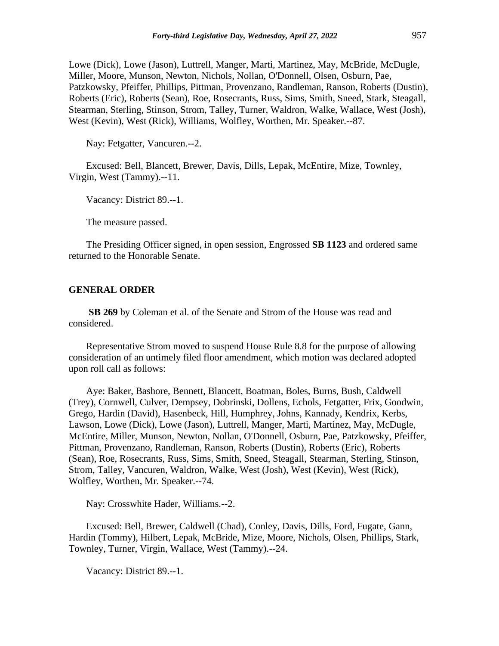Lowe (Dick), Lowe (Jason), Luttrell, Manger, Marti, Martinez, May, McBride, McDugle, Miller, Moore, Munson, Newton, Nichols, Nollan, O'Donnell, Olsen, Osburn, Pae, Patzkowsky, Pfeiffer, Phillips, Pittman, Provenzano, Randleman, Ranson, Roberts (Dustin), Roberts (Eric), Roberts (Sean), Roe, Rosecrants, Russ, Sims, Smith, Sneed, Stark, Steagall, Stearman, Sterling, Stinson, Strom, Talley, Turner, Waldron, Walke, Wallace, West (Josh), West (Kevin), West (Rick), Williams, Wolfley, Worthen, Mr. Speaker.--87.

Nay: Fetgatter, Vancuren.--2.

Excused: Bell, Blancett, Brewer, Davis, Dills, Lepak, McEntire, Mize, Townley, Virgin, West (Tammy).--11.

Vacancy: District 89.--1.

The measure passed.

The Presiding Officer signed, in open session, Engrossed **SB 1123** and ordered same returned to the Honorable Senate.

#### **GENERAL ORDER**

**SB 269** by Coleman et al. of the Senate and Strom of the House was read and considered.

Representative Strom moved to suspend House Rule 8.8 for the purpose of allowing consideration of an untimely filed floor amendment, which motion was declared adopted upon roll call as follows:

Aye: Baker, Bashore, Bennett, Blancett, Boatman, Boles, Burns, Bush, Caldwell (Trey), Cornwell, Culver, Dempsey, Dobrinski, Dollens, Echols, Fetgatter, Frix, Goodwin, Grego, Hardin (David), Hasenbeck, Hill, Humphrey, Johns, Kannady, Kendrix, Kerbs, Lawson, Lowe (Dick), Lowe (Jason), Luttrell, Manger, Marti, Martinez, May, McDugle, McEntire, Miller, Munson, Newton, Nollan, O'Donnell, Osburn, Pae, Patzkowsky, Pfeiffer, Pittman, Provenzano, Randleman, Ranson, Roberts (Dustin), Roberts (Eric), Roberts (Sean), Roe, Rosecrants, Russ, Sims, Smith, Sneed, Steagall, Stearman, Sterling, Stinson, Strom, Talley, Vancuren, Waldron, Walke, West (Josh), West (Kevin), West (Rick), Wolfley, Worthen, Mr. Speaker.--74.

Nay: Crosswhite Hader, Williams.--2.

Excused: Bell, Brewer, Caldwell (Chad), Conley, Davis, Dills, Ford, Fugate, Gann, Hardin (Tommy), Hilbert, Lepak, McBride, Mize, Moore, Nichols, Olsen, Phillips, Stark, Townley, Turner, Virgin, Wallace, West (Tammy).--24.

Vacancy: District 89.--1.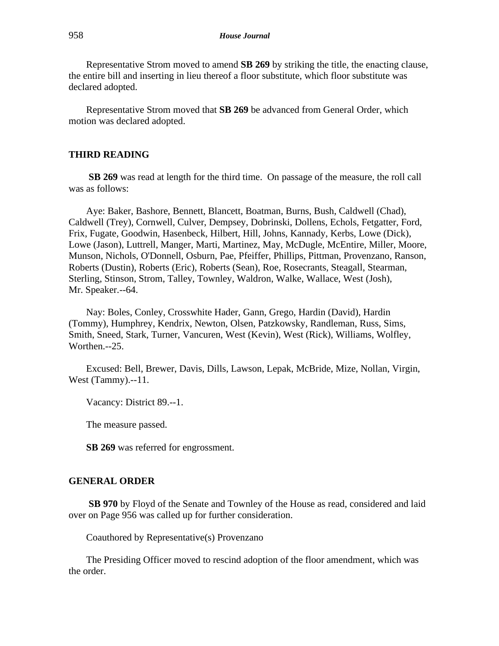Representative Strom moved to amend **SB 269** by striking the title, the enacting clause, the entire bill and inserting in lieu thereof a floor substitute, which floor substitute was declared adopted.

Representative Strom moved that **SB 269** be advanced from General Order, which motion was declared adopted.

## **THIRD READING**

**SB 269** was read at length for the third time. On passage of the measure, the roll call was as follows:

Aye: Baker, Bashore, Bennett, Blancett, Boatman, Burns, Bush, Caldwell (Chad), Caldwell (Trey), Cornwell, Culver, Dempsey, Dobrinski, Dollens, Echols, Fetgatter, Ford, Frix, Fugate, Goodwin, Hasenbeck, Hilbert, Hill, Johns, Kannady, Kerbs, Lowe (Dick), Lowe (Jason), Luttrell, Manger, Marti, Martinez, May, McDugle, McEntire, Miller, Moore, Munson, Nichols, O'Donnell, Osburn, Pae, Pfeiffer, Phillips, Pittman, Provenzano, Ranson, Roberts (Dustin), Roberts (Eric), Roberts (Sean), Roe, Rosecrants, Steagall, Stearman, Sterling, Stinson, Strom, Talley, Townley, Waldron, Walke, Wallace, West (Josh), Mr. Speaker.--64.

Nay: Boles, Conley, Crosswhite Hader, Gann, Grego, Hardin (David), Hardin (Tommy), Humphrey, Kendrix, Newton, Olsen, Patzkowsky, Randleman, Russ, Sims, Smith, Sneed, Stark, Turner, Vancuren, West (Kevin), West (Rick), Williams, Wolfley, Worthen.--25.

Excused: Bell, Brewer, Davis, Dills, Lawson, Lepak, McBride, Mize, Nollan, Virgin, West (Tammy).--11.

Vacancy: District 89.--1.

The measure passed.

**SB 269** was referred for engrossment.

#### **GENERAL ORDER**

**SB 970** by Floyd of the Senate and Townley of the House as read, considered and laid over on Page 956 was called up for further consideration.

Coauthored by Representative(s) Provenzano

The Presiding Officer moved to rescind adoption of the floor amendment, which was the order.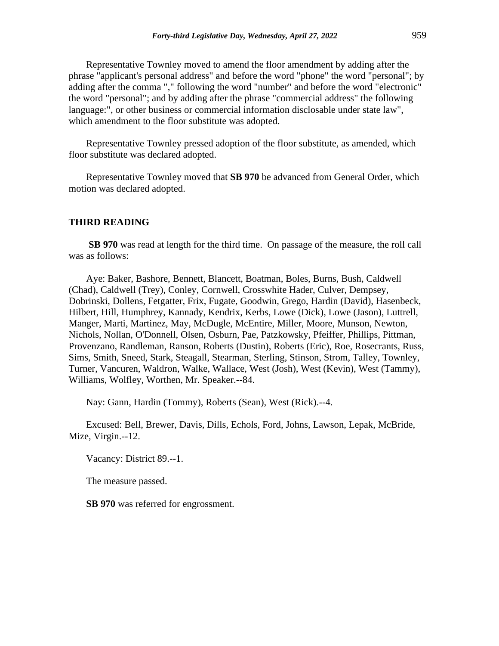Representative Townley moved to amend the floor amendment by adding after the phrase "applicant's personal address" and before the word "phone" the word "personal"; by adding after the comma "," following the word "number" and before the word "electronic" the word "personal"; and by adding after the phrase "commercial address" the following language:", or other business or commercial information disclosable under state law", which amendment to the floor substitute was adopted.

Representative Townley pressed adoption of the floor substitute, as amended, which floor substitute was declared adopted.

Representative Townley moved that **SB 970** be advanced from General Order, which motion was declared adopted.

#### **THIRD READING**

**SB 970** was read at length for the third time. On passage of the measure, the roll call was as follows:

Aye: Baker, Bashore, Bennett, Blancett, Boatman, Boles, Burns, Bush, Caldwell (Chad), Caldwell (Trey), Conley, Cornwell, Crosswhite Hader, Culver, Dempsey, Dobrinski, Dollens, Fetgatter, Frix, Fugate, Goodwin, Grego, Hardin (David), Hasenbeck, Hilbert, Hill, Humphrey, Kannady, Kendrix, Kerbs, Lowe (Dick), Lowe (Jason), Luttrell, Manger, Marti, Martinez, May, McDugle, McEntire, Miller, Moore, Munson, Newton, Nichols, Nollan, O'Donnell, Olsen, Osburn, Pae, Patzkowsky, Pfeiffer, Phillips, Pittman, Provenzano, Randleman, Ranson, Roberts (Dustin), Roberts (Eric), Roe, Rosecrants, Russ, Sims, Smith, Sneed, Stark, Steagall, Stearman, Sterling, Stinson, Strom, Talley, Townley, Turner, Vancuren, Waldron, Walke, Wallace, West (Josh), West (Kevin), West (Tammy), Williams, Wolfley, Worthen, Mr. Speaker.--84.

Nay: Gann, Hardin (Tommy), Roberts (Sean), West (Rick).--4.

Excused: Bell, Brewer, Davis, Dills, Echols, Ford, Johns, Lawson, Lepak, McBride, Mize, Virgin.--12.

Vacancy: District 89.--1.

The measure passed.

**SB 970** was referred for engrossment.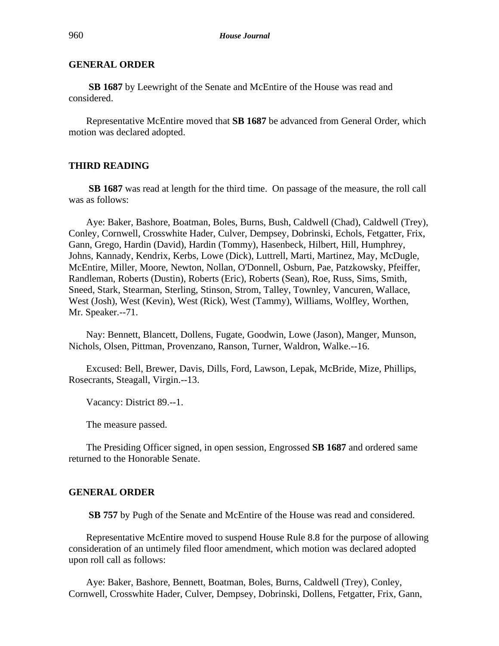**SB 1687** by Leewright of the Senate and McEntire of the House was read and considered.

Representative McEntire moved that **SB 1687** be advanced from General Order, which motion was declared adopted.

## **THIRD READING**

**SB 1687** was read at length for the third time. On passage of the measure, the roll call was as follows:

Aye: Baker, Bashore, Boatman, Boles, Burns, Bush, Caldwell (Chad), Caldwell (Trey), Conley, Cornwell, Crosswhite Hader, Culver, Dempsey, Dobrinski, Echols, Fetgatter, Frix, Gann, Grego, Hardin (David), Hardin (Tommy), Hasenbeck, Hilbert, Hill, Humphrey, Johns, Kannady, Kendrix, Kerbs, Lowe (Dick), Luttrell, Marti, Martinez, May, McDugle, McEntire, Miller, Moore, Newton, Nollan, O'Donnell, Osburn, Pae, Patzkowsky, Pfeiffer, Randleman, Roberts (Dustin), Roberts (Eric), Roberts (Sean), Roe, Russ, Sims, Smith, Sneed, Stark, Stearman, Sterling, Stinson, Strom, Talley, Townley, Vancuren, Wallace, West (Josh), West (Kevin), West (Rick), West (Tammy), Williams, Wolfley, Worthen, Mr. Speaker.--71.

Nay: Bennett, Blancett, Dollens, Fugate, Goodwin, Lowe (Jason), Manger, Munson, Nichols, Olsen, Pittman, Provenzano, Ranson, Turner, Waldron, Walke.--16.

Excused: Bell, Brewer, Davis, Dills, Ford, Lawson, Lepak, McBride, Mize, Phillips, Rosecrants, Steagall, Virgin.--13.

Vacancy: District 89.--1.

The measure passed.

The Presiding Officer signed, in open session, Engrossed **SB 1687** and ordered same returned to the Honorable Senate.

#### **GENERAL ORDER**

**SB 757** by Pugh of the Senate and McEntire of the House was read and considered.

Representative McEntire moved to suspend House Rule 8.8 for the purpose of allowing consideration of an untimely filed floor amendment, which motion was declared adopted upon roll call as follows:

Aye: Baker, Bashore, Bennett, Boatman, Boles, Burns, Caldwell (Trey), Conley, Cornwell, Crosswhite Hader, Culver, Dempsey, Dobrinski, Dollens, Fetgatter, Frix, Gann,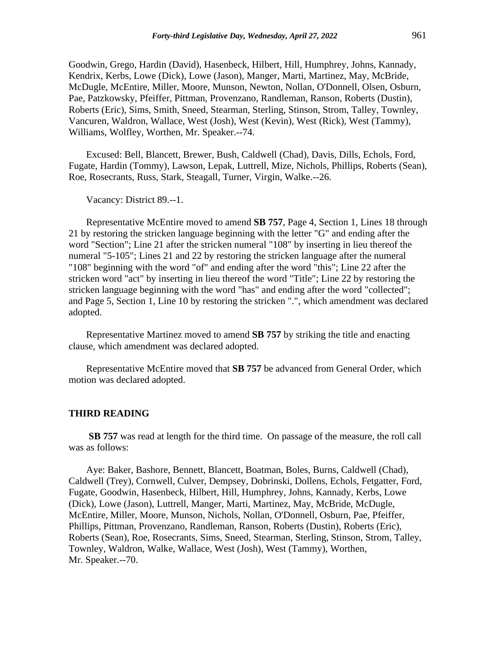Goodwin, Grego, Hardin (David), Hasenbeck, Hilbert, Hill, Humphrey, Johns, Kannady, Kendrix, Kerbs, Lowe (Dick), Lowe (Jason), Manger, Marti, Martinez, May, McBride, McDugle, McEntire, Miller, Moore, Munson, Newton, Nollan, O'Donnell, Olsen, Osburn, Pae, Patzkowsky, Pfeiffer, Pittman, Provenzano, Randleman, Ranson, Roberts (Dustin), Roberts (Eric), Sims, Smith, Sneed, Stearman, Sterling, Stinson, Strom, Talley, Townley, Vancuren, Waldron, Wallace, West (Josh), West (Kevin), West (Rick), West (Tammy), Williams, Wolfley, Worthen, Mr. Speaker.--74.

Excused: Bell, Blancett, Brewer, Bush, Caldwell (Chad), Davis, Dills, Echols, Ford, Fugate, Hardin (Tommy), Lawson, Lepak, Luttrell, Mize, Nichols, Phillips, Roberts (Sean), Roe, Rosecrants, Russ, Stark, Steagall, Turner, Virgin, Walke.--26.

Vacancy: District 89.--1.

Representative McEntire moved to amend **SB 757**, Page 4, Section 1, Lines 18 through 21 by restoring the stricken language beginning with the letter "G" and ending after the word "Section"; Line 21 after the stricken numeral "108" by inserting in lieu thereof the numeral "5-105"; Lines 21 and 22 by restoring the stricken language after the numeral "108" beginning with the word "of" and ending after the word "this"; Line 22 after the stricken word "act" by inserting in lieu thereof the word "Title"; Line 22 by restoring the stricken language beginning with the word "has" and ending after the word "collected"; and Page 5, Section 1, Line 10 by restoring the stricken ".", which amendment was declared adopted.

Representative Martinez moved to amend **SB 757** by striking the title and enacting clause, which amendment was declared adopted.

Representative McEntire moved that **SB 757** be advanced from General Order, which motion was declared adopted.

#### **THIRD READING**

**SB 757** was read at length for the third time. On passage of the measure, the roll call was as follows:

Aye: Baker, Bashore, Bennett, Blancett, Boatman, Boles, Burns, Caldwell (Chad), Caldwell (Trey), Cornwell, Culver, Dempsey, Dobrinski, Dollens, Echols, Fetgatter, Ford, Fugate, Goodwin, Hasenbeck, Hilbert, Hill, Humphrey, Johns, Kannady, Kerbs, Lowe (Dick), Lowe (Jason), Luttrell, Manger, Marti, Martinez, May, McBride, McDugle, McEntire, Miller, Moore, Munson, Nichols, Nollan, O'Donnell, Osburn, Pae, Pfeiffer, Phillips, Pittman, Provenzano, Randleman, Ranson, Roberts (Dustin), Roberts (Eric), Roberts (Sean), Roe, Rosecrants, Sims, Sneed, Stearman, Sterling, Stinson, Strom, Talley, Townley, Waldron, Walke, Wallace, West (Josh), West (Tammy), Worthen, Mr. Speaker.--70.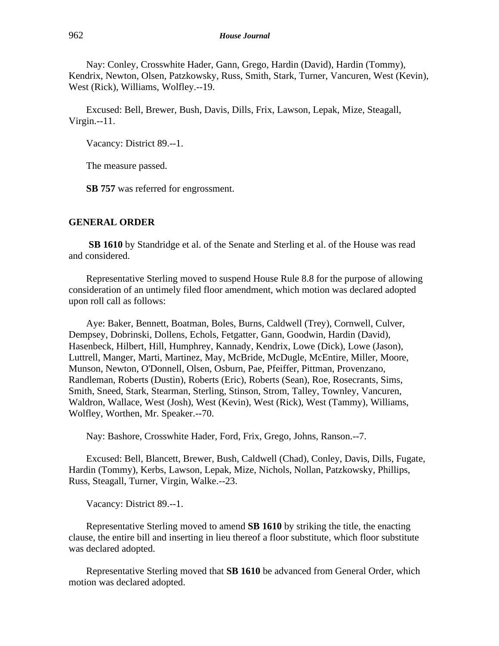Nay: Conley, Crosswhite Hader, Gann, Grego, Hardin (David), Hardin (Tommy), Kendrix, Newton, Olsen, Patzkowsky, Russ, Smith, Stark, Turner, Vancuren, West (Kevin), West (Rick), Williams, Wolfley.--19.

Excused: Bell, Brewer, Bush, Davis, Dills, Frix, Lawson, Lepak, Mize, Steagall, Virgin.--11.

Vacancy: District 89.--1.

The measure passed.

**SB 757** was referred for engrossment.

#### **GENERAL ORDER**

**SB 1610** by Standridge et al. of the Senate and Sterling et al. of the House was read and considered.

Representative Sterling moved to suspend House Rule 8.8 for the purpose of allowing consideration of an untimely filed floor amendment, which motion was declared adopted upon roll call as follows:

Aye: Baker, Bennett, Boatman, Boles, Burns, Caldwell (Trey), Cornwell, Culver, Dempsey, Dobrinski, Dollens, Echols, Fetgatter, Gann, Goodwin, Hardin (David), Hasenbeck, Hilbert, Hill, Humphrey, Kannady, Kendrix, Lowe (Dick), Lowe (Jason), Luttrell, Manger, Marti, Martinez, May, McBride, McDugle, McEntire, Miller, Moore, Munson, Newton, O'Donnell, Olsen, Osburn, Pae, Pfeiffer, Pittman, Provenzano, Randleman, Roberts (Dustin), Roberts (Eric), Roberts (Sean), Roe, Rosecrants, Sims, Smith, Sneed, Stark, Stearman, Sterling, Stinson, Strom, Talley, Townley, Vancuren, Waldron, Wallace, West (Josh), West (Kevin), West (Rick), West (Tammy), Williams, Wolfley, Worthen, Mr. Speaker.--70.

Nay: Bashore, Crosswhite Hader, Ford, Frix, Grego, Johns, Ranson.--7.

Excused: Bell, Blancett, Brewer, Bush, Caldwell (Chad), Conley, Davis, Dills, Fugate, Hardin (Tommy), Kerbs, Lawson, Lepak, Mize, Nichols, Nollan, Patzkowsky, Phillips, Russ, Steagall, Turner, Virgin, Walke.--23.

Vacancy: District 89.--1.

Representative Sterling moved to amend **SB 1610** by striking the title, the enacting clause, the entire bill and inserting in lieu thereof a floor substitute, which floor substitute was declared adopted.

Representative Sterling moved that **SB 1610** be advanced from General Order, which motion was declared adopted.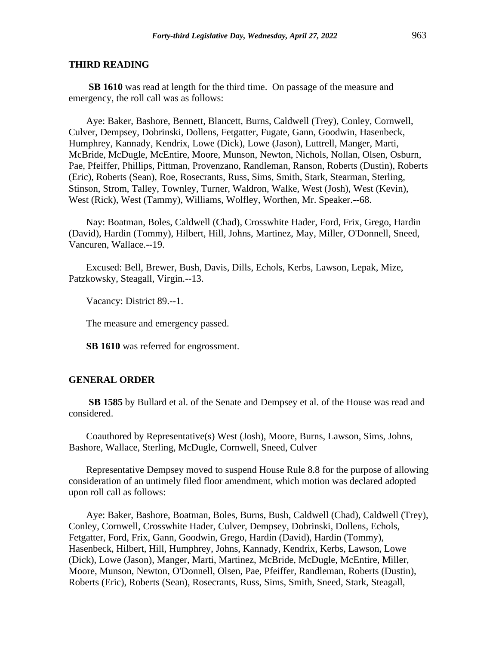#### **THIRD READING**

**SB 1610** was read at length for the third time. On passage of the measure and emergency, the roll call was as follows:

Aye: Baker, Bashore, Bennett, Blancett, Burns, Caldwell (Trey), Conley, Cornwell, Culver, Dempsey, Dobrinski, Dollens, Fetgatter, Fugate, Gann, Goodwin, Hasenbeck, Humphrey, Kannady, Kendrix, Lowe (Dick), Lowe (Jason), Luttrell, Manger, Marti, McBride, McDugle, McEntire, Moore, Munson, Newton, Nichols, Nollan, Olsen, Osburn, Pae, Pfeiffer, Phillips, Pittman, Provenzano, Randleman, Ranson, Roberts (Dustin), Roberts (Eric), Roberts (Sean), Roe, Rosecrants, Russ, Sims, Smith, Stark, Stearman, Sterling, Stinson, Strom, Talley, Townley, Turner, Waldron, Walke, West (Josh), West (Kevin), West (Rick), West (Tammy), Williams, Wolfley, Worthen, Mr. Speaker.--68.

Nay: Boatman, Boles, Caldwell (Chad), Crosswhite Hader, Ford, Frix, Grego, Hardin (David), Hardin (Tommy), Hilbert, Hill, Johns, Martinez, May, Miller, O'Donnell, Sneed, Vancuren, Wallace.--19.

Excused: Bell, Brewer, Bush, Davis, Dills, Echols, Kerbs, Lawson, Lepak, Mize, Patzkowsky, Steagall, Virgin.--13.

Vacancy: District 89.--1.

The measure and emergency passed.

**SB 1610** was referred for engrossment.

#### **GENERAL ORDER**

**SB 1585** by Bullard et al. of the Senate and Dempsey et al. of the House was read and considered.

Coauthored by Representative(s) West (Josh), Moore, Burns, Lawson, Sims, Johns, Bashore, Wallace, Sterling, McDugle, Cornwell, Sneed, Culver

Representative Dempsey moved to suspend House Rule 8.8 for the purpose of allowing consideration of an untimely filed floor amendment, which motion was declared adopted upon roll call as follows:

Aye: Baker, Bashore, Boatman, Boles, Burns, Bush, Caldwell (Chad), Caldwell (Trey), Conley, Cornwell, Crosswhite Hader, Culver, Dempsey, Dobrinski, Dollens, Echols, Fetgatter, Ford, Frix, Gann, Goodwin, Grego, Hardin (David), Hardin (Tommy), Hasenbeck, Hilbert, Hill, Humphrey, Johns, Kannady, Kendrix, Kerbs, Lawson, Lowe (Dick), Lowe (Jason), Manger, Marti, Martinez, McBride, McDugle, McEntire, Miller, Moore, Munson, Newton, O'Donnell, Olsen, Pae, Pfeiffer, Randleman, Roberts (Dustin), Roberts (Eric), Roberts (Sean), Rosecrants, Russ, Sims, Smith, Sneed, Stark, Steagall,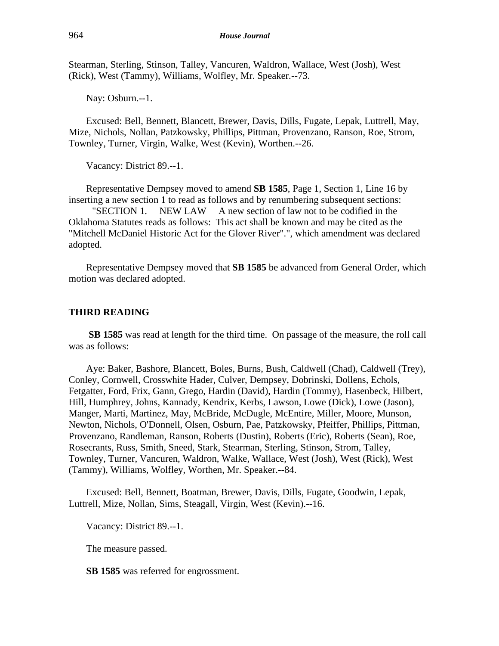Stearman, Sterling, Stinson, Talley, Vancuren, Waldron, Wallace, West (Josh), West (Rick), West (Tammy), Williams, Wolfley, Mr. Speaker.--73.

Nay: Osburn.--1.

Excused: Bell, Bennett, Blancett, Brewer, Davis, Dills, Fugate, Lepak, Luttrell, May, Mize, Nichols, Nollan, Patzkowsky, Phillips, Pittman, Provenzano, Ranson, Roe, Strom, Townley, Turner, Virgin, Walke, West (Kevin), Worthen.--26.

Vacancy: District 89.--1.

Representative Dempsey moved to amend **SB 1585**, Page 1, Section 1, Line 16 by inserting a new section 1 to read as follows and by renumbering subsequent sections:

"SECTION 1. NEW LAW A new section of law not to be codified in the Oklahoma Statutes reads as follows: This act shall be known and may be cited as the "Mitchell McDaniel Historic Act for the Glover River".", which amendment was declared adopted.

Representative Dempsey moved that **SB 1585** be advanced from General Order, which motion was declared adopted.

#### **THIRD READING**

**SB 1585** was read at length for the third time. On passage of the measure, the roll call was as follows:

Aye: Baker, Bashore, Blancett, Boles, Burns, Bush, Caldwell (Chad), Caldwell (Trey), Conley, Cornwell, Crosswhite Hader, Culver, Dempsey, Dobrinski, Dollens, Echols, Fetgatter, Ford, Frix, Gann, Grego, Hardin (David), Hardin (Tommy), Hasenbeck, Hilbert, Hill, Humphrey, Johns, Kannady, Kendrix, Kerbs, Lawson, Lowe (Dick), Lowe (Jason), Manger, Marti, Martinez, May, McBride, McDugle, McEntire, Miller, Moore, Munson, Newton, Nichols, O'Donnell, Olsen, Osburn, Pae, Patzkowsky, Pfeiffer, Phillips, Pittman, Provenzano, Randleman, Ranson, Roberts (Dustin), Roberts (Eric), Roberts (Sean), Roe, Rosecrants, Russ, Smith, Sneed, Stark, Stearman, Sterling, Stinson, Strom, Talley, Townley, Turner, Vancuren, Waldron, Walke, Wallace, West (Josh), West (Rick), West (Tammy), Williams, Wolfley, Worthen, Mr. Speaker.--84.

Excused: Bell, Bennett, Boatman, Brewer, Davis, Dills, Fugate, Goodwin, Lepak, Luttrell, Mize, Nollan, Sims, Steagall, Virgin, West (Kevin).--16.

Vacancy: District 89.--1.

The measure passed.

**SB 1585** was referred for engrossment.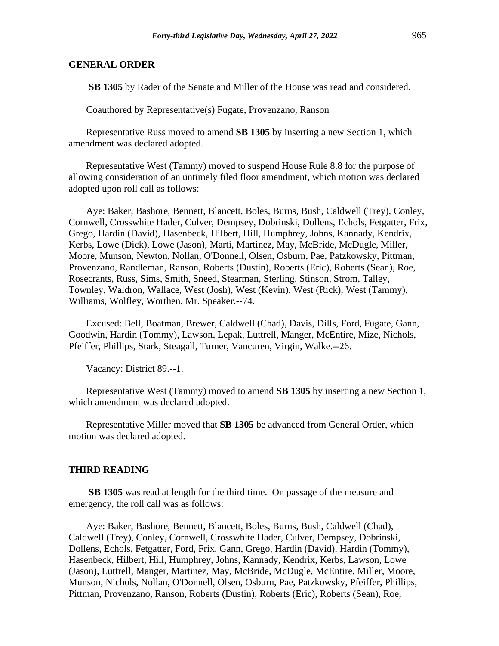**SB 1305** by Rader of the Senate and Miller of the House was read and considered.

Coauthored by Representative(s) Fugate, Provenzano, Ranson

Representative Russ moved to amend **SB 1305** by inserting a new Section 1, which amendment was declared adopted.

Representative West (Tammy) moved to suspend House Rule 8.8 for the purpose of allowing consideration of an untimely filed floor amendment, which motion was declared adopted upon roll call as follows:

Aye: Baker, Bashore, Bennett, Blancett, Boles, Burns, Bush, Caldwell (Trey), Conley, Cornwell, Crosswhite Hader, Culver, Dempsey, Dobrinski, Dollens, Echols, Fetgatter, Frix, Grego, Hardin (David), Hasenbeck, Hilbert, Hill, Humphrey, Johns, Kannady, Kendrix, Kerbs, Lowe (Dick), Lowe (Jason), Marti, Martinez, May, McBride, McDugle, Miller, Moore, Munson, Newton, Nollan, O'Donnell, Olsen, Osburn, Pae, Patzkowsky, Pittman, Provenzano, Randleman, Ranson, Roberts (Dustin), Roberts (Eric), Roberts (Sean), Roe, Rosecrants, Russ, Sims, Smith, Sneed, Stearman, Sterling, Stinson, Strom, Talley, Townley, Waldron, Wallace, West (Josh), West (Kevin), West (Rick), West (Tammy), Williams, Wolfley, Worthen, Mr. Speaker.--74.

Excused: Bell, Boatman, Brewer, Caldwell (Chad), Davis, Dills, Ford, Fugate, Gann, Goodwin, Hardin (Tommy), Lawson, Lepak, Luttrell, Manger, McEntire, Mize, Nichols, Pfeiffer, Phillips, Stark, Steagall, Turner, Vancuren, Virgin, Walke.--26.

Vacancy: District 89.--1.

Representative West (Tammy) moved to amend **SB 1305** by inserting a new Section 1, which amendment was declared adopted.

Representative Miller moved that **SB 1305** be advanced from General Order, which motion was declared adopted.

#### **THIRD READING**

**SB 1305** was read at length for the third time. On passage of the measure and emergency, the roll call was as follows:

Aye: Baker, Bashore, Bennett, Blancett, Boles, Burns, Bush, Caldwell (Chad), Caldwell (Trey), Conley, Cornwell, Crosswhite Hader, Culver, Dempsey, Dobrinski, Dollens, Echols, Fetgatter, Ford, Frix, Gann, Grego, Hardin (David), Hardin (Tommy), Hasenbeck, Hilbert, Hill, Humphrey, Johns, Kannady, Kendrix, Kerbs, Lawson, Lowe (Jason), Luttrell, Manger, Martinez, May, McBride, McDugle, McEntire, Miller, Moore, Munson, Nichols, Nollan, O'Donnell, Olsen, Osburn, Pae, Patzkowsky, Pfeiffer, Phillips, Pittman, Provenzano, Ranson, Roberts (Dustin), Roberts (Eric), Roberts (Sean), Roe,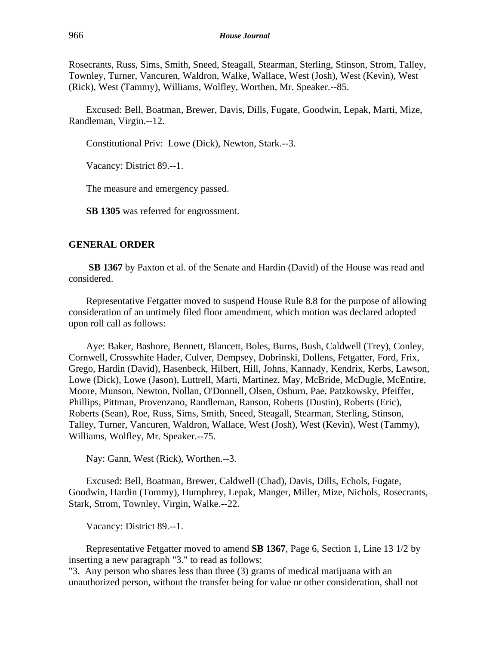Rosecrants, Russ, Sims, Smith, Sneed, Steagall, Stearman, Sterling, Stinson, Strom, Talley, Townley, Turner, Vancuren, Waldron, Walke, Wallace, West (Josh), West (Kevin), West (Rick), West (Tammy), Williams, Wolfley, Worthen, Mr. Speaker.--85.

Excused: Bell, Boatman, Brewer, Davis, Dills, Fugate, Goodwin, Lepak, Marti, Mize, Randleman, Virgin.--12.

Constitutional Priv: Lowe (Dick), Newton, Stark.--3.

Vacancy: District 89.--1.

The measure and emergency passed.

**SB 1305** was referred for engrossment.

#### **GENERAL ORDER**

**SB 1367** by Paxton et al. of the Senate and Hardin (David) of the House was read and considered.

Representative Fetgatter moved to suspend House Rule 8.8 for the purpose of allowing consideration of an untimely filed floor amendment, which motion was declared adopted upon roll call as follows:

Aye: Baker, Bashore, Bennett, Blancett, Boles, Burns, Bush, Caldwell (Trey), Conley, Cornwell, Crosswhite Hader, Culver, Dempsey, Dobrinski, Dollens, Fetgatter, Ford, Frix, Grego, Hardin (David), Hasenbeck, Hilbert, Hill, Johns, Kannady, Kendrix, Kerbs, Lawson, Lowe (Dick), Lowe (Jason), Luttrell, Marti, Martinez, May, McBride, McDugle, McEntire, Moore, Munson, Newton, Nollan, O'Donnell, Olsen, Osburn, Pae, Patzkowsky, Pfeiffer, Phillips, Pittman, Provenzano, Randleman, Ranson, Roberts (Dustin), Roberts (Eric), Roberts (Sean), Roe, Russ, Sims, Smith, Sneed, Steagall, Stearman, Sterling, Stinson, Talley, Turner, Vancuren, Waldron, Wallace, West (Josh), West (Kevin), West (Tammy), Williams, Wolfley, Mr. Speaker.--75.

Nay: Gann, West (Rick), Worthen.--3.

Excused: Bell, Boatman, Brewer, Caldwell (Chad), Davis, Dills, Echols, Fugate, Goodwin, Hardin (Tommy), Humphrey, Lepak, Manger, Miller, Mize, Nichols, Rosecrants, Stark, Strom, Townley, Virgin, Walke.--22.

Vacancy: District 89.--1.

Representative Fetgatter moved to amend **SB 1367**, Page 6, Section 1, Line 13 1/2 by inserting a new paragraph "3." to read as follows:

"3. Any person who shares less than three (3) grams of medical marijuana with an unauthorized person, without the transfer being for value or other consideration, shall not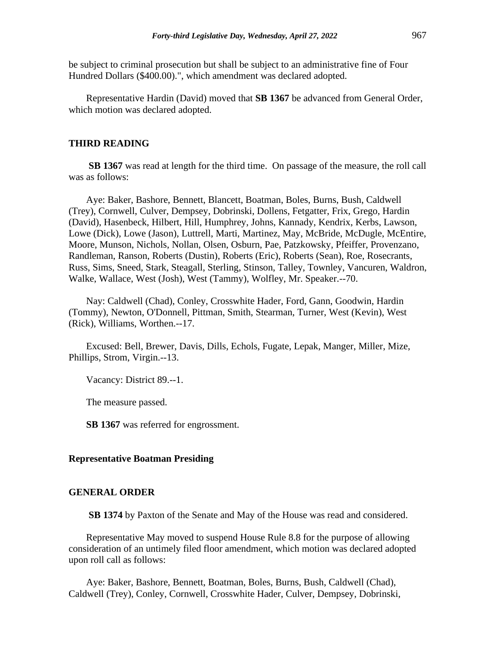be subject to criminal prosecution but shall be subject to an administrative fine of Four Hundred Dollars (\$400.00).", which amendment was declared adopted.

Representative Hardin (David) moved that **SB 1367** be advanced from General Order, which motion was declared adopted.

## **THIRD READING**

**SB 1367** was read at length for the third time. On passage of the measure, the roll call was as follows:

Aye: Baker, Bashore, Bennett, Blancett, Boatman, Boles, Burns, Bush, Caldwell (Trey), Cornwell, Culver, Dempsey, Dobrinski, Dollens, Fetgatter, Frix, Grego, Hardin (David), Hasenbeck, Hilbert, Hill, Humphrey, Johns, Kannady, Kendrix, Kerbs, Lawson, Lowe (Dick), Lowe (Jason), Luttrell, Marti, Martinez, May, McBride, McDugle, McEntire, Moore, Munson, Nichols, Nollan, Olsen, Osburn, Pae, Patzkowsky, Pfeiffer, Provenzano, Randleman, Ranson, Roberts (Dustin), Roberts (Eric), Roberts (Sean), Roe, Rosecrants, Russ, Sims, Sneed, Stark, Steagall, Sterling, Stinson, Talley, Townley, Vancuren, Waldron, Walke, Wallace, West (Josh), West (Tammy), Wolfley, Mr. Speaker.--70.

Nay: Caldwell (Chad), Conley, Crosswhite Hader, Ford, Gann, Goodwin, Hardin (Tommy), Newton, O'Donnell, Pittman, Smith, Stearman, Turner, West (Kevin), West (Rick), Williams, Worthen.--17.

Excused: Bell, Brewer, Davis, Dills, Echols, Fugate, Lepak, Manger, Miller, Mize, Phillips, Strom, Virgin.--13.

Vacancy: District 89.--1.

The measure passed.

**SB 1367** was referred for engrossment.

#### **Representative Boatman Presiding**

#### **GENERAL ORDER**

**SB 1374** by Paxton of the Senate and May of the House was read and considered.

Representative May moved to suspend House Rule 8.8 for the purpose of allowing consideration of an untimely filed floor amendment, which motion was declared adopted upon roll call as follows:

Aye: Baker, Bashore, Bennett, Boatman, Boles, Burns, Bush, Caldwell (Chad), Caldwell (Trey), Conley, Cornwell, Crosswhite Hader, Culver, Dempsey, Dobrinski,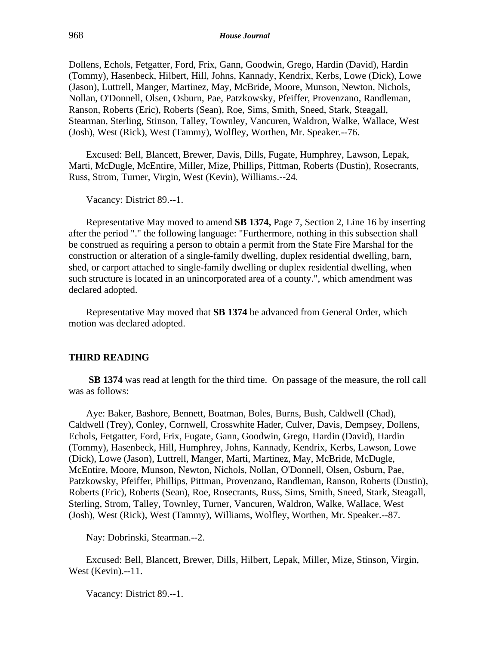Dollens, Echols, Fetgatter, Ford, Frix, Gann, Goodwin, Grego, Hardin (David), Hardin (Tommy), Hasenbeck, Hilbert, Hill, Johns, Kannady, Kendrix, Kerbs, Lowe (Dick), Lowe (Jason), Luttrell, Manger, Martinez, May, McBride, Moore, Munson, Newton, Nichols, Nollan, O'Donnell, Olsen, Osburn, Pae, Patzkowsky, Pfeiffer, Provenzano, Randleman, Ranson, Roberts (Eric), Roberts (Sean), Roe, Sims, Smith, Sneed, Stark, Steagall, Stearman, Sterling, Stinson, Talley, Townley, Vancuren, Waldron, Walke, Wallace, West (Josh), West (Rick), West (Tammy), Wolfley, Worthen, Mr. Speaker.--76.

Excused: Bell, Blancett, Brewer, Davis, Dills, Fugate, Humphrey, Lawson, Lepak, Marti, McDugle, McEntire, Miller, Mize, Phillips, Pittman, Roberts (Dustin), Rosecrants, Russ, Strom, Turner, Virgin, West (Kevin), Williams.--24.

Vacancy: District 89.--1.

Representative May moved to amend **SB 1374,** Page 7, Section 2, Line 16 by inserting after the period "." the following language: "Furthermore, nothing in this subsection shall be construed as requiring a person to obtain a permit from the State Fire Marshal for the construction or alteration of a single-family dwelling, duplex residential dwelling, barn, shed, or carport attached to single-family dwelling or duplex residential dwelling, when such structure is located in an unincorporated area of a county.", which amendment was declared adopted.

Representative May moved that **SB 1374** be advanced from General Order, which motion was declared adopted.

#### **THIRD READING**

**SB 1374** was read at length for the third time. On passage of the measure, the roll call was as follows:

Aye: Baker, Bashore, Bennett, Boatman, Boles, Burns, Bush, Caldwell (Chad), Caldwell (Trey), Conley, Cornwell, Crosswhite Hader, Culver, Davis, Dempsey, Dollens, Echols, Fetgatter, Ford, Frix, Fugate, Gann, Goodwin, Grego, Hardin (David), Hardin (Tommy), Hasenbeck, Hill, Humphrey, Johns, Kannady, Kendrix, Kerbs, Lawson, Lowe (Dick), Lowe (Jason), Luttrell, Manger, Marti, Martinez, May, McBride, McDugle, McEntire, Moore, Munson, Newton, Nichols, Nollan, O'Donnell, Olsen, Osburn, Pae, Patzkowsky, Pfeiffer, Phillips, Pittman, Provenzano, Randleman, Ranson, Roberts (Dustin), Roberts (Eric), Roberts (Sean), Roe, Rosecrants, Russ, Sims, Smith, Sneed, Stark, Steagall, Sterling, Strom, Talley, Townley, Turner, Vancuren, Waldron, Walke, Wallace, West (Josh), West (Rick), West (Tammy), Williams, Wolfley, Worthen, Mr. Speaker.--87.

Nay: Dobrinski, Stearman.--2.

Excused: Bell, Blancett, Brewer, Dills, Hilbert, Lepak, Miller, Mize, Stinson, Virgin, West (Kevin).--11.

Vacancy: District 89.--1.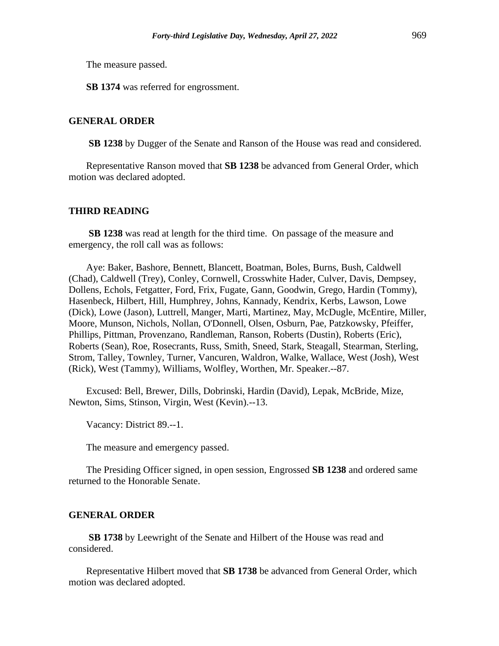The measure passed.

**SB 1374** was referred for engrossment.

#### **GENERAL ORDER**

**SB 1238** by Dugger of the Senate and Ranson of the House was read and considered.

Representative Ranson moved that **SB 1238** be advanced from General Order, which motion was declared adopted.

## **THIRD READING**

**SB 1238** was read at length for the third time. On passage of the measure and emergency, the roll call was as follows:

Aye: Baker, Bashore, Bennett, Blancett, Boatman, Boles, Burns, Bush, Caldwell (Chad), Caldwell (Trey), Conley, Cornwell, Crosswhite Hader, Culver, Davis, Dempsey, Dollens, Echols, Fetgatter, Ford, Frix, Fugate, Gann, Goodwin, Grego, Hardin (Tommy), Hasenbeck, Hilbert, Hill, Humphrey, Johns, Kannady, Kendrix, Kerbs, Lawson, Lowe (Dick), Lowe (Jason), Luttrell, Manger, Marti, Martinez, May, McDugle, McEntire, Miller, Moore, Munson, Nichols, Nollan, O'Donnell, Olsen, Osburn, Pae, Patzkowsky, Pfeiffer, Phillips, Pittman, Provenzano, Randleman, Ranson, Roberts (Dustin), Roberts (Eric), Roberts (Sean), Roe, Rosecrants, Russ, Smith, Sneed, Stark, Steagall, Stearman, Sterling, Strom, Talley, Townley, Turner, Vancuren, Waldron, Walke, Wallace, West (Josh), West (Rick), West (Tammy), Williams, Wolfley, Worthen, Mr. Speaker.--87.

Excused: Bell, Brewer, Dills, Dobrinski, Hardin (David), Lepak, McBride, Mize, Newton, Sims, Stinson, Virgin, West (Kevin).--13.

Vacancy: District 89.--1.

The measure and emergency passed.

The Presiding Officer signed, in open session, Engrossed **SB 1238** and ordered same returned to the Honorable Senate.

#### **GENERAL ORDER**

**SB 1738** by Leewright of the Senate and Hilbert of the House was read and considered.

Representative Hilbert moved that **SB 1738** be advanced from General Order, which motion was declared adopted.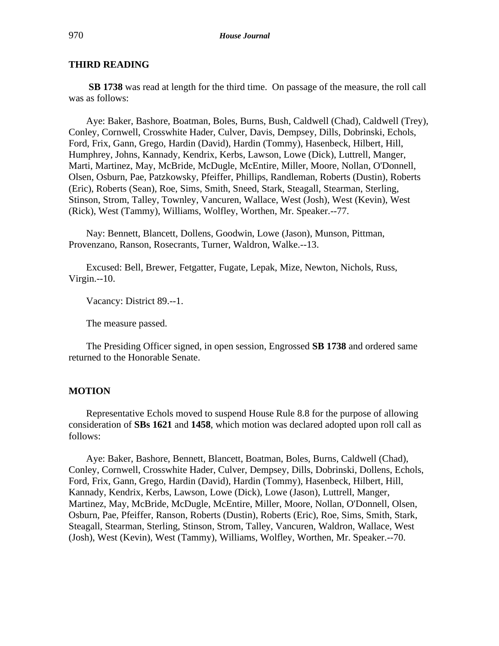# **THIRD READING**

**SB 1738** was read at length for the third time. On passage of the measure, the roll call was as follows:

Aye: Baker, Bashore, Boatman, Boles, Burns, Bush, Caldwell (Chad), Caldwell (Trey), Conley, Cornwell, Crosswhite Hader, Culver, Davis, Dempsey, Dills, Dobrinski, Echols, Ford, Frix, Gann, Grego, Hardin (David), Hardin (Tommy), Hasenbeck, Hilbert, Hill, Humphrey, Johns, Kannady, Kendrix, Kerbs, Lawson, Lowe (Dick), Luttrell, Manger, Marti, Martinez, May, McBride, McDugle, McEntire, Miller, Moore, Nollan, O'Donnell, Olsen, Osburn, Pae, Patzkowsky, Pfeiffer, Phillips, Randleman, Roberts (Dustin), Roberts (Eric), Roberts (Sean), Roe, Sims, Smith, Sneed, Stark, Steagall, Stearman, Sterling, Stinson, Strom, Talley, Townley, Vancuren, Wallace, West (Josh), West (Kevin), West (Rick), West (Tammy), Williams, Wolfley, Worthen, Mr. Speaker.--77.

Nay: Bennett, Blancett, Dollens, Goodwin, Lowe (Jason), Munson, Pittman, Provenzano, Ranson, Rosecrants, Turner, Waldron, Walke.--13.

Excused: Bell, Brewer, Fetgatter, Fugate, Lepak, Mize, Newton, Nichols, Russ, Virgin.--10.

Vacancy: District 89.--1.

The measure passed.

The Presiding Officer signed, in open session, Engrossed **SB 1738** and ordered same returned to the Honorable Senate.

## **MOTION**

Representative Echols moved to suspend House Rule 8.8 for the purpose of allowing consideration of **SBs 1621** and **1458**, which motion was declared adopted upon roll call as follows:

Aye: Baker, Bashore, Bennett, Blancett, Boatman, Boles, Burns, Caldwell (Chad), Conley, Cornwell, Crosswhite Hader, Culver, Dempsey, Dills, Dobrinski, Dollens, Echols, Ford, Frix, Gann, Grego, Hardin (David), Hardin (Tommy), Hasenbeck, Hilbert, Hill, Kannady, Kendrix, Kerbs, Lawson, Lowe (Dick), Lowe (Jason), Luttrell, Manger, Martinez, May, McBride, McDugle, McEntire, Miller, Moore, Nollan, O'Donnell, Olsen, Osburn, Pae, Pfeiffer, Ranson, Roberts (Dustin), Roberts (Eric), Roe, Sims, Smith, Stark, Steagall, Stearman, Sterling, Stinson, Strom, Talley, Vancuren, Waldron, Wallace, West (Josh), West (Kevin), West (Tammy), Williams, Wolfley, Worthen, Mr. Speaker.--70.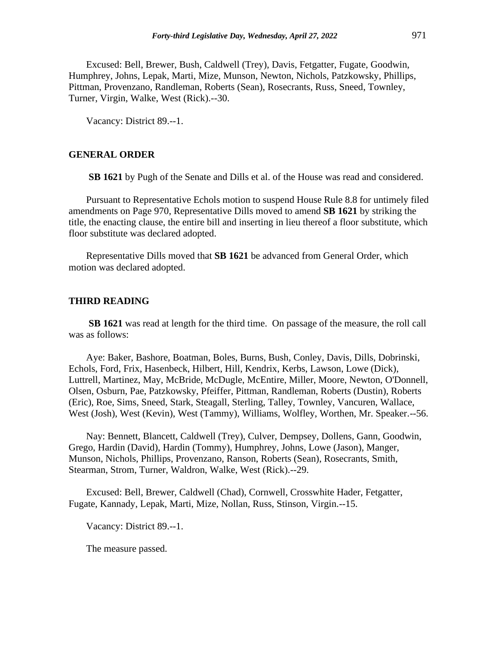Excused: Bell, Brewer, Bush, Caldwell (Trey), Davis, Fetgatter, Fugate, Goodwin, Humphrey, Johns, Lepak, Marti, Mize, Munson, Newton, Nichols, Patzkowsky, Phillips, Pittman, Provenzano, Randleman, Roberts (Sean), Rosecrants, Russ, Sneed, Townley, Turner, Virgin, Walke, West (Rick).--30.

Vacancy: District 89.--1.

# **GENERAL ORDER**

**SB 1621** by Pugh of the Senate and Dills et al. of the House was read and considered.

Pursuant to Representative Echols motion to suspend House Rule 8.8 for untimely filed amendments on Page 970, Representative Dills moved to amend **SB 1621** by striking the title, the enacting clause, the entire bill and inserting in lieu thereof a floor substitute, which floor substitute was declared adopted.

Representative Dills moved that **SB 1621** be advanced from General Order, which motion was declared adopted.

#### **THIRD READING**

**SB 1621** was read at length for the third time. On passage of the measure, the roll call was as follows:

Aye: Baker, Bashore, Boatman, Boles, Burns, Bush, Conley, Davis, Dills, Dobrinski, Echols, Ford, Frix, Hasenbeck, Hilbert, Hill, Kendrix, Kerbs, Lawson, Lowe (Dick), Luttrell, Martinez, May, McBride, McDugle, McEntire, Miller, Moore, Newton, O'Donnell, Olsen, Osburn, Pae, Patzkowsky, Pfeiffer, Pittman, Randleman, Roberts (Dustin), Roberts (Eric), Roe, Sims, Sneed, Stark, Steagall, Sterling, Talley, Townley, Vancuren, Wallace, West (Josh), West (Kevin), West (Tammy), Williams, Wolfley, Worthen, Mr. Speaker.--56.

Nay: Bennett, Blancett, Caldwell (Trey), Culver, Dempsey, Dollens, Gann, Goodwin, Grego, Hardin (David), Hardin (Tommy), Humphrey, Johns, Lowe (Jason), Manger, Munson, Nichols, Phillips, Provenzano, Ranson, Roberts (Sean), Rosecrants, Smith, Stearman, Strom, Turner, Waldron, Walke, West (Rick).--29.

Excused: Bell, Brewer, Caldwell (Chad), Cornwell, Crosswhite Hader, Fetgatter, Fugate, Kannady, Lepak, Marti, Mize, Nollan, Russ, Stinson, Virgin.--15.

Vacancy: District 89.--1.

The measure passed.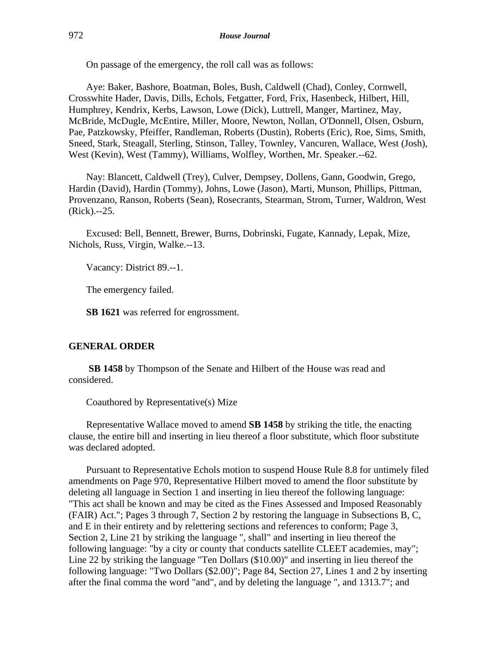On passage of the emergency, the roll call was as follows:

Aye: Baker, Bashore, Boatman, Boles, Bush, Caldwell (Chad), Conley, Cornwell, Crosswhite Hader, Davis, Dills, Echols, Fetgatter, Ford, Frix, Hasenbeck, Hilbert, Hill, Humphrey, Kendrix, Kerbs, Lawson, Lowe (Dick), Luttrell, Manger, Martinez, May, McBride, McDugle, McEntire, Miller, Moore, Newton, Nollan, O'Donnell, Olsen, Osburn, Pae, Patzkowsky, Pfeiffer, Randleman, Roberts (Dustin), Roberts (Eric), Roe, Sims, Smith, Sneed, Stark, Steagall, Sterling, Stinson, Talley, Townley, Vancuren, Wallace, West (Josh), West (Kevin), West (Tammy), Williams, Wolfley, Worthen, Mr. Speaker.--62.

Nay: Blancett, Caldwell (Trey), Culver, Dempsey, Dollens, Gann, Goodwin, Grego, Hardin (David), Hardin (Tommy), Johns, Lowe (Jason), Marti, Munson, Phillips, Pittman, Provenzano, Ranson, Roberts (Sean), Rosecrants, Stearman, Strom, Turner, Waldron, West (Rick).--25.

Excused: Bell, Bennett, Brewer, Burns, Dobrinski, Fugate, Kannady, Lepak, Mize, Nichols, Russ, Virgin, Walke.--13.

Vacancy: District 89.--1.

The emergency failed.

**SB 1621** was referred for engrossment.

## **GENERAL ORDER**

**SB 1458** by Thompson of the Senate and Hilbert of the House was read and considered.

Coauthored by Representative(s) Mize

Representative Wallace moved to amend **SB 1458** by striking the title, the enacting clause, the entire bill and inserting in lieu thereof a floor substitute, which floor substitute was declared adopted.

Pursuant to Representative Echols motion to suspend House Rule 8.8 for untimely filed amendments on Page 970, Representative Hilbert moved to amend the floor substitute by deleting all language in Section 1 and inserting in lieu thereof the following language: "This act shall be known and may be cited as the Fines Assessed and Imposed Reasonably (FAIR) Act."; Pages 3 through 7, Section 2 by restoring the language in Subsections B, C, and E in their entirety and by relettering sections and references to conform; Page 3, Section 2, Line 21 by striking the language ", shall" and inserting in lieu thereof the following language: "by a city or county that conducts satellite CLEET academies, may"; Line 22 by striking the language "Ten Dollars (\$10.00)" and inserting in lieu thereof the following language: "Two Dollars (\$2.00)"; Page 84, Section 27, Lines 1 and 2 by inserting after the final comma the word "and", and by deleting the language ", and 1313.7"; and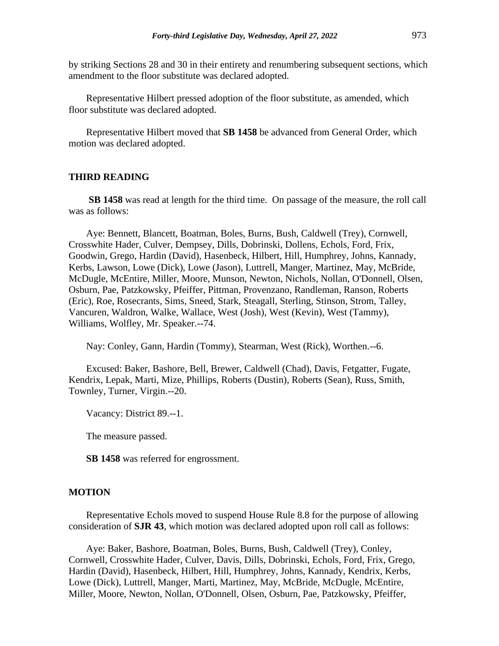by striking Sections 28 and 30 in their entirety and renumbering subsequent sections, which amendment to the floor substitute was declared adopted.

Representative Hilbert pressed adoption of the floor substitute, as amended, which floor substitute was declared adopted.

Representative Hilbert moved that **SB 1458** be advanced from General Order, which motion was declared adopted.

## **THIRD READING**

**SB 1458** was read at length for the third time. On passage of the measure, the roll call was as follows:

Aye: Bennett, Blancett, Boatman, Boles, Burns, Bush, Caldwell (Trey), Cornwell, Crosswhite Hader, Culver, Dempsey, Dills, Dobrinski, Dollens, Echols, Ford, Frix, Goodwin, Grego, Hardin (David), Hasenbeck, Hilbert, Hill, Humphrey, Johns, Kannady, Kerbs, Lawson, Lowe (Dick), Lowe (Jason), Luttrell, Manger, Martinez, May, McBride, McDugle, McEntire, Miller, Moore, Munson, Newton, Nichols, Nollan, O'Donnell, Olsen, Osburn, Pae, Patzkowsky, Pfeiffer, Pittman, Provenzano, Randleman, Ranson, Roberts (Eric), Roe, Rosecrants, Sims, Sneed, Stark, Steagall, Sterling, Stinson, Strom, Talley, Vancuren, Waldron, Walke, Wallace, West (Josh), West (Kevin), West (Tammy), Williams, Wolfley, Mr. Speaker.--74.

Nay: Conley, Gann, Hardin (Tommy), Stearman, West (Rick), Worthen.--6.

Excused: Baker, Bashore, Bell, Brewer, Caldwell (Chad), Davis, Fetgatter, Fugate, Kendrix, Lepak, Marti, Mize, Phillips, Roberts (Dustin), Roberts (Sean), Russ, Smith, Townley, Turner, Virgin.--20.

Vacancy: District 89.--1.

The measure passed.

**SB 1458** was referred for engrossment.

#### **MOTION**

Representative Echols moved to suspend House Rule 8.8 for the purpose of allowing consideration of **SJR 43**, which motion was declared adopted upon roll call as follows:

Aye: Baker, Bashore, Boatman, Boles, Burns, Bush, Caldwell (Trey), Conley, Cornwell, Crosswhite Hader, Culver, Davis, Dills, Dobrinski, Echols, Ford, Frix, Grego, Hardin (David), Hasenbeck, Hilbert, Hill, Humphrey, Johns, Kannady, Kendrix, Kerbs, Lowe (Dick), Luttrell, Manger, Marti, Martinez, May, McBride, McDugle, McEntire, Miller, Moore, Newton, Nollan, O'Donnell, Olsen, Osburn, Pae, Patzkowsky, Pfeiffer,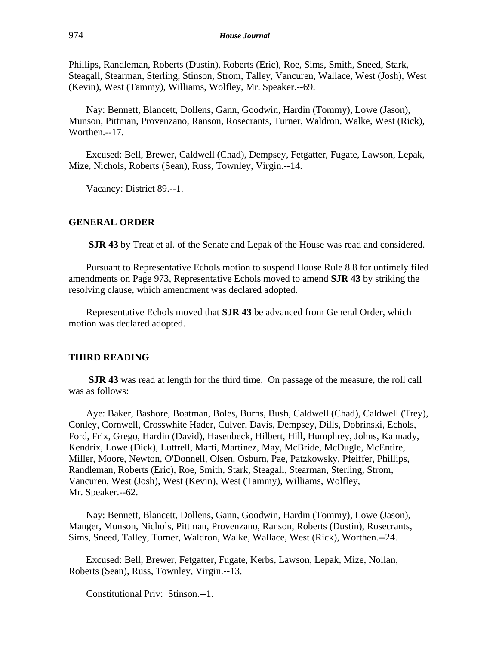Phillips, Randleman, Roberts (Dustin), Roberts (Eric), Roe, Sims, Smith, Sneed, Stark, Steagall, Stearman, Sterling, Stinson, Strom, Talley, Vancuren, Wallace, West (Josh), West (Kevin), West (Tammy), Williams, Wolfley, Mr. Speaker.--69.

Nay: Bennett, Blancett, Dollens, Gann, Goodwin, Hardin (Tommy), Lowe (Jason), Munson, Pittman, Provenzano, Ranson, Rosecrants, Turner, Waldron, Walke, West (Rick), Worthen.--17.

Excused: Bell, Brewer, Caldwell (Chad), Dempsey, Fetgatter, Fugate, Lawson, Lepak, Mize, Nichols, Roberts (Sean), Russ, Townley, Virgin.--14.

Vacancy: District 89.--1.

## **GENERAL ORDER**

**SJR 43** by Treat et al. of the Senate and Lepak of the House was read and considered.

Pursuant to Representative Echols motion to suspend House Rule 8.8 for untimely filed amendments on Page 973, Representative Echols moved to amend **SJR 43** by striking the resolving clause, which amendment was declared adopted.

Representative Echols moved that **SJR 43** be advanced from General Order, which motion was declared adopted.

#### **THIRD READING**

**SJR 43** was read at length for the third time. On passage of the measure, the roll call was as follows:

Aye: Baker, Bashore, Boatman, Boles, Burns, Bush, Caldwell (Chad), Caldwell (Trey), Conley, Cornwell, Crosswhite Hader, Culver, Davis, Dempsey, Dills, Dobrinski, Echols, Ford, Frix, Grego, Hardin (David), Hasenbeck, Hilbert, Hill, Humphrey, Johns, Kannady, Kendrix, Lowe (Dick), Luttrell, Marti, Martinez, May, McBride, McDugle, McEntire, Miller, Moore, Newton, O'Donnell, Olsen, Osburn, Pae, Patzkowsky, Pfeiffer, Phillips, Randleman, Roberts (Eric), Roe, Smith, Stark, Steagall, Stearman, Sterling, Strom, Vancuren, West (Josh), West (Kevin), West (Tammy), Williams, Wolfley, Mr. Speaker.--62.

Nay: Bennett, Blancett, Dollens, Gann, Goodwin, Hardin (Tommy), Lowe (Jason), Manger, Munson, Nichols, Pittman, Provenzano, Ranson, Roberts (Dustin), Rosecrants, Sims, Sneed, Talley, Turner, Waldron, Walke, Wallace, West (Rick), Worthen.--24.

Excused: Bell, Brewer, Fetgatter, Fugate, Kerbs, Lawson, Lepak, Mize, Nollan, Roberts (Sean), Russ, Townley, Virgin.--13.

Constitutional Priv: Stinson.--1.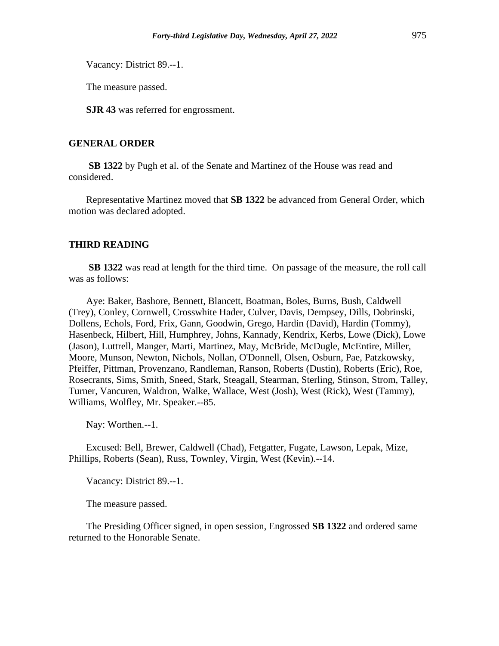Vacancy: District 89.--1.

The measure passed.

**SJR 43** was referred for engrossment.

# **GENERAL ORDER**

**SB 1322** by Pugh et al. of the Senate and Martinez of the House was read and considered.

Representative Martinez moved that **SB 1322** be advanced from General Order, which motion was declared adopted.

## **THIRD READING**

**SB 1322** was read at length for the third time. On passage of the measure, the roll call was as follows:

Aye: Baker, Bashore, Bennett, Blancett, Boatman, Boles, Burns, Bush, Caldwell (Trey), Conley, Cornwell, Crosswhite Hader, Culver, Davis, Dempsey, Dills, Dobrinski, Dollens, Echols, Ford, Frix, Gann, Goodwin, Grego, Hardin (David), Hardin (Tommy), Hasenbeck, Hilbert, Hill, Humphrey, Johns, Kannady, Kendrix, Kerbs, Lowe (Dick), Lowe (Jason), Luttrell, Manger, Marti, Martinez, May, McBride, McDugle, McEntire, Miller, Moore, Munson, Newton, Nichols, Nollan, O'Donnell, Olsen, Osburn, Pae, Patzkowsky, Pfeiffer, Pittman, Provenzano, Randleman, Ranson, Roberts (Dustin), Roberts (Eric), Roe, Rosecrants, Sims, Smith, Sneed, Stark, Steagall, Stearman, Sterling, Stinson, Strom, Talley, Turner, Vancuren, Waldron, Walke, Wallace, West (Josh), West (Rick), West (Tammy), Williams, Wolfley, Mr. Speaker.--85.

Nay: Worthen.--1.

Excused: Bell, Brewer, Caldwell (Chad), Fetgatter, Fugate, Lawson, Lepak, Mize, Phillips, Roberts (Sean), Russ, Townley, Virgin, West (Kevin).--14.

Vacancy: District 89.--1.

The measure passed.

The Presiding Officer signed, in open session, Engrossed **SB 1322** and ordered same returned to the Honorable Senate.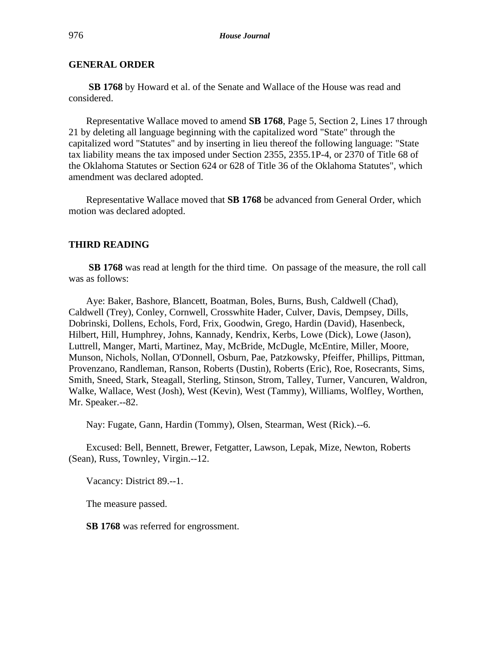**SB 1768** by Howard et al. of the Senate and Wallace of the House was read and considered.

Representative Wallace moved to amend **SB 1768**, Page 5, Section 2, Lines 17 through 21 by deleting all language beginning with the capitalized word "State" through the capitalized word "Statutes" and by inserting in lieu thereof the following language: "State tax liability means the tax imposed under Section 2355, 2355.1P-4, or 2370 of Title 68 of the Oklahoma Statutes or Section 624 or 628 of Title 36 of the Oklahoma Statutes", which amendment was declared adopted.

Representative Wallace moved that **SB 1768** be advanced from General Order, which motion was declared adopted.

# **THIRD READING**

**SB 1768** was read at length for the third time. On passage of the measure, the roll call was as follows:

Aye: Baker, Bashore, Blancett, Boatman, Boles, Burns, Bush, Caldwell (Chad), Caldwell (Trey), Conley, Cornwell, Crosswhite Hader, Culver, Davis, Dempsey, Dills, Dobrinski, Dollens, Echols, Ford, Frix, Goodwin, Grego, Hardin (David), Hasenbeck, Hilbert, Hill, Humphrey, Johns, Kannady, Kendrix, Kerbs, Lowe (Dick), Lowe (Jason), Luttrell, Manger, Marti, Martinez, May, McBride, McDugle, McEntire, Miller, Moore, Munson, Nichols, Nollan, O'Donnell, Osburn, Pae, Patzkowsky, Pfeiffer, Phillips, Pittman, Provenzano, Randleman, Ranson, Roberts (Dustin), Roberts (Eric), Roe, Rosecrants, Sims, Smith, Sneed, Stark, Steagall, Sterling, Stinson, Strom, Talley, Turner, Vancuren, Waldron, Walke, Wallace, West (Josh), West (Kevin), West (Tammy), Williams, Wolfley, Worthen, Mr. Speaker.--82.

Nay: Fugate, Gann, Hardin (Tommy), Olsen, Stearman, West (Rick).--6.

Excused: Bell, Bennett, Brewer, Fetgatter, Lawson, Lepak, Mize, Newton, Roberts (Sean), Russ, Townley, Virgin.--12.

Vacancy: District 89.--1.

The measure passed.

**SB 1768** was referred for engrossment.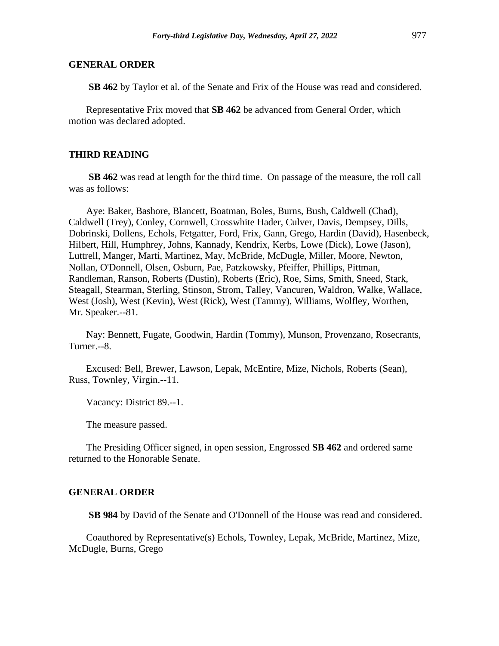**SB 462** by Taylor et al. of the Senate and Frix of the House was read and considered.

Representative Frix moved that **SB 462** be advanced from General Order, which motion was declared adopted.

## **THIRD READING**

**SB 462** was read at length for the third time. On passage of the measure, the roll call was as follows:

Aye: Baker, Bashore, Blancett, Boatman, Boles, Burns, Bush, Caldwell (Chad), Caldwell (Trey), Conley, Cornwell, Crosswhite Hader, Culver, Davis, Dempsey, Dills, Dobrinski, Dollens, Echols, Fetgatter, Ford, Frix, Gann, Grego, Hardin (David), Hasenbeck, Hilbert, Hill, Humphrey, Johns, Kannady, Kendrix, Kerbs, Lowe (Dick), Lowe (Jason), Luttrell, Manger, Marti, Martinez, May, McBride, McDugle, Miller, Moore, Newton, Nollan, O'Donnell, Olsen, Osburn, Pae, Patzkowsky, Pfeiffer, Phillips, Pittman, Randleman, Ranson, Roberts (Dustin), Roberts (Eric), Roe, Sims, Smith, Sneed, Stark, Steagall, Stearman, Sterling, Stinson, Strom, Talley, Vancuren, Waldron, Walke, Wallace, West (Josh), West (Kevin), West (Rick), West (Tammy), Williams, Wolfley, Worthen, Mr. Speaker.--81.

Nay: Bennett, Fugate, Goodwin, Hardin (Tommy), Munson, Provenzano, Rosecrants, Turner.--8.

Excused: Bell, Brewer, Lawson, Lepak, McEntire, Mize, Nichols, Roberts (Sean), Russ, Townley, Virgin.--11.

Vacancy: District 89.--1.

The measure passed.

The Presiding Officer signed, in open session, Engrossed **SB 462** and ordered same returned to the Honorable Senate.

#### **GENERAL ORDER**

**SB 984** by David of the Senate and O'Donnell of the House was read and considered.

Coauthored by Representative(s) Echols, Townley, Lepak, McBride, Martinez, Mize, McDugle, Burns, Grego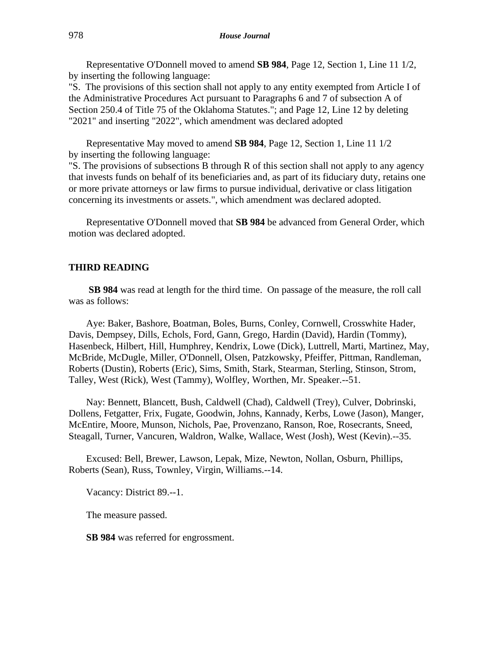Representative O'Donnell moved to amend **SB 984**, Page 12, Section 1, Line 11 1/2, by inserting the following language:

"S. The provisions of this section shall not apply to any entity exempted from Article I of the Administrative Procedures Act pursuant to Paragraphs 6 and 7 of subsection A of Section 250.4 of Title 75 of the Oklahoma Statutes."; and Page 12, Line 12 by deleting "2021" and inserting "2022", which amendment was declared adopted

Representative May moved to amend **SB 984**, Page 12, Section 1, Line 11 1/2 by inserting the following language:

"S. The provisions of subsections B through R of this section shall not apply to any agency that invests funds on behalf of its beneficiaries and, as part of its fiduciary duty, retains one or more private attorneys or law firms to pursue individual, derivative or class litigation concerning its investments or assets.", which amendment was declared adopted.

Representative O'Donnell moved that **SB 984** be advanced from General Order, which motion was declared adopted.

#### **THIRD READING**

**SB 984** was read at length for the third time. On passage of the measure, the roll call was as follows:

Aye: Baker, Bashore, Boatman, Boles, Burns, Conley, Cornwell, Crosswhite Hader, Davis, Dempsey, Dills, Echols, Ford, Gann, Grego, Hardin (David), Hardin (Tommy), Hasenbeck, Hilbert, Hill, Humphrey, Kendrix, Lowe (Dick), Luttrell, Marti, Martinez, May, McBride, McDugle, Miller, O'Donnell, Olsen, Patzkowsky, Pfeiffer, Pittman, Randleman, Roberts (Dustin), Roberts (Eric), Sims, Smith, Stark, Stearman, Sterling, Stinson, Strom, Talley, West (Rick), West (Tammy), Wolfley, Worthen, Mr. Speaker.--51.

Nay: Bennett, Blancett, Bush, Caldwell (Chad), Caldwell (Trey), Culver, Dobrinski, Dollens, Fetgatter, Frix, Fugate, Goodwin, Johns, Kannady, Kerbs, Lowe (Jason), Manger, McEntire, Moore, Munson, Nichols, Pae, Provenzano, Ranson, Roe, Rosecrants, Sneed, Steagall, Turner, Vancuren, Waldron, Walke, Wallace, West (Josh), West (Kevin).--35.

Excused: Bell, Brewer, Lawson, Lepak, Mize, Newton, Nollan, Osburn, Phillips, Roberts (Sean), Russ, Townley, Virgin, Williams.--14.

Vacancy: District 89.--1.

The measure passed.

**SB 984** was referred for engrossment.